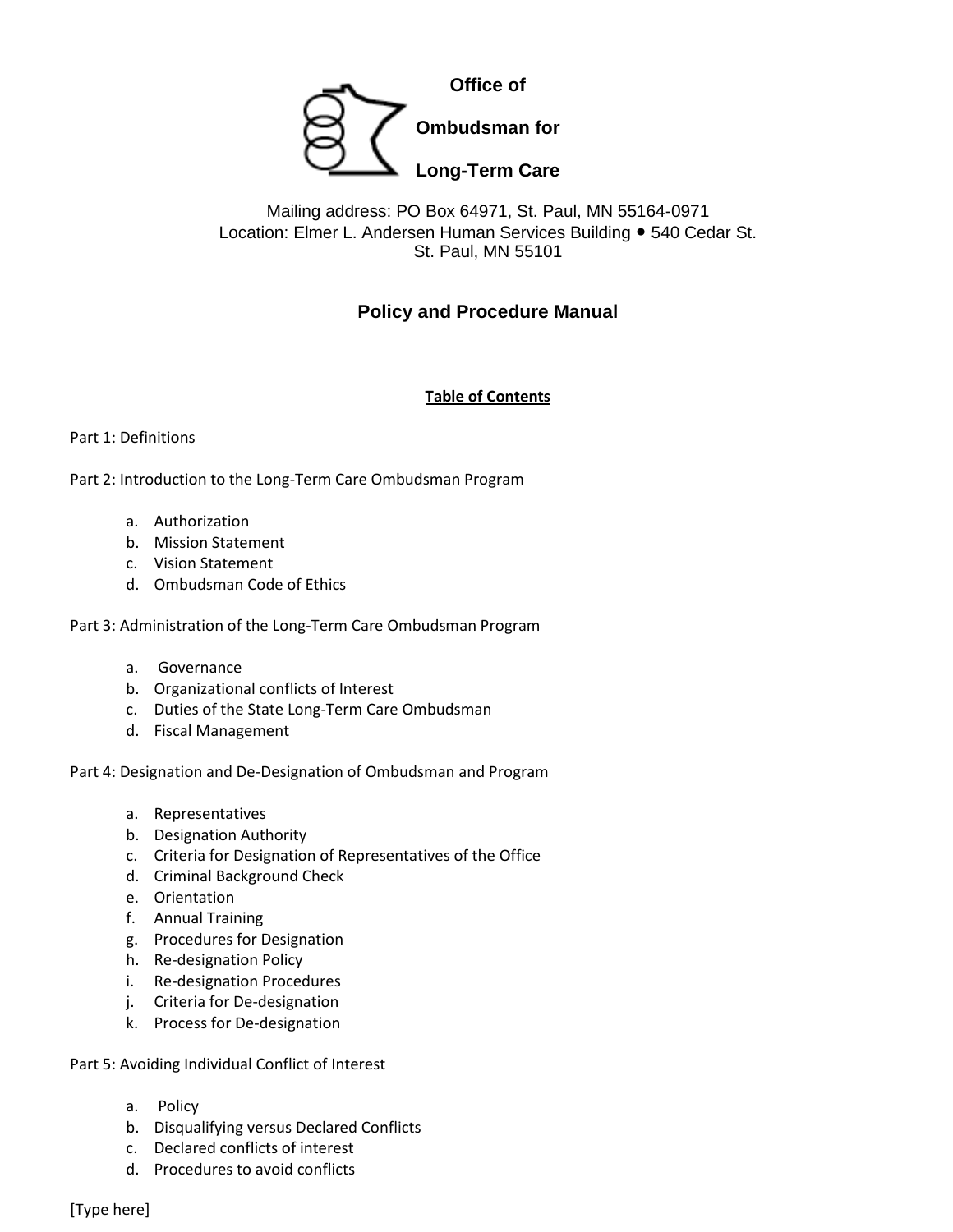

# Mailing address: PO Box 64971, St. Paul, MN 55164-0971 Location: Elmer L. Andersen Human Services Building ● 540 Cedar St. St. Paul, MN 55101

# **Policy and Procedure Manual**

# **Table of Contents**

#### Part 1: Definitions

Part 2: Introduction to the Long-Term Care Ombudsman Program

- a. Authorization
- b. Mission Statement
- c. Vision Statement
- d. Ombudsman Code of Ethics

Part 3: Administration of the Long-Term Care Ombudsman Program

- a. Governance
- b. Organizational conflicts of Interest
- c. Duties of the State Long-Term Care Ombudsman
- d. Fiscal Management

Part 4: Designation and De-Designation of Ombudsman and Program

- a. Representatives
- b. Designation Authority
- c. Criteria for Designation of Representatives of the Office
- d. Criminal Background Check
- e. Orientation
- f. Annual Training
- g. Procedures for Designation
- h. Re-designation Policy
- i. Re-designation Procedures
- j. Criteria for De-designation
- k. Process for De-designation

Part 5: Avoiding Individual Conflict of Interest

- a. Policy
- b. Disqualifying versus Declared Conflicts
- c. Declared conflicts of interest
- d. Procedures to avoid conflicts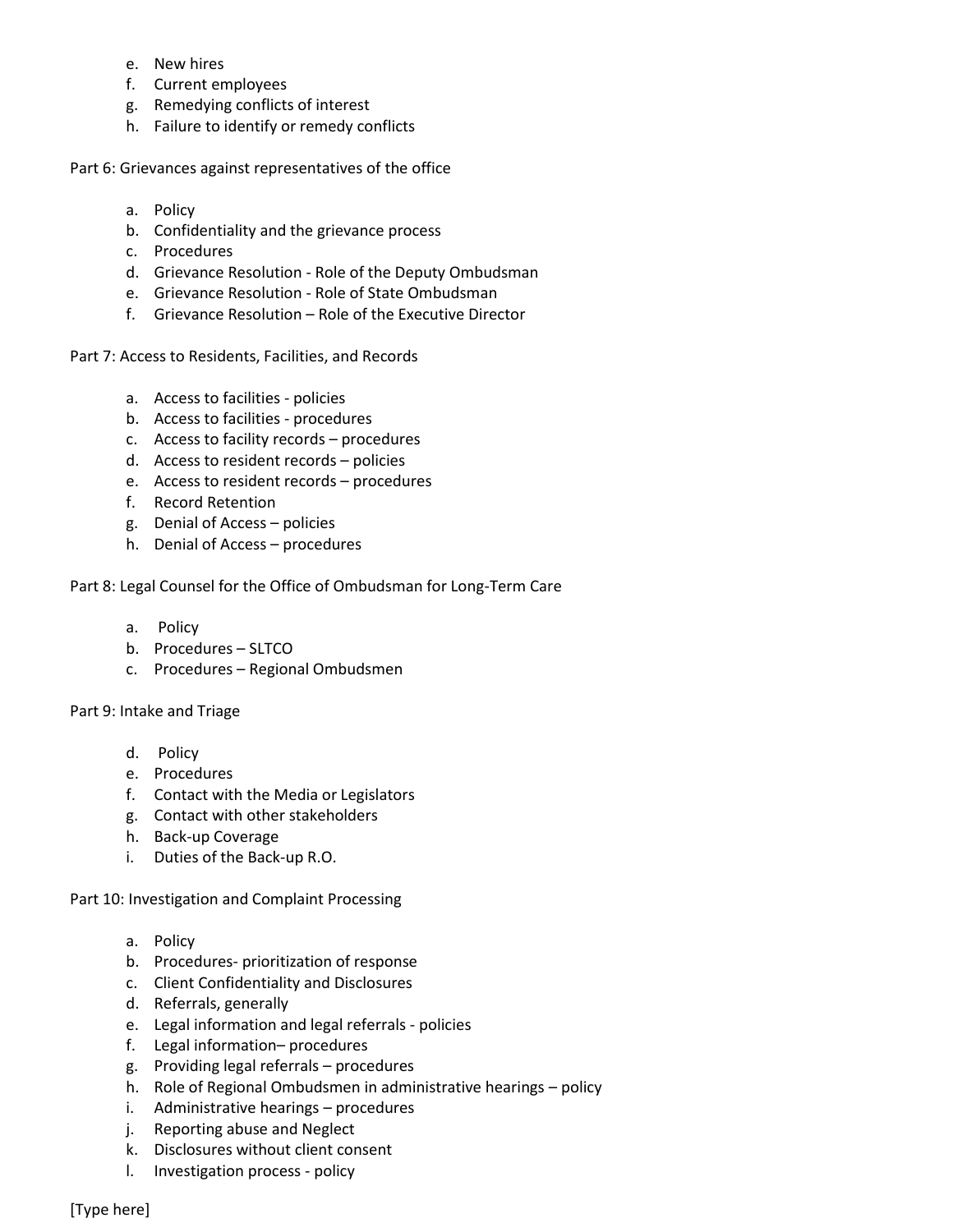- e. New hires
- f. Current employees
- g. Remedying conflicts of interest
- h. Failure to identify or remedy conflicts

Part 6: Grievances against representatives of the office

- a. Policy
- b. Confidentiality and the grievance process
- c. Procedures
- d. Grievance Resolution Role of the Deputy Ombudsman
- e. Grievance Resolution Role of State Ombudsman
- f. Grievance Resolution Role of the Executive Director

Part 7: Access to Residents, Facilities, and Records

- a. Access to facilities policies
- b. Access to facilities procedures
- c. Access to facility records procedures
- d. Access to resident records policies
- e. Access to resident records procedures
- f. Record Retention
- g. Denial of Access policies
- h. Denial of Access procedures

#### Part 8: Legal Counsel for the Office of Ombudsman for Long-Term Care

- a. Policy
- b. Procedures SLTCO
- c. Procedures Regional Ombudsmen

#### Part 9: Intake and Triage

- d. Policy
- e. Procedures
- f. Contact with the Media or Legislators
- g. Contact with other stakeholders
- h. Back-up Coverage
- i. Duties of the Back-up R.O.

Part 10: Investigation and Complaint Processing

- a. Policy
- b. Procedures- prioritization of response
- c. Client Confidentiality and Disclosures
- d. Referrals, generally
- e. Legal information and legal referrals policies
- f. Legal information– procedures
- g. Providing legal referrals procedures
- h. Role of Regional Ombudsmen in administrative hearings policy
- i. Administrative hearings procedures
- j. Reporting abuse and Neglect
- k. Disclosures without client consent
- l. Investigation process policy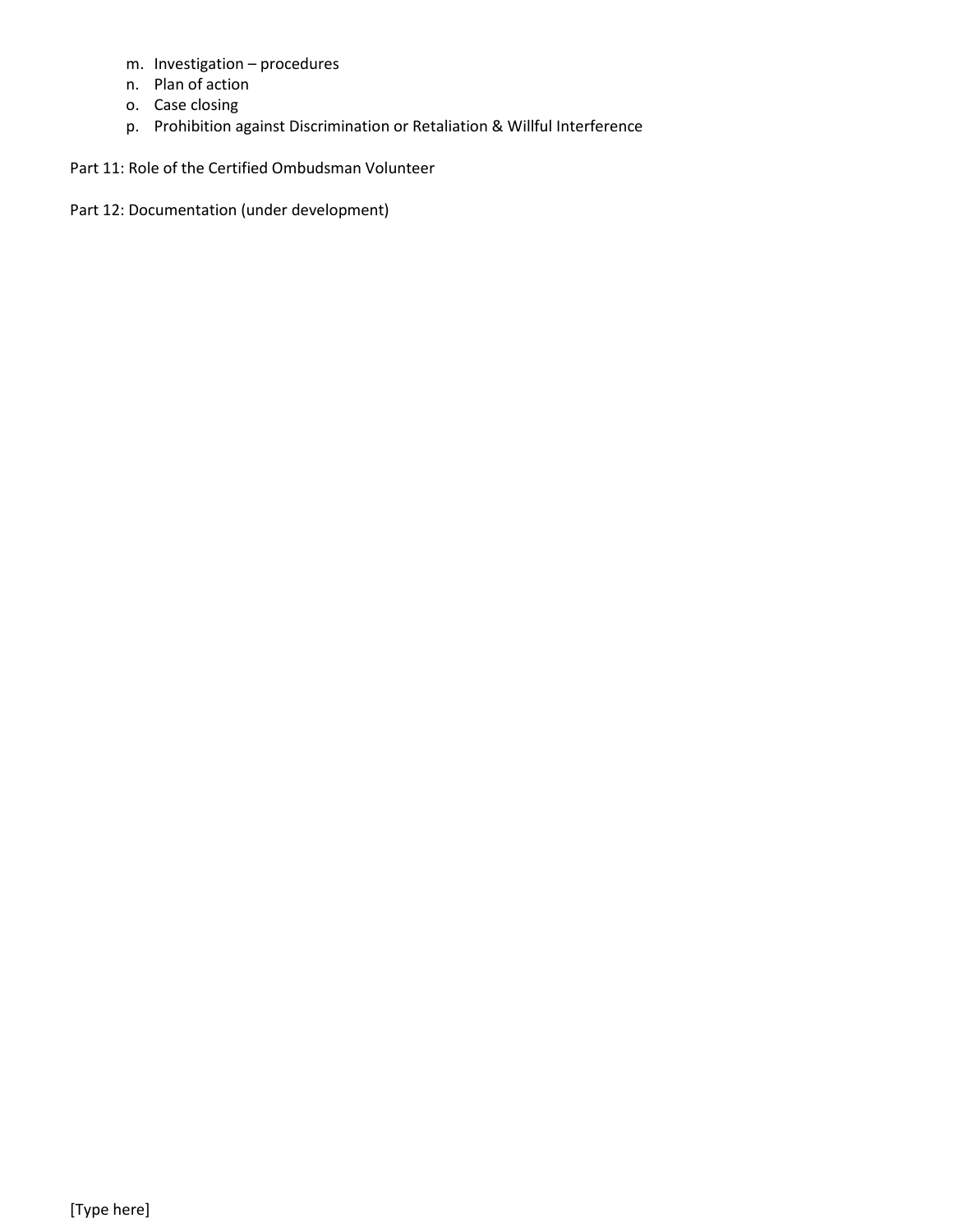- m. Investigation procedures
- n. Plan of action
- o. Case closing
- p. Prohibition against Discrimination or Retaliation & Willful Interference

Part 11: Role of the Certified Ombudsman Volunteer

Part 12: Documentation (under development)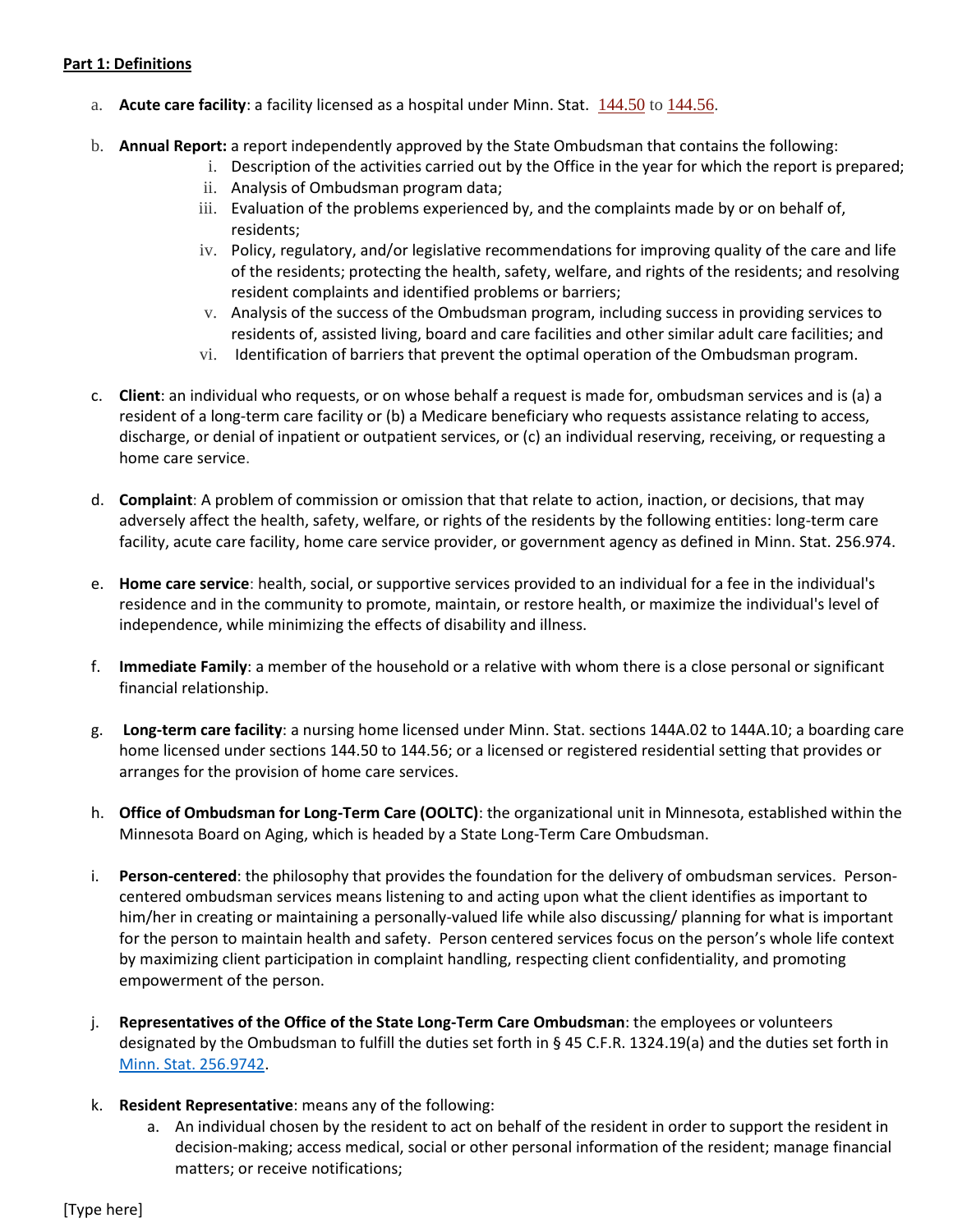#### **Part 1: Definitions**

- a. **Acute care facility**: a facility licensed as a hospital under Minn. Stat. [144.50](https://www.revisor.mn.gov/statutes/?id=144.50) t[o 144.56.](https://www.revisor.mn.gov/statutes/?id=144.56)
- b. **Annual Report:** a report independently approved by the State Ombudsman that contains the following:
	- i. Description of the activities carried out by the Office in the year for which the report is prepared;
	- ii. Analysis of Ombudsman program data;
	- iii. Evaluation of the problems experienced by, and the complaints made by or on behalf of, residents;
	- iv. Policy, regulatory, and/or legislative recommendations for improving quality of the care and life of the residents; protecting the health, safety, welfare, and rights of the residents; and resolving resident complaints and identified problems or barriers;
	- v. Analysis of the success of the Ombudsman program, including success in providing services to residents of, assisted living, board and care facilities and other similar adult care facilities; and
	- vi. Identification of barriers that prevent the optimal operation of the Ombudsman program.
- c. **Client**: an individual who requests, or on whose behalf a request is made for, ombudsman services and is (a) a resident of a long-term care facility or (b) a Medicare beneficiary who requests assistance relating to access, discharge, or denial of inpatient or outpatient services, or (c) an individual reserving, receiving, or requesting a home care service.
- d. **Complaint**: A problem of commission or omission that that relate to action, inaction, or decisions, that may adversely affect the health, safety, welfare, or rights of the residents by the following entities: long-term care facility, acute care facility, home care service provider, or government agency as defined in Minn. Stat. 256.974.
- e. **Home care service**: health, social, or supportive services provided to an individual for a fee in the individual's residence and in the community to promote, maintain, or restore health, or maximize the individual's level of independence, while minimizing the effects of disability and illness.
- f. **Immediate Family**: a member of the household or a relative with whom there is a close personal or significant financial relationship.
- g. **Long-term care facility**: a nursing home licensed under Minn. Stat. section[s 144A.02](https://www.revisor.mn.gov/statutes/?id=144A.02) to [144A.10;](https://www.revisor.mn.gov/statutes/?id=144A.10) a boarding care home licensed under sections [144.50](https://www.revisor.mn.gov/statutes/?id=144.50) to [144.56;](https://www.revisor.mn.gov/statutes/?id=144.56) or a licensed or registered residential setting that provides or arranges for the provision of home care services.
- h. **Office of Ombudsman for Long-Term Care (OOLTC)**: the organizational unit in Minnesota, established within the Minnesota Board on Aging, which is headed by a State Long-Term Care Ombudsman.
- i. **Person-centered**: the philosophy that provides the foundation for the delivery of ombudsman services. Personcentered ombudsman services means listening to and acting upon what the client identifies as important to him/her in creating or maintaining a personally-valued life while also discussing/ planning for what is important for the person to maintain health and safety. Person centered services focus on the person's whole life context by maximizing client participation in complaint handling, respecting client confidentiality, and promoting empowerment of the person.
- j. **Representatives of the Office of the State Long-Term Care Ombudsman**: the employees or volunteers designated by the Ombudsman to fulfill the duties set forth in § 45 C.F.R. 1324.19(a) and the duties set forth in [Minn. Stat. 256.9742.](https://www.revisor.mn.gov/laws/?id=163&year=2016&type=0#laws.1.2.0)
- k. **Resident Representative**: means any of the following:
	- a. An individual chosen by the resident to act on behalf of the resident in order to support the resident in decision-making; access medical, social or other personal information of the resident; manage financial matters; or receive notifications;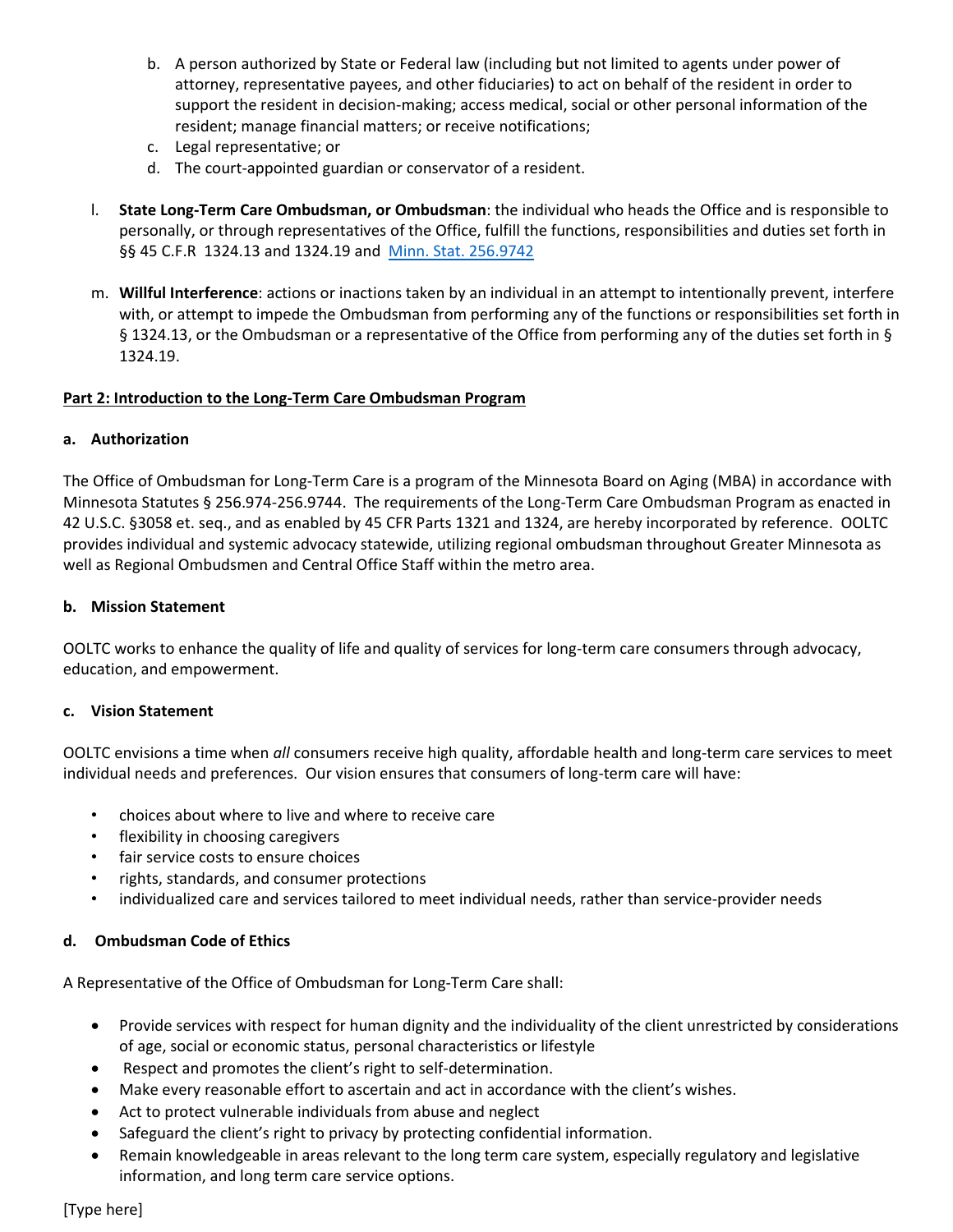- b. A person authorized by State or Federal law (including but not limited to agents under power of attorney, representative payees, and other fiduciaries) to act on behalf of the resident in order to support the resident in decision-making; access medical, social or other personal information of the resident; manage financial matters; or receive notifications;
- c. Legal representative; or
- d. The court-appointed guardian or conservator of a resident.
- l. **State Long-Term Care Ombudsman, or Ombudsman**: the individual who heads the Office and is responsible to personally, or through representatives of the Office, fulfill the functions, responsibilities and duties set forth in §§ 45 C.F.R 1324.13 and 1324.19 and [Minn. Stat. 256.9742](https://www.revisor.mn.gov/laws/?id=163&year=2016&type=0#laws.1.2.0)
- m. **Willful Interference**: actions or inactions taken by an individual in an attempt to intentionally prevent, interfere with, or attempt to impede the Ombudsman from performing any of the functions or responsibilities set forth in § 1324.13, or the Ombudsman or a representative of the Office from performing any of the duties set forth in § 1324.19.

#### **Part 2: Introduction to the Long-Term Care Ombudsman Program**

#### **a. Authorization**

The Office of Ombudsman for Long-Term Care is a program of the Minnesota Board on Aging (MBA) in accordance with Minnesota Statutes § 256.974-256.9744. The requirements of the Long-Term Care Ombudsman Program as enacted in 42 U.S.C. §3058 et. seq., and as enabled by 45 CFR Parts 1321 and 1324, are hereby incorporated by reference. OOLTC provides individual and systemic advocacy statewide, utilizing regional ombudsman throughout Greater Minnesota as well as Regional Ombudsmen and Central Office Staff within the metro area.

#### **b. Mission Statement**

OOLTC works to enhance the quality of life and quality of services for long-term care consumers through advocacy, education, and empowerment.

#### **c. Vision Statement**

OOLTC envisions a time when *all* consumers receive high quality, affordable health and long-term care services to meet individual needs and preferences. Our vision ensures that consumers of long-term care will have:

- choices about where to live and where to receive care
- flexibility in choosing caregivers
- fair service costs to ensure choices
- rights, standards, and consumer protections
- individualized care and services tailored to meet individual needs, rather than service-provider needs

#### **d. Ombudsman Code of Ethics**

A Representative of the Office of Ombudsman for Long-Term Care shall:

- Provide services with respect for human dignity and the individuality of the client unrestricted by considerations of age, social or economic status, personal characteristics or lifestyle
- Respect and promotes the client's right to self-determination.
- Make every reasonable effort to ascertain and act in accordance with the client's wishes.
- Act to protect vulnerable individuals from abuse and neglect
- Safeguard the client's right to privacy by protecting confidential information.
- Remain knowledgeable in areas relevant to the long term care system, especially regulatory and legislative information, and long term care service options.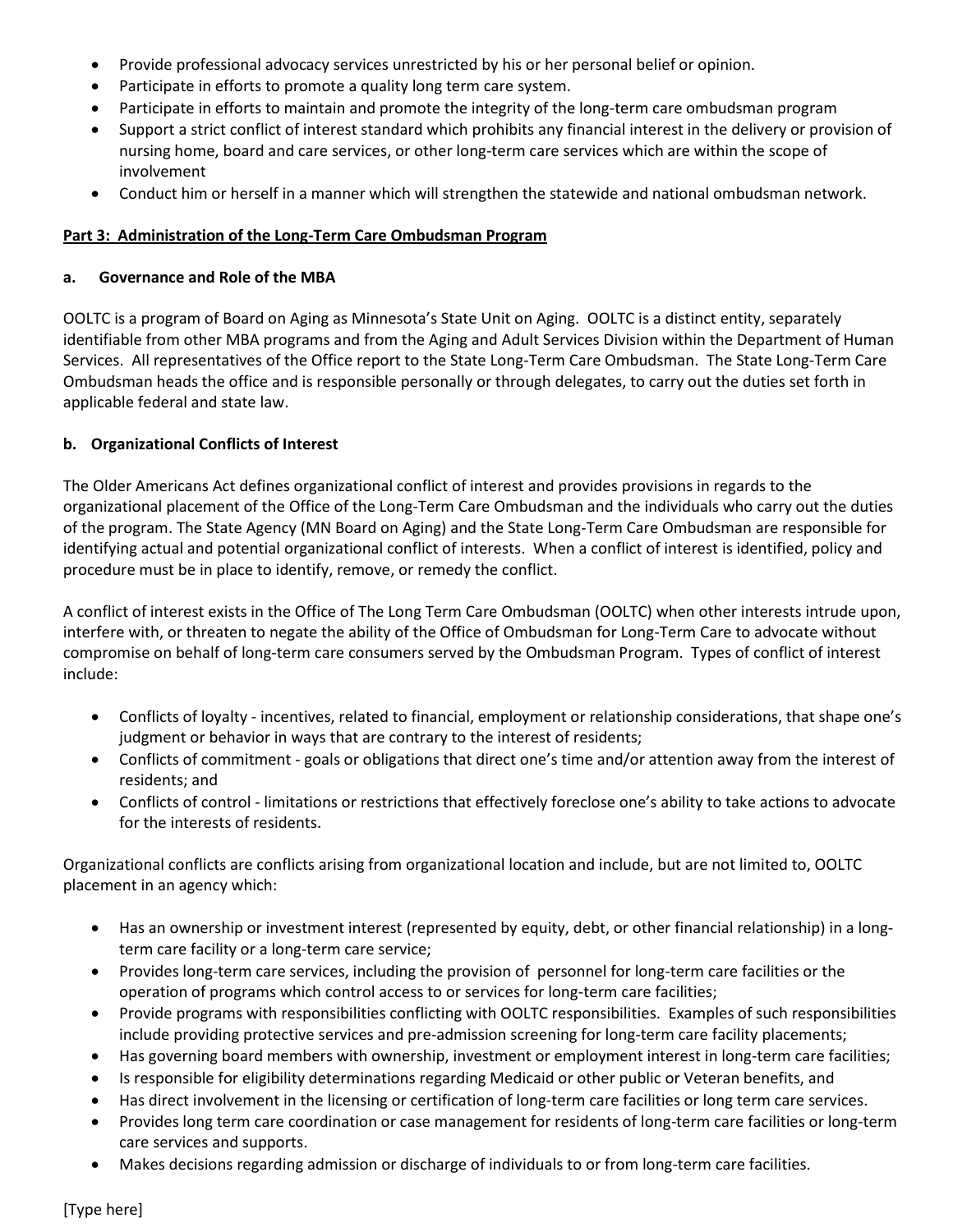- Provide professional advocacy services unrestricted by his or her personal belief or opinion.
- Participate in efforts to promote a quality long term care system.
- Participate in efforts to maintain and promote the integrity of the long-term care ombudsman program
- Support a strict conflict of interest standard which prohibits any financial interest in the delivery or provision of nursing home, board and care services, or other long-term care services which are within the scope of involvement
- Conduct him or herself in a manner which will strengthen the statewide and national ombudsman network.

## **Part 3: Administration of the Long-Term Care Ombudsman Program**

#### **a. Governance and Role of the MBA**

OOLTC is a program of Board on Aging as Minnesota's State Unit on Aging. OOLTC is a distinct entity, separately identifiable from other MBA programs and from the Aging and Adult Services Division within the Department of Human Services. All representatives of the Office report to the State Long-Term Care Ombudsman. The State Long-Term Care Ombudsman heads the office and is responsible personally or through delegates, to carry out the duties set forth in applicable federal and state law.

## **b. Organizational Conflicts of Interest**

The Older Americans Act defines organizational conflict of interest and provides provisions in regards to the organizational placement of the Office of the Long-Term Care Ombudsman and the individuals who carry out the duties of the program. The State Agency (MN Board on Aging) and the State Long-Term Care Ombudsman are responsible for identifying actual and potential organizational conflict of interests. When a conflict of interest is identified, policy and procedure must be in place to identify, remove, or remedy the conflict.

A conflict of interest exists in the Office of The Long Term Care Ombudsman (OOLTC) when other interests intrude upon, interfere with, or threaten to negate the ability of the Office of Ombudsman for Long-Term Care to advocate without compromise on behalf of long-term care consumers served by the Ombudsman Program. Types of conflict of interest include:

- Conflicts of loyalty incentives, related to financial, employment or relationship considerations, that shape one's judgment or behavior in ways that are contrary to the interest of residents;
- Conflicts of commitment goals or obligations that direct one's time and/or attention away from the interest of residents; and
- Conflicts of control limitations or restrictions that effectively foreclose one's ability to take actions to advocate for the interests of residents.

Organizational conflicts are conflicts arising from organizational location and include, but are not limited to, OOLTC placement in an agency which:

- Has an ownership or investment interest (represented by equity, debt, or other financial relationship) in a longterm care facility or a long-term care service;
- Provides long-term care services, including the provision of personnel for long-term care facilities or the operation of programs which control access to or services for long-term care facilities;
- Provide programs with responsibilities conflicting with OOLTC responsibilities. Examples of such responsibilities include providing protective services and pre-admission screening for long-term care facility placements;
- Has governing board members with ownership, investment or employment interest in long-term care facilities;
- Is responsible for eligibility determinations regarding Medicaid or other public or Veteran benefits, and
- Has direct involvement in the licensing or certification of long-term care facilities or long term care services.
- Provides long term care coordination or case management for residents of long-term care facilities or long-term care services and supports.
- Makes decisions regarding admission or discharge of individuals to or from long-term care facilities.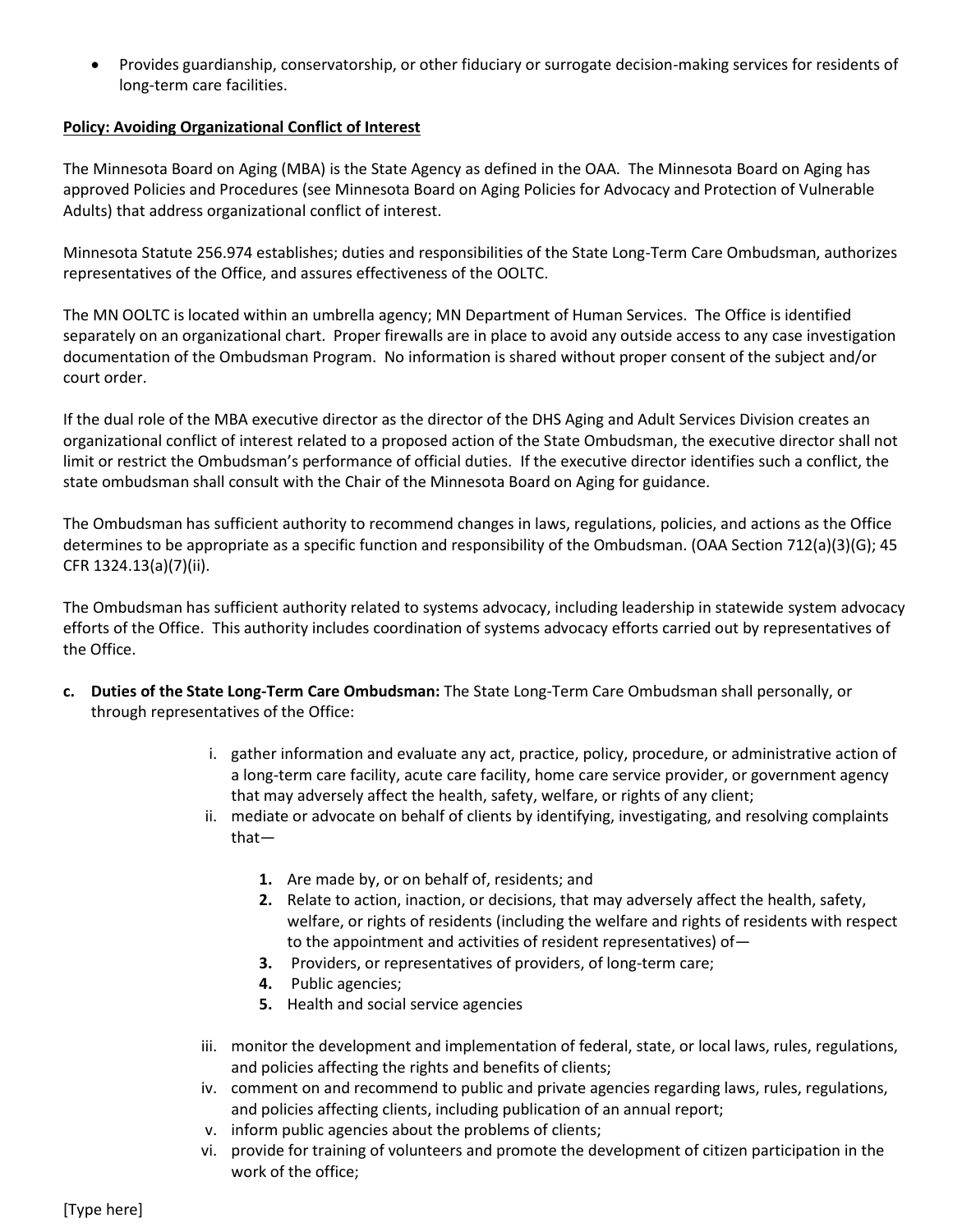• Provides guardianship, conservatorship, or other fiduciary or surrogate decision-making services for residents of long-term care facilities.

#### **Policy: Avoiding Organizational Conflict of Interest**

The Minnesota Board on Aging (MBA) is the State Agency as defined in the OAA. The Minnesota Board on Aging has approved Policies and Procedures (see Minnesota Board on Aging Policies for Advocacy and Protection of Vulnerable Adults) that address organizational conflict of interest.

Minnesota Statute 256.974 establishes; duties and responsibilities of the State Long-Term Care Ombudsman, authorizes representatives of the Office, and assures effectiveness of the OOLTC.

The MN OOLTC is located within an umbrella agency; MN Department of Human Services. The Office is identified separately on an organizational chart. Proper firewalls are in place to avoid any outside access to any case investigation documentation of the Ombudsman Program. No information is shared without proper consent of the subject and/or court order.

If the dual role of the MBA executive director as the director of the DHS Aging and Adult Services Division creates an organizational conflict of interest related to a proposed action of the State Ombudsman, the executive director shall not limit or restrict the Ombudsman's performance of official duties. If the executive director identifies such a conflict, the state ombudsman shall consult with the Chair of the Minnesota Board on Aging for guidance.

The Ombudsman has sufficient authority to recommend changes in laws, regulations, policies, and actions as the Office determines to be appropriate as a specific function and responsibility of the Ombudsman. (OAA Section 712(a)(3)(G); 45 CFR 1324.13(a)(7)(ii).

The Ombudsman has sufficient authority related to systems advocacy, including leadership in statewide system advocacy efforts of the Office. This authority includes coordination of systems advocacy efforts carried out by representatives of the Office.

- **c. Duties of the State Long-Term Care Ombudsman:** The State Long-Term Care Ombudsman shall personally, or through representatives of the Office:
	- i. gather information and evaluate any act, practice, policy, procedure, or administrative action of a long-term care facility, acute care facility, home care service provider, or government agency that may adversely affect the health, safety, welfare, or rights of any client;
	- ii. mediate or advocate on behalf of clients by identifying, investigating, and resolving complaints that—
		- **1.** Are made by, or on behalf of, residents; and
		- **2.** Relate to action, inaction, or decisions, that may adversely affect the health, safety, welfare, or rights of residents (including the welfare and rights of residents with respect to the appointment and activities of resident representatives) of—
		- **3.** Providers, or representatives of providers, of long-term care;
		- **4.** Public agencies;
		- **5.** Health and social service agencies
	- iii. monitor the development and implementation of federal, state, or local laws, rules, regulations, and policies affecting the rights and benefits of clients;
	- iv. comment on and recommend to public and private agencies regarding laws, rules, regulations, and policies affecting clients, including publication of an annual report;
	- v. inform public agencies about the problems of clients;
	- vi. provide for training of volunteers and promote the development of citizen participation in the work of the office;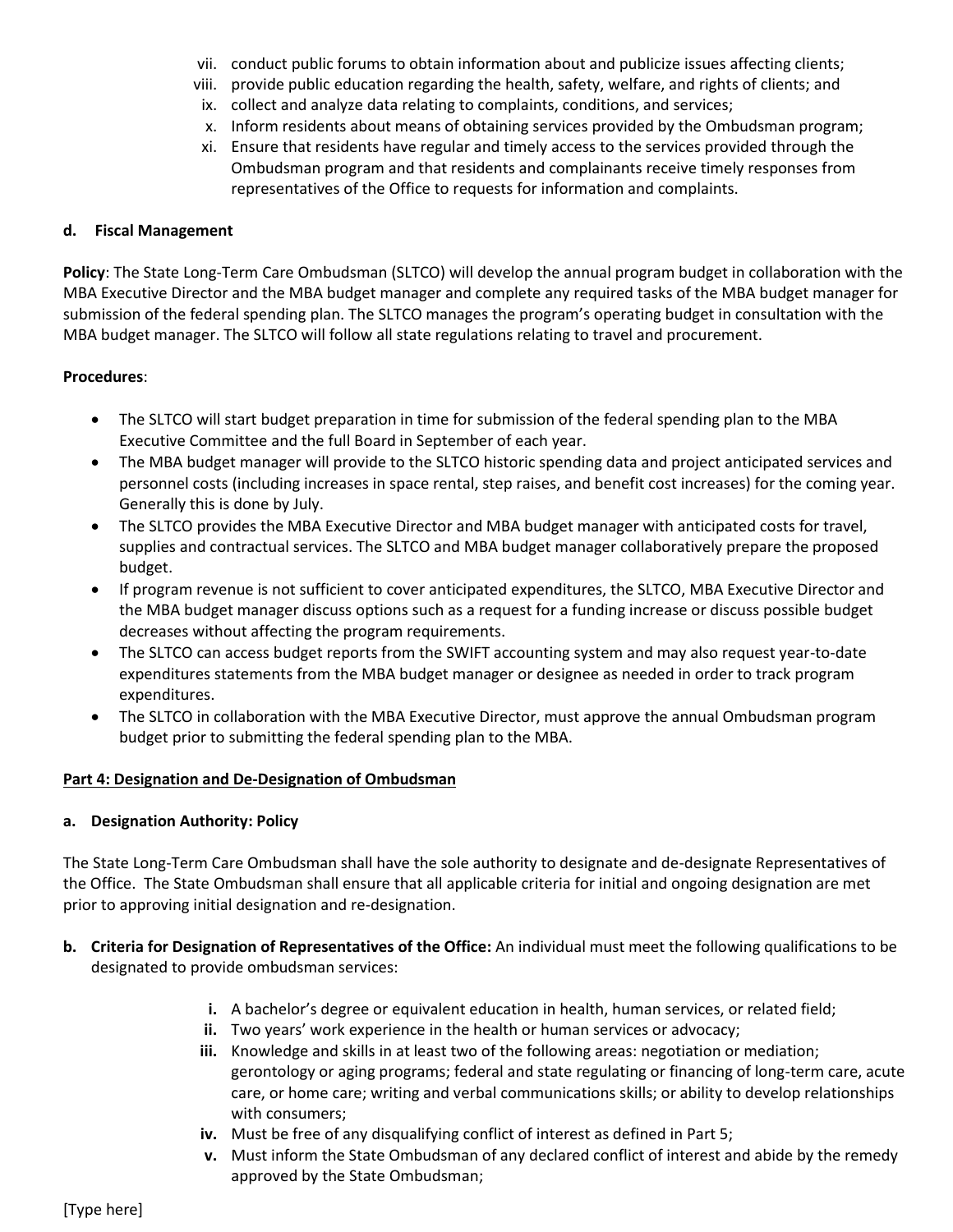- vii. conduct public forums to obtain information about and publicize issues affecting clients;
- viii. provide public education regarding the health, safety, welfare, and rights of clients; and
- ix. collect and analyze data relating to complaints, conditions, and services;
- x. Inform residents about means of obtaining services provided by the Ombudsman program;
- xi. Ensure that residents have regular and timely access to the services provided through the Ombudsman program and that residents and complainants receive timely responses from representatives of the Office to requests for information and complaints.

#### **d. Fiscal Management**

**Policy**: The State Long-Term Care Ombudsman (SLTCO) will develop the annual program budget in collaboration with the MBA Executive Director and the MBA budget manager and complete any required tasks of the MBA budget manager for submission of the federal spending plan. The SLTCO manages the program's operating budget in consultation with the MBA budget manager. The SLTCO will follow all state regulations relating to travel and procurement.

#### **Procedures**:

- The SLTCO will start budget preparation in time for submission of the federal spending plan to the MBA Executive Committee and the full Board in September of each year.
- The MBA budget manager will provide to the SLTCO historic spending data and project anticipated services and personnel costs (including increases in space rental, step raises, and benefit cost increases) for the coming year. Generally this is done by July.
- The SLTCO provides the MBA Executive Director and MBA budget manager with anticipated costs for travel, supplies and contractual services. The SLTCO and MBA budget manager collaboratively prepare the proposed budget.
- If program revenue is not sufficient to cover anticipated expenditures, the SLTCO, MBA Executive Director and the MBA budget manager discuss options such as a request for a funding increase or discuss possible budget decreases without affecting the program requirements.
- The SLTCO can access budget reports from the SWIFT accounting system and may also request year-to-date expenditures statements from the MBA budget manager or designee as needed in order to track program expenditures.
- The SLTCO in collaboration with the MBA Executive Director, must approve the annual Ombudsman program budget prior to submitting the federal spending plan to the MBA.

#### **Part 4: Designation and De-Designation of Ombudsman**

#### **a. Designation Authority: Policy**

The State Long-Term Care Ombudsman shall have the sole authority to designate and de-designate Representatives of the Office. The State Ombudsman shall ensure that all applicable criteria for initial and ongoing designation are met prior to approving initial designation and re-designation.

- **b. Criteria for Designation of Representatives of the Office:** An individual must meet the following qualifications to be designated to provide ombudsman services:
	- **i.** A bachelor's degree or equivalent education in health, human services, or related field;
	- **ii.** Two years' work experience in the health or human services or advocacy;
	- **iii.** Knowledge and skills in at least two of the following areas: negotiation or mediation; gerontology or aging programs; federal and state regulating or financing of long-term care, acute care, or home care; writing and verbal communications skills; or ability to develop relationships with consumers;
	- **iv.** Must be free of any disqualifying conflict of interest as defined in Part 5;
	- **v.** Must inform the State Ombudsman of any declared conflict of interest and abide by the remedy approved by the State Ombudsman;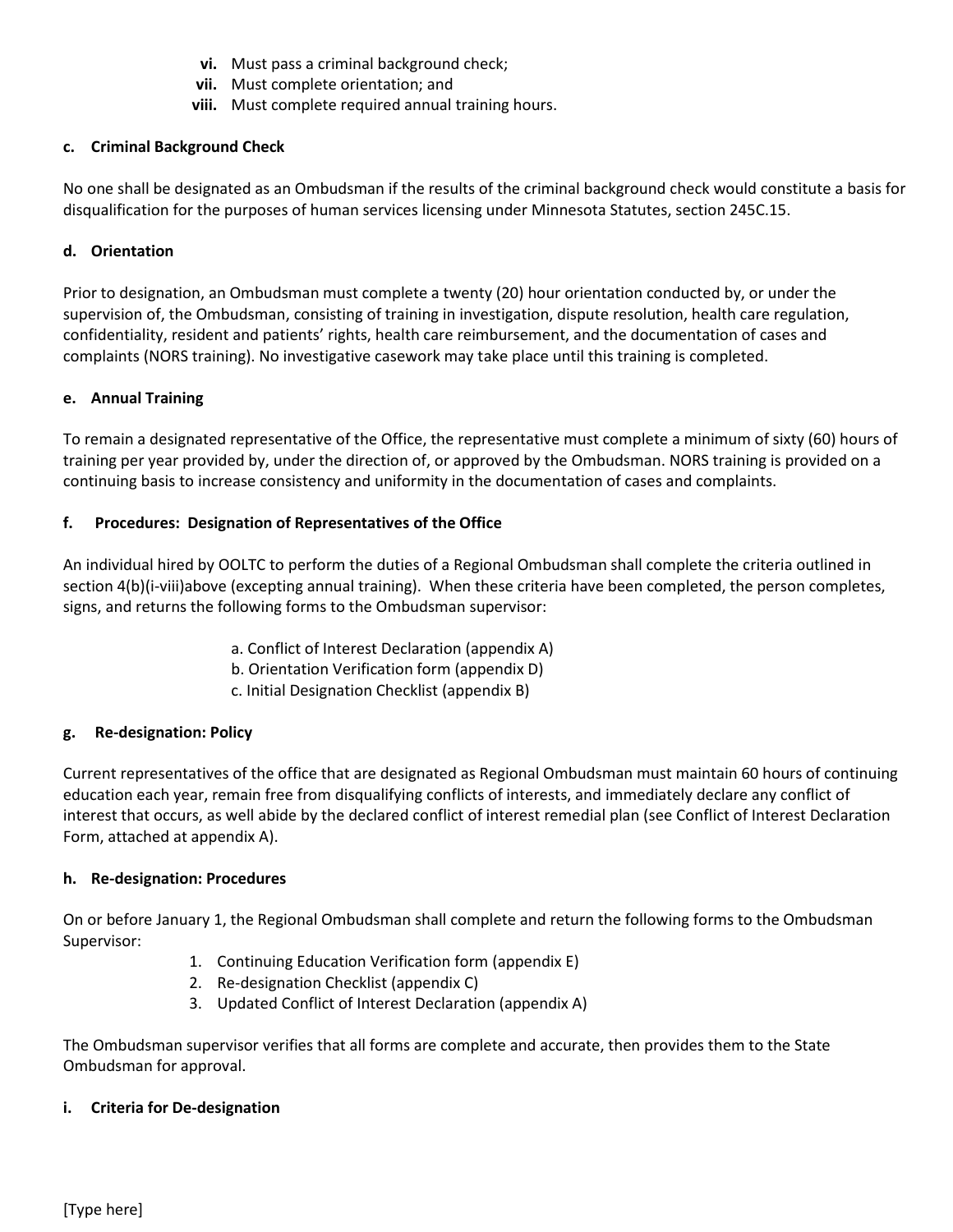- **vi.** Must pass a criminal background check;
- **vii.** Must complete orientation; and
- **viii.** Must complete required annual training hours.

## **c. Criminal Background Check**

No one shall be designated as an Ombudsman if the results of the criminal background check would constitute a basis for disqualification for the purposes of human services licensing under Minnesota Statutes, section 245C.15.

# **d. Orientation**

Prior to designation, an Ombudsman must complete a twenty (20) hour orientation conducted by, or under the supervision of, the Ombudsman, consisting of training in investigation, dispute resolution, health care regulation, confidentiality, resident and patients' rights, health care reimbursement, and the documentation of cases and complaints (NORS training). No investigative casework may take place until this training is completed.

## **e. Annual Training**

To remain a designated representative of the Office, the representative must complete a minimum of sixty (60) hours of training per year provided by, under the direction of, or approved by the Ombudsman. NORS training is provided on a continuing basis to increase consistency and uniformity in the documentation of cases and complaints.

# **f. Procedures: Designation of Representatives of the Office**

An individual hired by OOLTC to perform the duties of a Regional Ombudsman shall complete the criteria outlined in section 4(b)(i-viii)above (excepting annual training). When these criteria have been completed, the person completes, signs, and returns the following forms to the Ombudsman supervisor:

- a. Conflict of Interest Declaration (appendix A)
- b. Orientation Verification form (appendix D)
- c. Initial Designation Checklist (appendix B)

# **g. Re-designation: Policy**

Current representatives of the office that are designated as Regional Ombudsman must maintain 60 hours of continuing education each year, remain free from disqualifying conflicts of interests, and immediately declare any conflict of interest that occurs, as well abide by the declared conflict of interest remedial plan (see Conflict of Interest Declaration Form, attached at appendix A).

## **h. Re-designation: Procedures**

On or before January 1, the Regional Ombudsman shall complete and return the following forms to the Ombudsman Supervisor:

- 1. Continuing Education Verification form (appendix E)
- 2. Re-designation Checklist (appendix C)
- 3. Updated Conflict of Interest Declaration (appendix A)

The Ombudsman supervisor verifies that all forms are complete and accurate, then provides them to the State Ombudsman for approval.

## **i. Criteria for De-designation**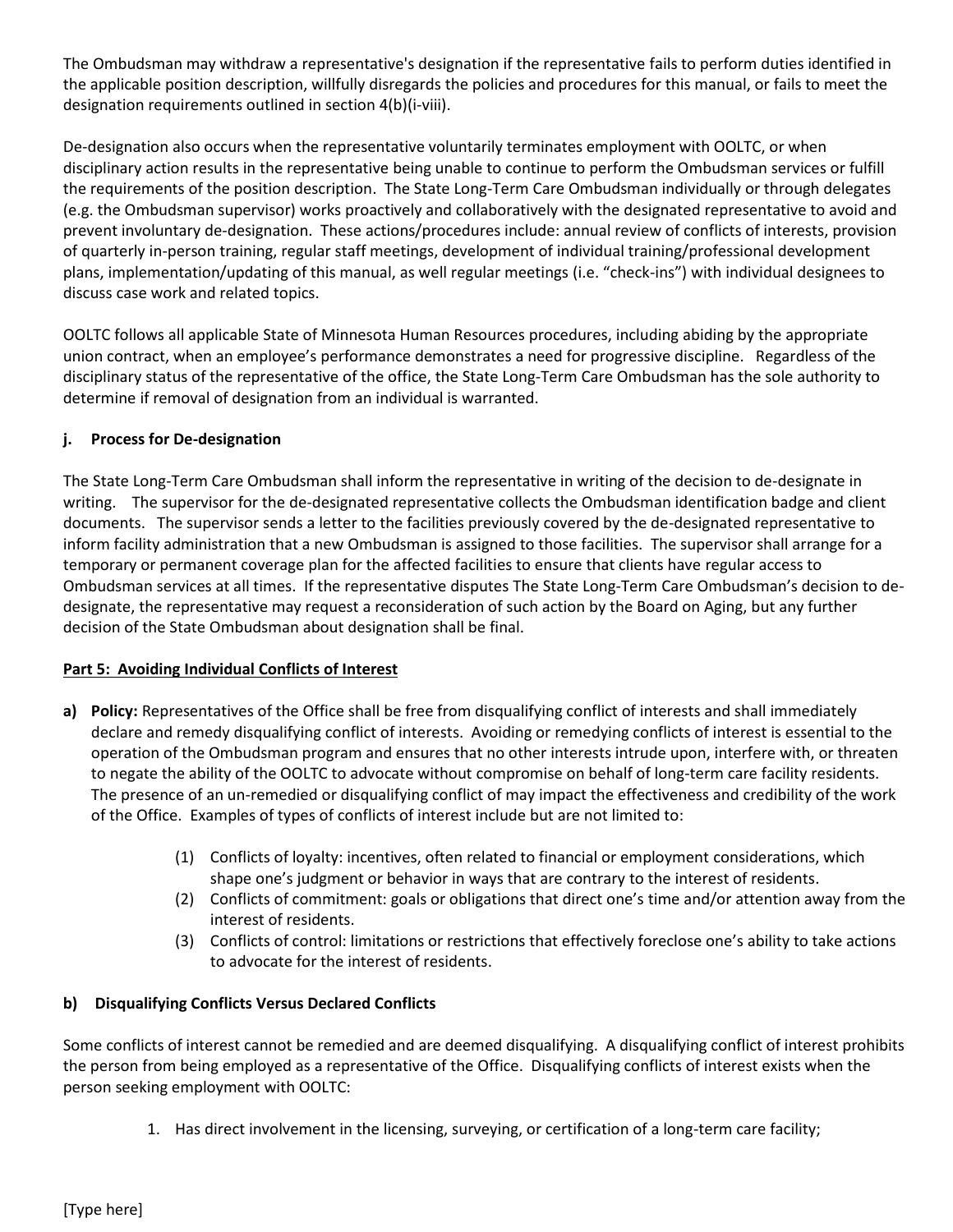The Ombudsman may withdraw a representative's designation if the representative fails to perform duties identified in the applicable position description, willfully disregards the policies and procedures for this manual, or fails to meet the designation requirements outlined in section 4(b)(i-viii).

De-designation also occurs when the representative voluntarily terminates employment with OOLTC, or when disciplinary action results in the representative being unable to continue to perform the Ombudsman services or fulfill the requirements of the position description. The State Long-Term Care Ombudsman individually or through delegates (e.g. the Ombudsman supervisor) works proactively and collaboratively with the designated representative to avoid and prevent involuntary de-designation. These actions/procedures include: annual review of conflicts of interests, provision of quarterly in-person training, regular staff meetings, development of individual training/professional development plans, implementation/updating of this manual, as well regular meetings (i.e. "check-ins") with individual designees to discuss case work and related topics.

OOLTC follows all applicable State of Minnesota Human Resources procedures, including abiding by the appropriate union contract, when an employee's performance demonstrates a need for progressive discipline. Regardless of the disciplinary status of the representative of the office, the State Long-Term Care Ombudsman has the sole authority to determine if removal of designation from an individual is warranted.

## **j. Process for De-designation**

The State Long-Term Care Ombudsman shall inform the representative in writing of the decision to de-designate in writing. The supervisor for the de-designated representative collects the Ombudsman identification badge and client documents. The supervisor sends a letter to the facilities previously covered by the de-designated representative to inform facility administration that a new Ombudsman is assigned to those facilities. The supervisor shall arrange for a temporary or permanent coverage plan for the affected facilities to ensure that clients have regular access to Ombudsman services at all times. If the representative disputes The State Long-Term Care Ombudsman's decision to dedesignate, the representative may request a reconsideration of such action by the Board on Aging, but any further decision of the State Ombudsman about designation shall be final.

## **Part 5: Avoiding Individual Conflicts of Interest**

- **a) Policy:** Representatives of the Office shall be free from disqualifying conflict of interests and shall immediately declare and remedy disqualifying conflict of interests. Avoiding or remedying conflicts of interest is essential to the operation of the Ombudsman program and ensures that no other interests intrude upon, interfere with, or threaten to negate the ability of the OOLTC to advocate without compromise on behalf of long-term care facility residents. The presence of an un-remedied or disqualifying conflict of may impact the effectiveness and credibility of the work of the Office. Examples of types of conflicts of interest include but are not limited to:
	- (1) Conflicts of loyalty: incentives, often related to financial or employment considerations, which shape one's judgment or behavior in ways that are contrary to the interest of residents.
	- (2) Conflicts of commitment: goals or obligations that direct one's time and/or attention away from the interest of residents.
	- (3) Conflicts of control: limitations or restrictions that effectively foreclose one's ability to take actions to advocate for the interest of residents.

# **b) Disqualifying Conflicts Versus Declared Conflicts**

Some conflicts of interest cannot be remedied and are deemed disqualifying. A disqualifying conflict of interest prohibits the person from being employed as a representative of the Office. Disqualifying conflicts of interest exists when the person seeking employment with OOLTC:

1. Has direct involvement in the licensing, surveying, or certification of a long-term care facility;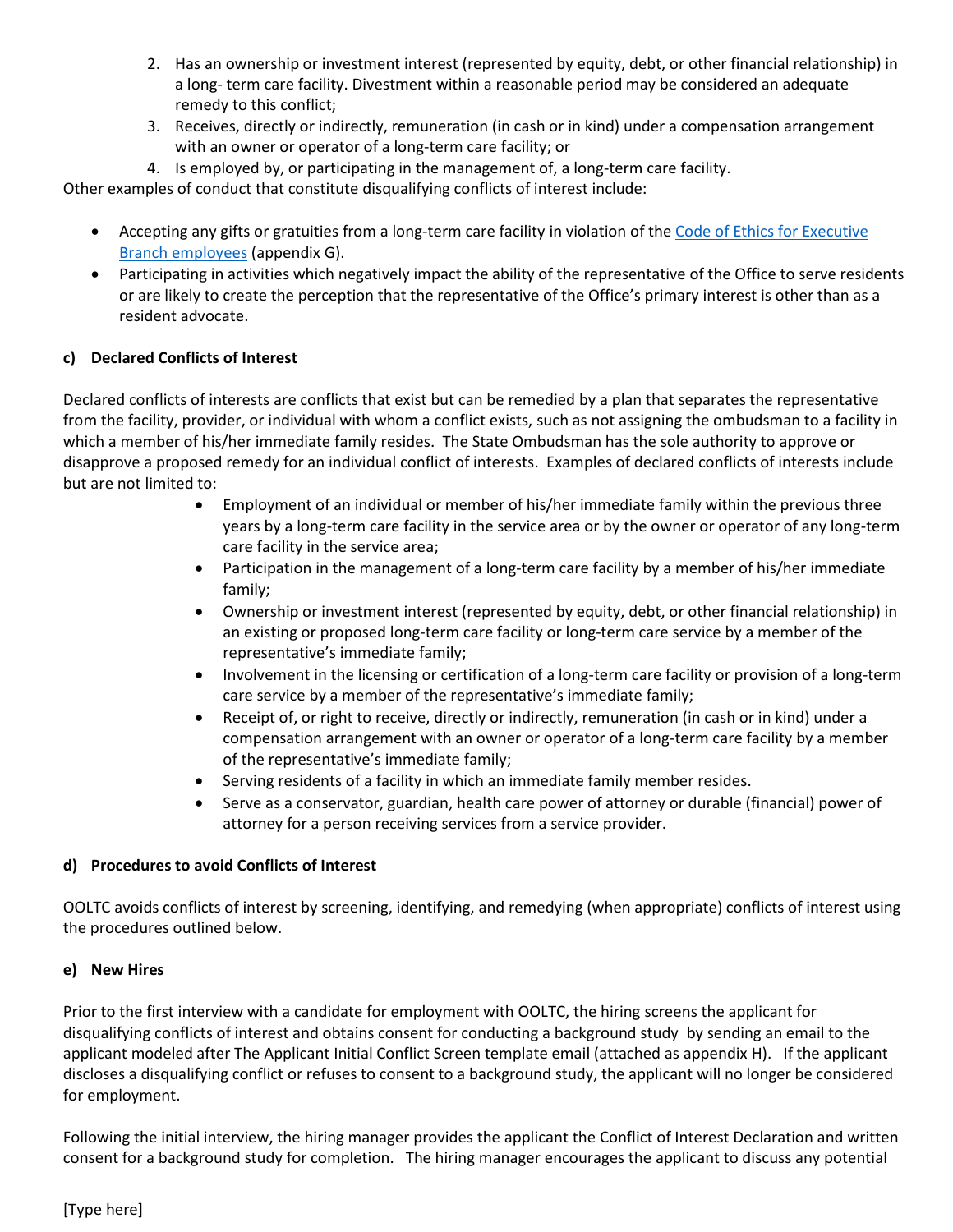- 2. Has an ownership or investment interest (represented by equity, debt, or other financial relationship) in a long- term care facility. Divestment within a reasonable period may be considered an adequate remedy to this conflict;
- 3. Receives, directly or indirectly, remuneration (in cash or in kind) under a compensation arrangement with an owner or operator of a long-term care facility; or
- 4. Is employed by, or participating in the management of, a long-term care facility.

Other examples of conduct that constitute disqualifying conflicts of interest include:

- Accepting any gifts or gratuities from a long-term care facility in violation of the [Code of Ethics for Executive](https://www.revisor.mn.gov/statutes/?id=43A.38)  [Branch employees](https://www.revisor.mn.gov/statutes/?id=43A.38) (appendix G).
- Participating in activities which negatively impact the ability of the representative of the Office to serve residents or are likely to create the perception that the representative of the Office's primary interest is other than as a resident advocate.

## **c) Declared Conflicts of Interest**

Declared conflicts of interests are conflicts that exist but can be remedied by a plan that separates the representative from the facility, provider, or individual with whom a conflict exists, such as not assigning the ombudsman to a facility in which a member of his/her immediate family resides. The State Ombudsman has the sole authority to approve or disapprove a proposed remedy for an individual conflict of interests. Examples of declared conflicts of interests include but are not limited to:

- Employment of an individual or member of his/her immediate family within the previous three years by a long-term care facility in the service area or by the owner or operator of any long-term care facility in the service area;
- Participation in the management of a long-term care facility by a member of his/her immediate family;
- Ownership or investment interest (represented by equity, debt, or other financial relationship) in an existing or proposed long-term care facility or long-term care service by a member of the representative's immediate family;
- Involvement in the licensing or certification of a long-term care facility or provision of a long-term care service by a member of the representative's immediate family;
- Receipt of, or right to receive, directly or indirectly, remuneration (in cash or in kind) under a compensation arrangement with an owner or operator of a long-term care facility by a member of the representative's immediate family;
- Serving residents of a facility in which an immediate family member resides.
- Serve as a conservator, guardian, health care power of attorney or durable (financial) power of attorney for a person receiving services from a service provider.

## **d) Procedures to avoid Conflicts of Interest**

OOLTC avoids conflicts of interest by screening, identifying, and remedying (when appropriate) conflicts of interest using the procedures outlined below.

#### **e) New Hires**

Prior to the first interview with a candidate for employment with OOLTC, the hiring screens the applicant for disqualifying conflicts of interest and obtains consent for conducting a background study by sending an email to the applicant modeled after The Applicant Initial Conflict Screen template email (attached as appendix H). If the applicant discloses a disqualifying conflict or refuses to consent to a background study, the applicant will no longer be considered for employment.

Following the initial interview, the hiring manager provides the applicant the Conflict of Interest Declaration and written consent for a background study for completion. The hiring manager encourages the applicant to discuss any potential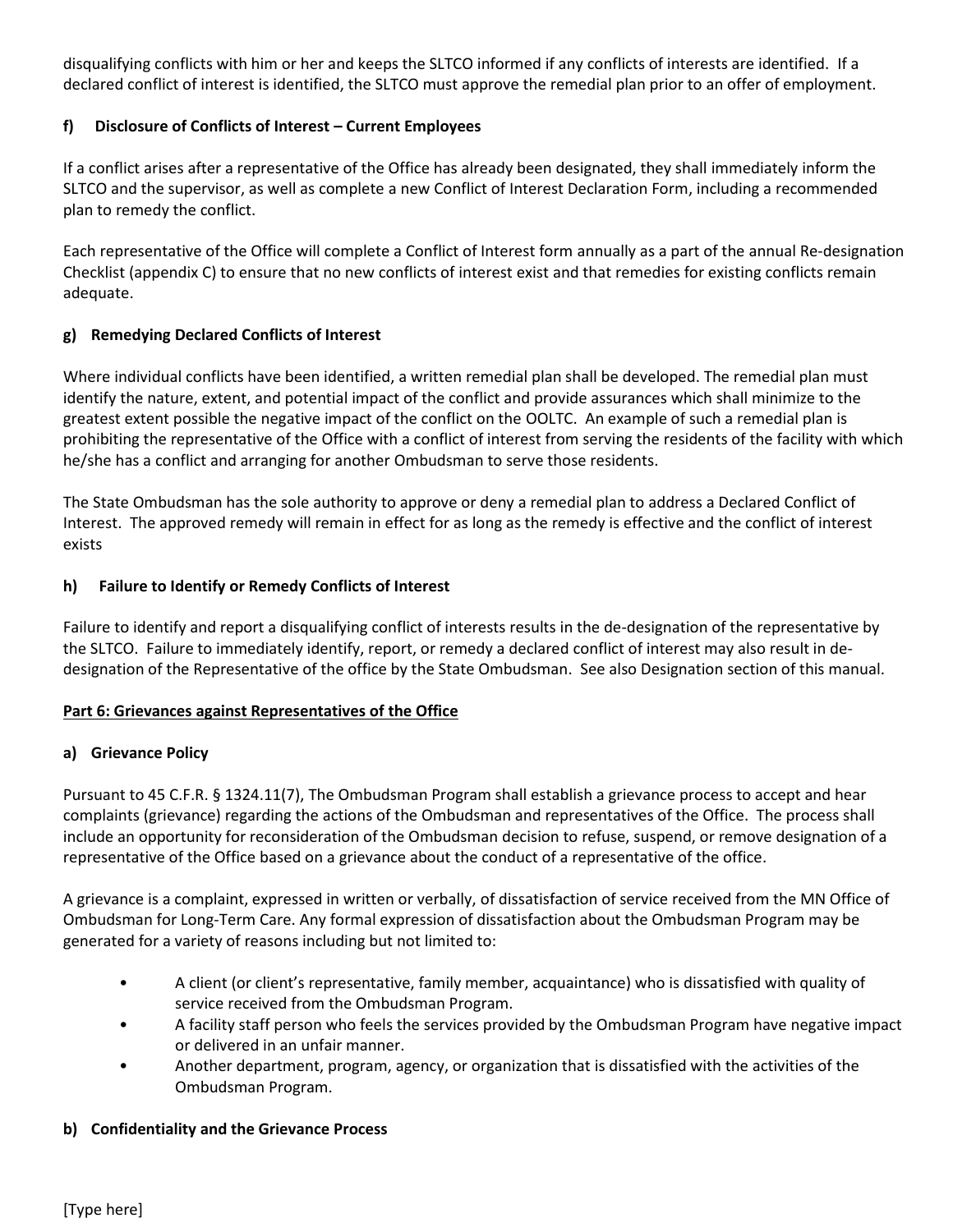disqualifying conflicts with him or her and keeps the SLTCO informed if any conflicts of interests are identified. If a declared conflict of interest is identified, the SLTCO must approve the remedial plan prior to an offer of employment.

# **f) Disclosure of Conflicts of Interest – Current Employees**

If a conflict arises after a representative of the Office has already been designated, they shall immediately inform the SLTCO and the supervisor, as well as complete a new Conflict of Interest Declaration Form, including a recommended plan to remedy the conflict.

Each representative of the Office will complete a Conflict of Interest form annually as a part of the annual Re-designation Checklist (appendix C) to ensure that no new conflicts of interest exist and that remedies for existing conflicts remain adequate.

# **g) Remedying Declared Conflicts of Interest**

Where individual conflicts have been identified, a written remedial plan shall be developed. The remedial plan must identify the nature, extent, and potential impact of the conflict and provide assurances which shall minimize to the greatest extent possible the negative impact of the conflict on the OOLTC. An example of such a remedial plan is prohibiting the representative of the Office with a conflict of interest from serving the residents of the facility with which he/she has a conflict and arranging for another Ombudsman to serve those residents.

The State Ombudsman has the sole authority to approve or deny a remedial plan to address a Declared Conflict of Interest. The approved remedy will remain in effect for as long as the remedy is effective and the conflict of interest exists

## **h) Failure to Identify or Remedy Conflicts of Interest**

Failure to identify and report a disqualifying conflict of interests results in the de-designation of the representative by the SLTCO. Failure to immediately identify, report, or remedy a declared conflict of interest may also result in dedesignation of the Representative of the office by the State Ombudsman. See also Designation section of this manual.

## **Part 6: Grievances against Representatives of the Office**

## **a) Grievance Policy**

Pursuant to 45 C.F.R. § 1324.11(7), The Ombudsman Program shall establish a grievance process to accept and hear complaints (grievance) regarding the actions of the Ombudsman and representatives of the Office. The process shall include an opportunity for reconsideration of the Ombudsman decision to refuse, suspend, or remove designation of a representative of the Office based on a grievance about the conduct of a representative of the office.

A grievance is a complaint, expressed in written or verbally, of dissatisfaction of service received from the MN Office of Ombudsman for Long-Term Care. Any formal expression of dissatisfaction about the Ombudsman Program may be generated for a variety of reasons including but not limited to:

- A client (or client's representative, family member, acquaintance) who is dissatisfied with quality of service received from the Ombudsman Program.
- A facility staff person who feels the services provided by the Ombudsman Program have negative impact or delivered in an unfair manner.
- Another department, program, agency, or organization that is dissatisfied with the activities of the Ombudsman Program.

## **b) Confidentiality and the Grievance Process**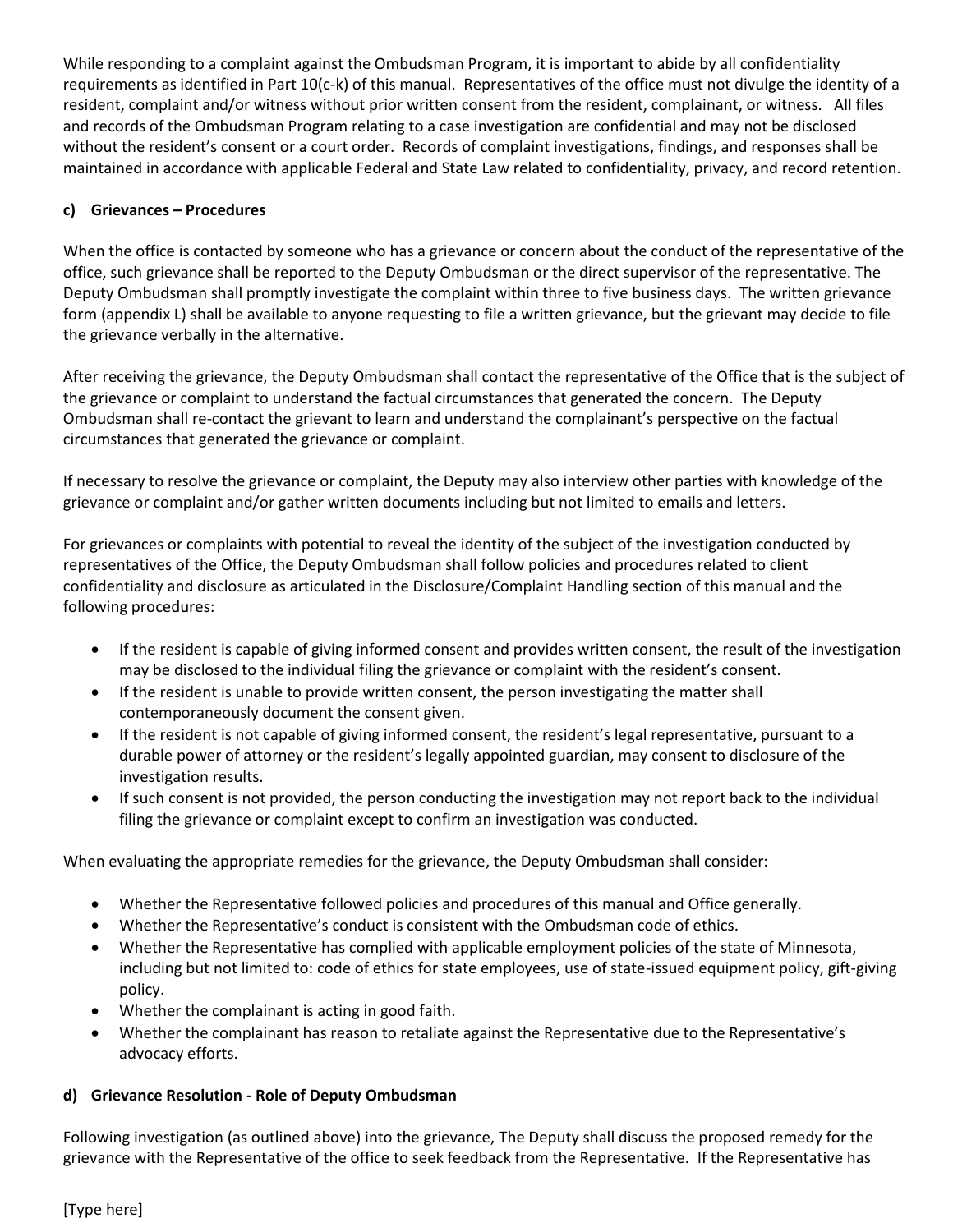While responding to a complaint against the Ombudsman Program, it is important to abide by all confidentiality requirements as identified in Part 10(c-k) of this manual. Representatives of the office must not divulge the identity of a resident, complaint and/or witness without prior written consent from the resident, complainant, or witness. All files and records of the Ombudsman Program relating to a case investigation are confidential and may not be disclosed without the resident's consent or a court order. Records of complaint investigations, findings, and responses shall be maintained in accordance with applicable Federal and State Law related to confidentiality, privacy, and record retention.

## **c) Grievances – Procedures**

When the office is contacted by someone who has a grievance or concern about the conduct of the representative of the office, such grievance shall be reported to the Deputy Ombudsman or the direct supervisor of the representative. The Deputy Ombudsman shall promptly investigate the complaint within three to five business days. The written grievance form (appendix L) shall be available to anyone requesting to file a written grievance, but the grievant may decide to file the grievance verbally in the alternative.

After receiving the grievance, the Deputy Ombudsman shall contact the representative of the Office that is the subject of the grievance or complaint to understand the factual circumstances that generated the concern. The Deputy Ombudsman shall re-contact the grievant to learn and understand the complainant's perspective on the factual circumstances that generated the grievance or complaint.

If necessary to resolve the grievance or complaint, the Deputy may also interview other parties with knowledge of the grievance or complaint and/or gather written documents including but not limited to emails and letters.

For grievances or complaints with potential to reveal the identity of the subject of the investigation conducted by representatives of the Office, the Deputy Ombudsman shall follow policies and procedures related to client confidentiality and disclosure as articulated in the Disclosure/Complaint Handling section of this manual and the following procedures:

- If the resident is capable of giving informed consent and provides written consent, the result of the investigation may be disclosed to the individual filing the grievance or complaint with the resident's consent.
- If the resident is unable to provide written consent, the person investigating the matter shall contemporaneously document the consent given.
- If the resident is not capable of giving informed consent, the resident's legal representative, pursuant to a durable power of attorney or the resident's legally appointed guardian, may consent to disclosure of the investigation results.
- If such consent is not provided, the person conducting the investigation may not report back to the individual filing the grievance or complaint except to confirm an investigation was conducted.

When evaluating the appropriate remedies for the grievance, the Deputy Ombudsman shall consider:

- Whether the Representative followed policies and procedures of this manual and Office generally.
- Whether the Representative's conduct is consistent with the Ombudsman code of ethics.
- Whether the Representative has complied with applicable employment policies of the state of Minnesota, including but not limited to: code of ethics for state employees, use of state-issued equipment policy, gift-giving policy.
- Whether the complainant is acting in good faith.
- Whether the complainant has reason to retaliate against the Representative due to the Representative's advocacy efforts.

## **d) Grievance Resolution - Role of Deputy Ombudsman**

Following investigation (as outlined above) into the grievance, The Deputy shall discuss the proposed remedy for the grievance with the Representative of the office to seek feedback from the Representative. If the Representative has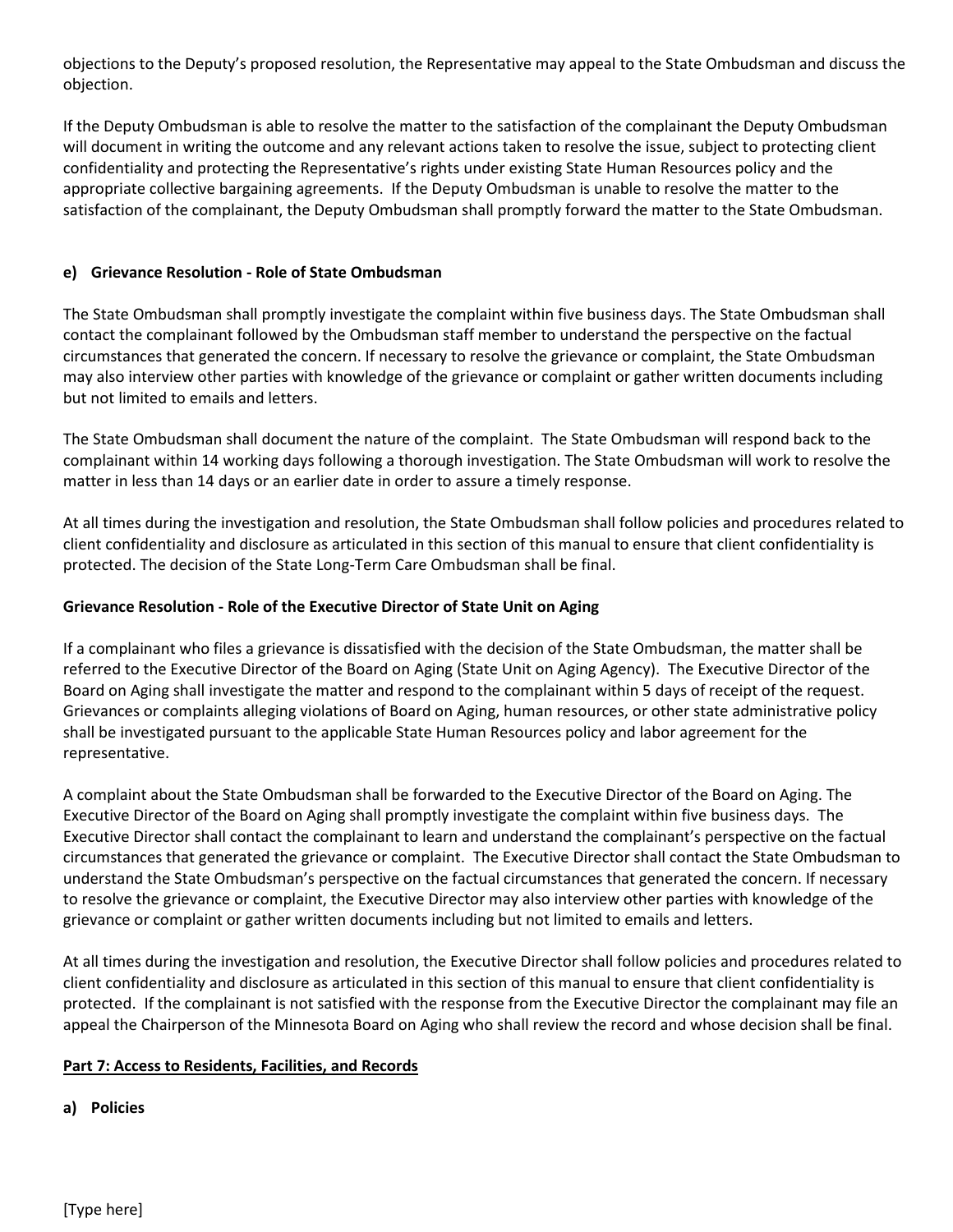objections to the Deputy's proposed resolution, the Representative may appeal to the State Ombudsman and discuss the objection.

If the Deputy Ombudsman is able to resolve the matter to the satisfaction of the complainant the Deputy Ombudsman will document in writing the outcome and any relevant actions taken to resolve the issue, subject to protecting client confidentiality and protecting the Representative's rights under existing State Human Resources policy and the appropriate collective bargaining agreements. If the Deputy Ombudsman is unable to resolve the matter to the satisfaction of the complainant, the Deputy Ombudsman shall promptly forward the matter to the State Ombudsman.

#### **e) Grievance Resolution - Role of State Ombudsman**

The State Ombudsman shall promptly investigate the complaint within five business days. The State Ombudsman shall contact the complainant followed by the Ombudsman staff member to understand the perspective on the factual circumstances that generated the concern. If necessary to resolve the grievance or complaint, the State Ombudsman may also interview other parties with knowledge of the grievance or complaint or gather written documents including but not limited to emails and letters.

The State Ombudsman shall document the nature of the complaint. The State Ombudsman will respond back to the complainant within 14 working days following a thorough investigation. The State Ombudsman will work to resolve the matter in less than 14 days or an earlier date in order to assure a timely response.

At all times during the investigation and resolution, the State Ombudsman shall follow policies and procedures related to client confidentiality and disclosure as articulated in this section of this manual to ensure that client confidentiality is protected. The decision of the State Long-Term Care Ombudsman shall be final.

#### **Grievance Resolution - Role of the Executive Director of State Unit on Aging**

If a complainant who files a grievance is dissatisfied with the decision of the State Ombudsman, the matter shall be referred to the Executive Director of the Board on Aging (State Unit on Aging Agency). The Executive Director of the Board on Aging shall investigate the matter and respond to the complainant within 5 days of receipt of the request. Grievances or complaints alleging violations of Board on Aging, human resources, or other state administrative policy shall be investigated pursuant to the applicable State Human Resources policy and labor agreement for the representative.

A complaint about the State Ombudsman shall be forwarded to the Executive Director of the Board on Aging. The Executive Director of the Board on Aging shall promptly investigate the complaint within five business days. The Executive Director shall contact the complainant to learn and understand the complainant's perspective on the factual circumstances that generated the grievance or complaint. The Executive Director shall contact the State Ombudsman to understand the State Ombudsman's perspective on the factual circumstances that generated the concern. If necessary to resolve the grievance or complaint, the Executive Director may also interview other parties with knowledge of the grievance or complaint or gather written documents including but not limited to emails and letters.

At all times during the investigation and resolution, the Executive Director shall follow policies and procedures related to client confidentiality and disclosure as articulated in this section of this manual to ensure that client confidentiality is protected. If the complainant is not satisfied with the response from the Executive Director the complainant may file an appeal the Chairperson of the Minnesota Board on Aging who shall review the record and whose decision shall be final.

#### **Part 7: Access to Residents, Facilities, and Records**

#### **a) Policies**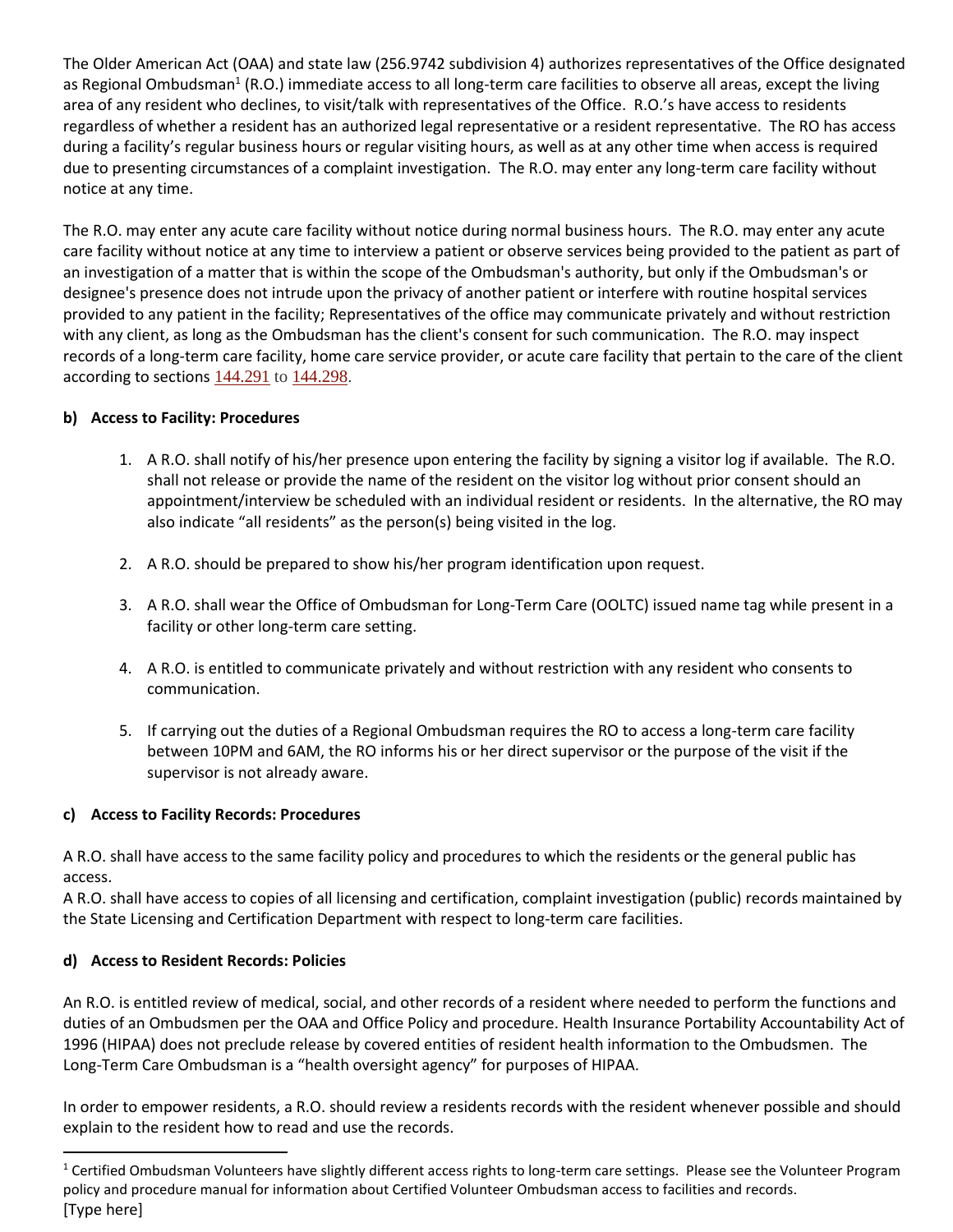The Older American Act (OAA) and state law (256.9742 subdivision 4) authorizes representatives of the Office designated as Regional Ombudsman<sup>1</sup> (R.O.) immediate access to all long-term care facilities to observe all areas, except the living area of any resident who declines, to visit/talk with representatives of the Office. R.O.'s have access to residents regardless of whether a resident has an authorized legal representative or a resident representative. The RO has access during a facility's regular business hours or regular visiting hours, as well as at any other time when access is required due to presenting circumstances of a complaint investigation. The R.O. may enter any long-term care facility without notice at any time.

The R.O. may enter any acute care facility without notice during normal business hours. The R.O. may enter any acute care facility without notice at any time to interview a patient or observe services being provided to the patient as part of an investigation of a matter that is within the scope of the Ombudsman's authority, but only if the Ombudsman's or designee's presence does not intrude upon the privacy of another patient or interfere with routine hospital services provided to any patient in the facility; Representatives of the office may communicate privately and without restriction with any client, as long as the Ombudsman has the client's consent for such communication. The R.O. may inspect records of a long-term care facility, home care service provider, or acute care facility that pertain to the care of the client according to sections  $144.291$  to  $144.298$ .

## **b) Access to Facility: Procedures**

- 1. A R.O. shall notify of his/her presence upon entering the facility by signing a visitor log if available. The R.O. shall not release or provide the name of the resident on the visitor log without prior consent should an appointment/interview be scheduled with an individual resident or residents. In the alternative, the RO may also indicate "all residents" as the person(s) being visited in the log.
- 2. A R.O. should be prepared to show his/her program identification upon request.
- 3. A R.O. shall wear the Office of Ombudsman for Long-Term Care (OOLTC) issued name tag while present in a facility or other long-term care setting.
- 4. A R.O. is entitled to communicate privately and without restriction with any resident who consents to communication.
- 5. If carrying out the duties of a Regional Ombudsman requires the RO to access a long-term care facility between 10PM and 6AM, the RO informs his or her direct supervisor or the purpose of the visit if the supervisor is not already aware.

#### **c) Access to Facility Records: Procedures**

A R.O. shall have access to the same facility policy and procedures to which the residents or the general public has access.

A R.O. shall have access to copies of all licensing and certification, complaint investigation (public) records maintained by the State Licensing and Certification Department with respect to long-term care facilities.

## **d) Access to Resident Records: Policies**

An R.O. is entitled review of medical, social, and other records of a resident where needed to perform the functions and duties of an Ombudsmen per the OAA and Office Policy and procedure. Health Insurance Portability Accountability Act of 1996 (HIPAA) does not preclude release by covered entities of resident health information to the Ombudsmen. The Long-Term Care Ombudsman is a "health oversight agency" for purposes of HIPAA.

In order to empower residents, a R.O. should review a residents records with the resident whenever possible and should explain to the resident how to read and use the records.

<sup>[</sup>Type here]  $1$  Certified Ombudsman Volunteers have slightly different access rights to long-term care settings. Please see the Volunteer Program policy and procedure manual for information about Certified Volunteer Ombudsman access to facilities and records.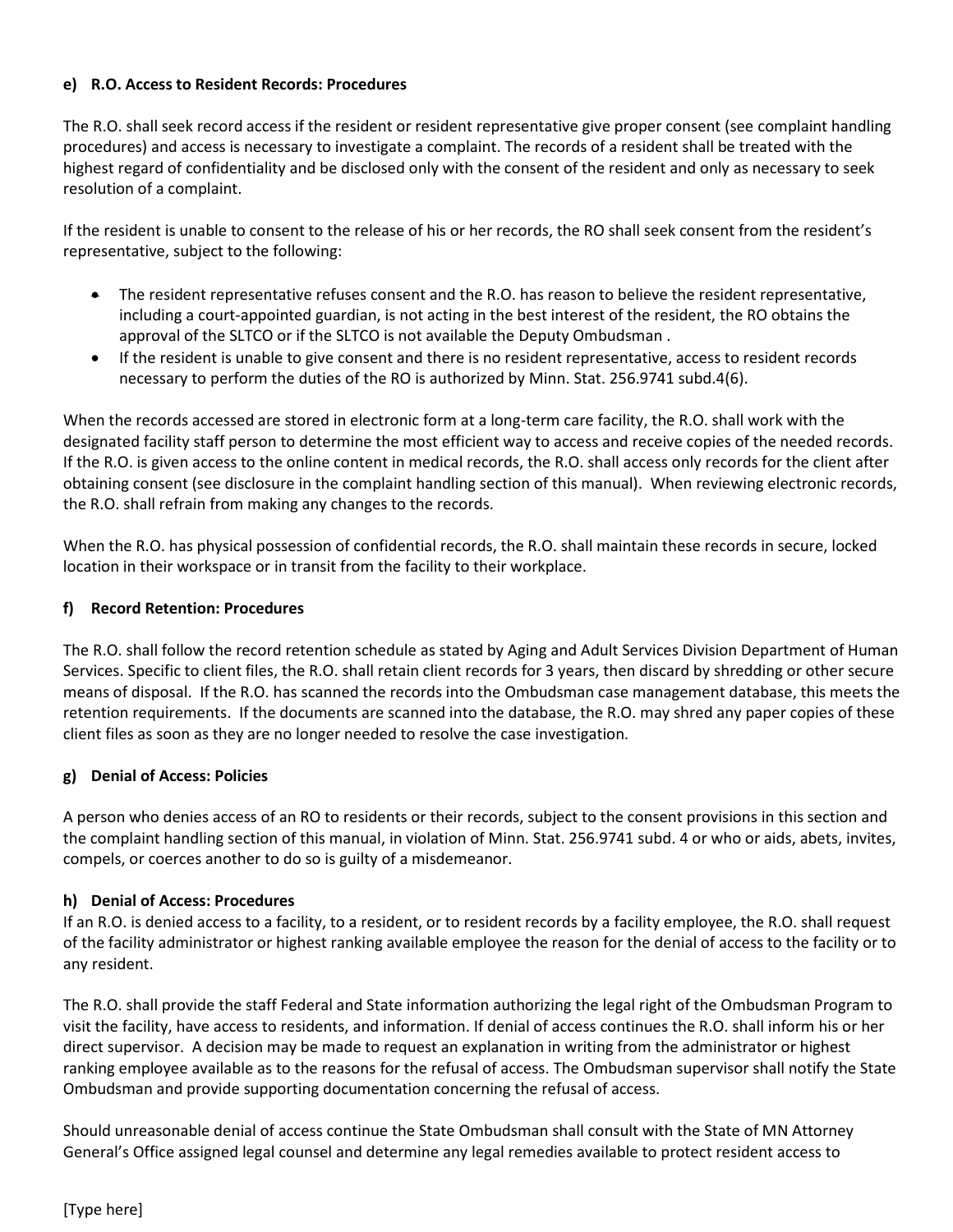#### **e) R.O. Access to Resident Records: Procedures**

The R.O. shall seek record access if the resident or resident representative give proper consent (see complaint handling procedures) and access is necessary to investigate a complaint. The records of a resident shall be treated with the highest regard of confidentiality and be disclosed only with the consent of the resident and only as necessary to seek resolution of a complaint.

If the resident is unable to consent to the release of his or her records, the RO shall seek consent from the resident's representative, subject to the following:

- The resident representative refuses consent and the R.O. has reason to believe the resident representative, including a court-appointed guardian, is not acting in the best interest of the resident, the RO obtains the approval of the SLTCO or if the SLTCO is not available the Deputy Ombudsman .
- If the resident is unable to give consent and there is no resident representative, access to resident records necessary to perform the duties of the RO is authorized by Minn. Stat. 256.9741 subd.4(6).

When the records accessed are stored in electronic form at a long-term care facility, the R.O. shall work with the designated facility staff person to determine the most efficient way to access and receive copies of the needed records. If the R.O. is given access to the online content in medical records, the R.O. shall access only records for the client after obtaining consent (see disclosure in the complaint handling section of this manual). When reviewing electronic records, the R.O. shall refrain from making any changes to the records.

When the R.O. has physical possession of confidential records, the R.O. shall maintain these records in secure, locked location in their workspace or in transit from the facility to their workplace.

## **f) Record Retention: Procedures**

The R.O. shall follow the record retention schedule as stated by Aging and Adult Services Division Department of Human Services. Specific to client files, the R.O. shall retain client records for 3 years, then discard by shredding or other secure means of disposal. If the R.O. has scanned the records into the Ombudsman case management database, this meets the retention requirements. If the documents are scanned into the database, the R.O. may shred any paper copies of these client files as soon as they are no longer needed to resolve the case investigation.

## **g) Denial of Access: Policies**

A person who denies access of an RO to residents or their records, subject to the consent provisions in this section and the complaint handling section of this manual, in violation of Minn. Stat. 256.9741 subd. 4 or who or aids, abets, invites, compels, or coerces another to do so is guilty of a misdemeanor.

#### **h) Denial of Access: Procedures**

If an R.O. is denied access to a facility, to a resident, or to resident records by a facility employee, the R.O. shall request of the facility administrator or highest ranking available employee the reason for the denial of access to the facility or to any resident.

The R.O. shall provide the staff Federal and State information authorizing the legal right of the Ombudsman Program to visit the facility, have access to residents, and information. If denial of access continues the R.O. shall inform his or her direct supervisor. A decision may be made to request an explanation in writing from the administrator or highest ranking employee available as to the reasons for the refusal of access. The Ombudsman supervisor shall notify the State Ombudsman and provide supporting documentation concerning the refusal of access.

Should unreasonable denial of access continue the State Ombudsman shall consult with the State of MN Attorney General's Office assigned legal counsel and determine any legal remedies available to protect resident access to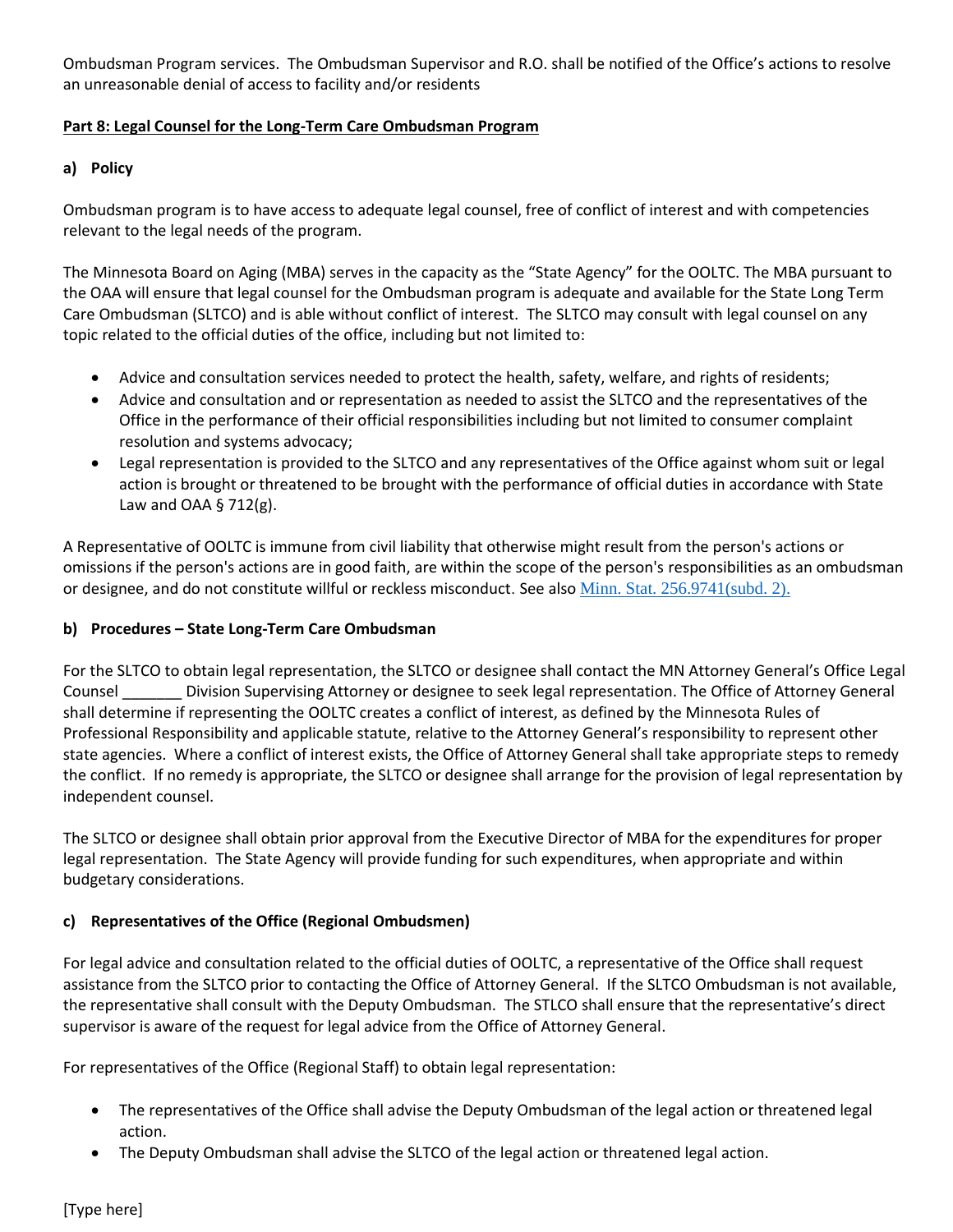Ombudsman Program services. The Ombudsman Supervisor and R.O. shall be notified of the Office's actions to resolve an unreasonable denial of access to facility and/or residents

## **Part 8: Legal Counsel for the Long-Term Care Ombudsman Program**

#### **a) Policy**

Ombudsman program is to have access to adequate legal counsel, free of conflict of interest and with competencies relevant to the legal needs of the program.

The Minnesota Board on Aging (MBA) serves in the capacity as the "State Agency" for the OOLTC. The MBA pursuant to the OAA will ensure that legal counsel for the Ombudsman program is adequate and available for the State Long Term Care Ombudsman (SLTCO) and is able without conflict of interest. The SLTCO may consult with legal counsel on any topic related to the official duties of the office, including but not limited to:

- Advice and consultation services needed to protect the health, safety, welfare, and rights of residents;
- Advice and consultation and or representation as needed to assist the SLTCO and the representatives of the Office in the performance of their official responsibilities including but not limited to consumer complaint resolution and systems advocacy;
- Legal representation is provided to the SLTCO and any representatives of the Office against whom suit or legal action is brought or threatened to be brought with the performance of official duties in accordance with State Law and OAA  $\S$  712(g).

A Representative of OOLTC is immune from civil liability that otherwise might result from the person's actions or omissions if the person's actions are in good faith, are within the scope of the person's responsibilities as an ombudsman or designee, and do not constitute willful or reckless misconduct. See also [Minn. Stat. 256.9741\(subd. 2\).](https://www.revisor.mn.gov/statutes/?id=256.9742)

#### **b) Procedures – State Long-Term Care Ombudsman**

For the SLTCO to obtain legal representation, the SLTCO or designee shall contact the MN Attorney General's Office Legal Counsel \_\_\_\_\_\_\_ Division Supervising Attorney or designee to seek legal representation. The Office of Attorney General shall determine if representing the OOLTC creates a conflict of interest, as defined by the Minnesota Rules of Professional Responsibility and applicable statute, relative to the Attorney General's responsibility to represent other state agencies. Where a conflict of interest exists, the Office of Attorney General shall take appropriate steps to remedy the conflict. If no remedy is appropriate, the SLTCO or designee shall arrange for the provision of legal representation by independent counsel.

The SLTCO or designee shall obtain prior approval from the Executive Director of MBA for the expenditures for proper legal representation.The State Agency will provide funding for such expenditures, when appropriate and within budgetary considerations.

## **c) Representatives of the Office (Regional Ombudsmen)**

For legal advice and consultation related to the official duties of OOLTC, a representative of the Office shall request assistance from the SLTCO prior to contacting the Office of Attorney General. If the SLTCO Ombudsman is not available, the representative shall consult with the Deputy Ombudsman. The STLCO shall ensure that the representative's direct supervisor is aware of the request for legal advice from the Office of Attorney General.

For representatives of the Office (Regional Staff) to obtain legal representation:

- The representatives of the Office shall advise the Deputy Ombudsman of the legal action or threatened legal action.
- The Deputy Ombudsman shall advise the SLTCO of the legal action or threatened legal action.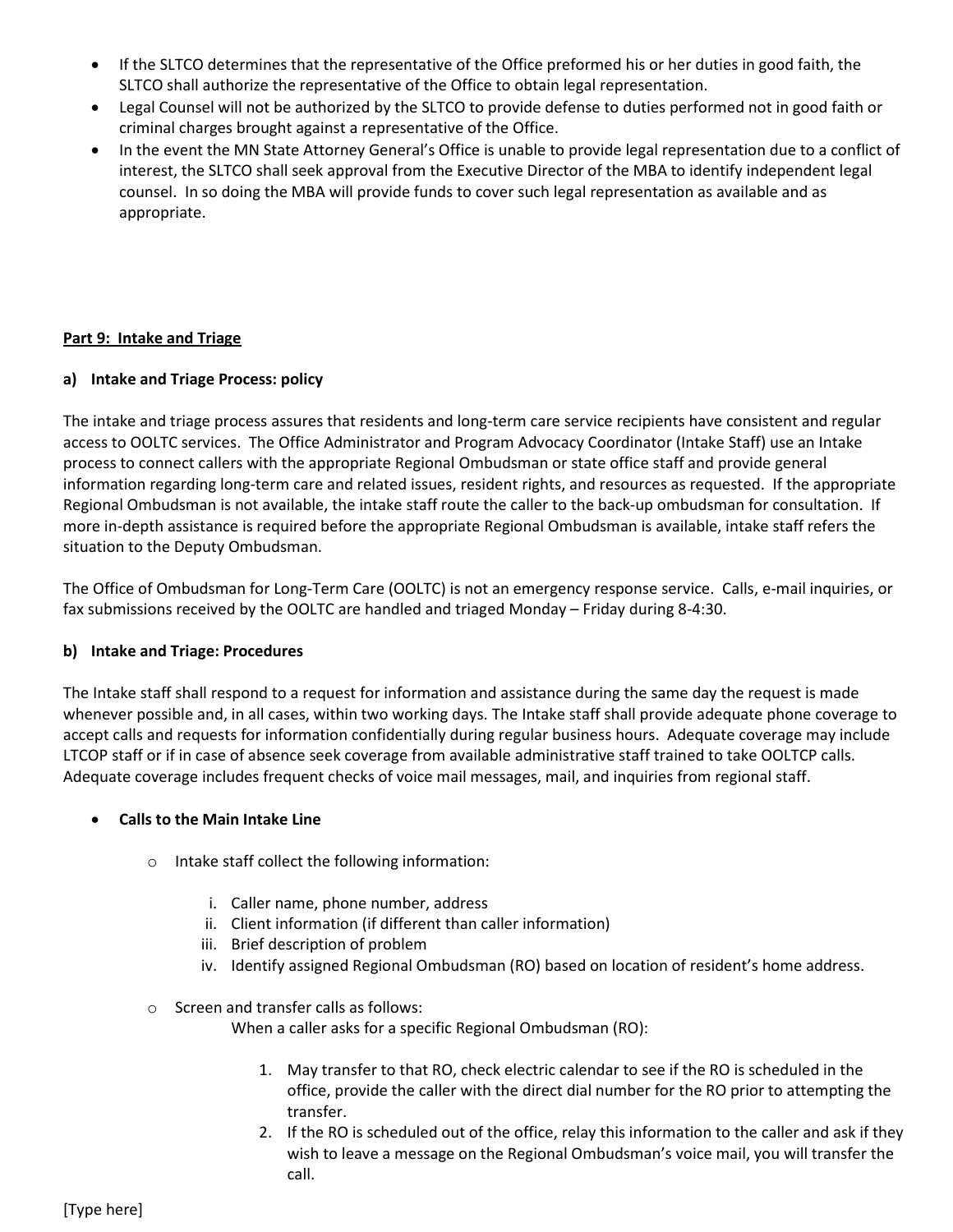- If the SLTCO determines that the representative of the Office preformed his or her duties in good faith, the SLTCO shall authorize the representative of the Office to obtain legal representation.
- Legal Counsel will not be authorized by the SLTCO to provide defense to duties performed not in good faith or criminal charges brought against a representative of the Office.
- In the event the MN State Attorney General's Office is unable to provide legal representation due to a conflict of interest, the SLTCO shall seek approval from the Executive Director of the MBA to identify independent legal counsel. In so doing the MBA will provide funds to cover such legal representation as available and as appropriate.

## **Part 9: Intake and Triage**

#### **a) Intake and Triage Process: policy**

The intake and triage process assures that residents and long-term care service recipients have consistent and regular access to OOLTC services. The Office Administrator and Program Advocacy Coordinator (Intake Staff) use an Intake process to connect callers with the appropriate Regional Ombudsman or state office staff and provide general information regarding long-term care and related issues, resident rights, and resources as requested. If the appropriate Regional Ombudsman is not available, the intake staff route the caller to the back-up ombudsman for consultation. If more in-depth assistance is required before the appropriate Regional Ombudsman is available, intake staff refers the situation to the Deputy Ombudsman.

The Office of Ombudsman for Long-Term Care (OOLTC) is not an emergency response service. Calls, e-mail inquiries, or fax submissions received by the OOLTC are handled and triaged Monday – Friday during 8-4:30.

#### **b) Intake and Triage: Procedures**

The Intake staff shall respond to a request for information and assistance during the same day the request is made whenever possible and, in all cases, within two working days. The Intake staff shall provide adequate phone coverage to accept calls and requests for information confidentially during regular business hours. Adequate coverage may include LTCOP staff or if in case of absence seek coverage from available administrative staff trained to take OOLTCP calls. Adequate coverage includes frequent checks of voice mail messages, mail, and inquiries from regional staff.

## • **Calls to the Main Intake Line**

- o Intake staff collect the following information:
	- i. Caller name, phone number, address
	- ii. Client information (if different than caller information)
	- iii. Brief description of problem
	- iv. Identify assigned Regional Ombudsman (RO) based on location of resident's home address.
- o Screen and transfer calls as follows:

When a caller asks for a specific Regional Ombudsman (RO):

- 1. May transfer to that RO, check electric calendar to see if the RO is scheduled in the office, provide the caller with the direct dial number for the RO prior to attempting the transfer.
- 2. If the RO is scheduled out of the office, relay this information to the caller and ask if they wish to leave a message on the Regional Ombudsman's voice mail, you will transfer the call.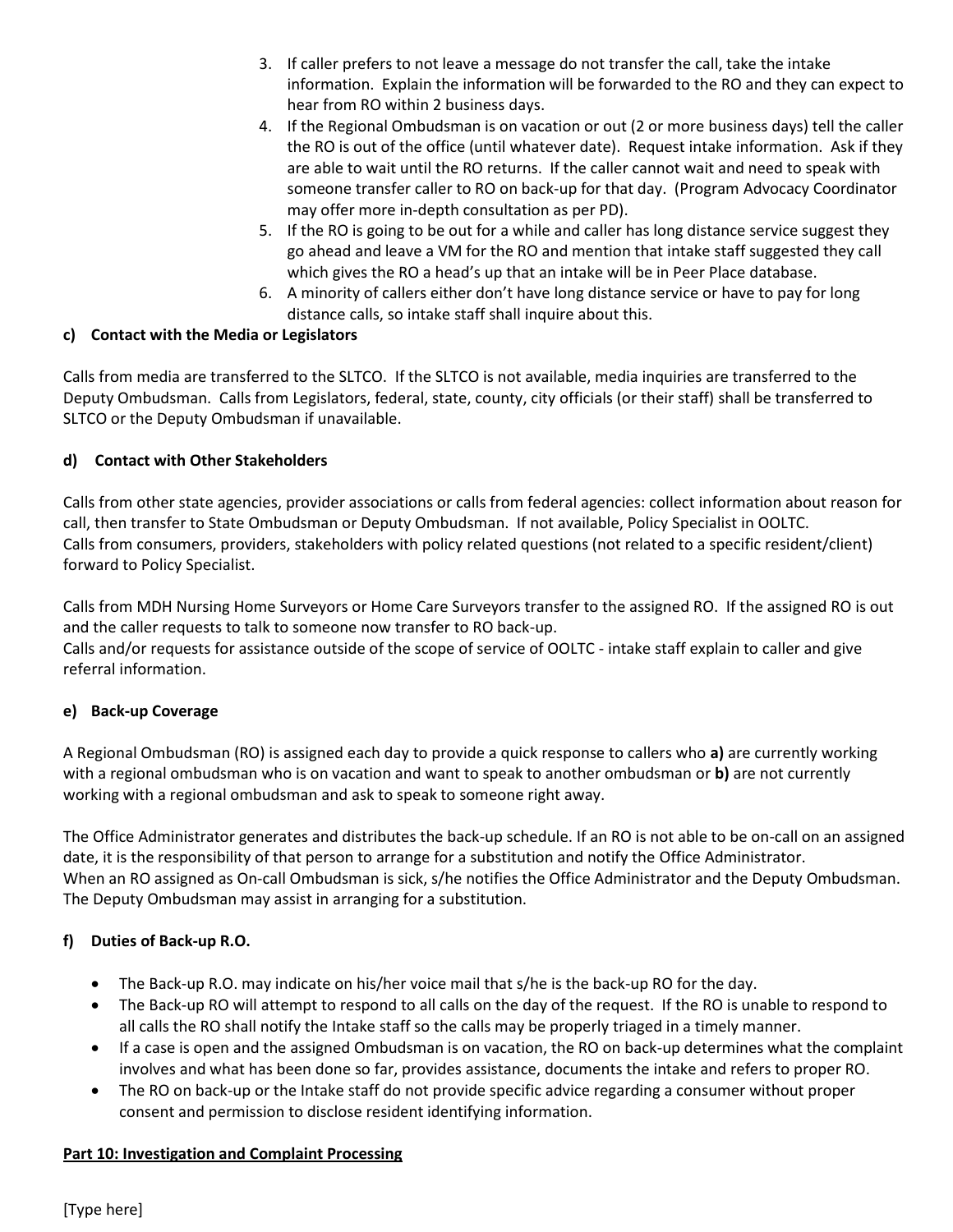- 3. If caller prefers to not leave a message do not transfer the call, take the intake information. Explain the information will be forwarded to the RO and they can expect to hear from RO within 2 business days.
- 4. If the Regional Ombudsman is on vacation or out (2 or more business days) tell the caller the RO is out of the office (until whatever date). Request intake information. Ask if they are able to wait until the RO returns. If the caller cannot wait and need to speak with someone transfer caller to RO on back-up for that day. (Program Advocacy Coordinator may offer more in-depth consultation as per PD).
- 5. If the RO is going to be out for a while and caller has long distance service suggest they go ahead and leave a VM for the RO and mention that intake staff suggested they call which gives the RO a head's up that an intake will be in Peer Place database.
- 6. A minority of callers either don't have long distance service or have to pay for long distance calls, so intake staff shall inquire about this.

# **c) Contact with the Media or Legislators**

Calls from media are transferred to the SLTCO. If the SLTCO is not available, media inquiries are transferred to the Deputy Ombudsman. Calls from Legislators, federal, state, county, city officials (or their staff) shall be transferred to SLTCO or the Deputy Ombudsman if unavailable.

# **d) Contact with Other Stakeholders**

Calls from other state agencies, provider associations or calls from federal agencies: collect information about reason for call, then transfer to State Ombudsman or Deputy Ombudsman. If not available, Policy Specialist in OOLTC. Calls from consumers, providers, stakeholders with policy related questions (not related to a specific resident/client) forward to Policy Specialist.

Calls from MDH Nursing Home Surveyors or Home Care Surveyors transfer to the assigned RO. If the assigned RO is out and the caller requests to talk to someone now transfer to RO back-up.

Calls and/or requests for assistance outside of the scope of service of OOLTC - intake staff explain to caller and give referral information.

## **e) Back-up Coverage**

A Regional Ombudsman (RO) is assigned each day to provide a quick response to callers who **a)** are currently working with a regional ombudsman who is on vacation and want to speak to another ombudsman or **b)** are not currently working with a regional ombudsman and ask to speak to someone right away.

The Office Administrator generates and distributes the back-up schedule. If an RO is not able to be on-call on an assigned date, it is the responsibility of that person to arrange for a substitution and notify the Office Administrator. When an RO assigned as On-call Ombudsman is sick, s/he notifies the Office Administrator and the Deputy Ombudsman. The Deputy Ombudsman may assist in arranging for a substitution.

# **f) Duties of Back-up R.O.**

- The Back-up R.O. may indicate on his/her voice mail that s/he is the back-up RO for the day.
- The Back-up RO will attempt to respond to all calls on the day of the request. If the RO is unable to respond to all calls the RO shall notify the Intake staff so the calls may be properly triaged in a timely manner.
- If a case is open and the assigned Ombudsman is on vacation, the RO on back-up determines what the complaint involves and what has been done so far, provides assistance, documents the intake and refers to proper RO.
- The RO on back-up or the Intake staff do not provide specific advice regarding a consumer without proper consent and permission to disclose resident identifying information.

## **Part 10: Investigation and Complaint Processing**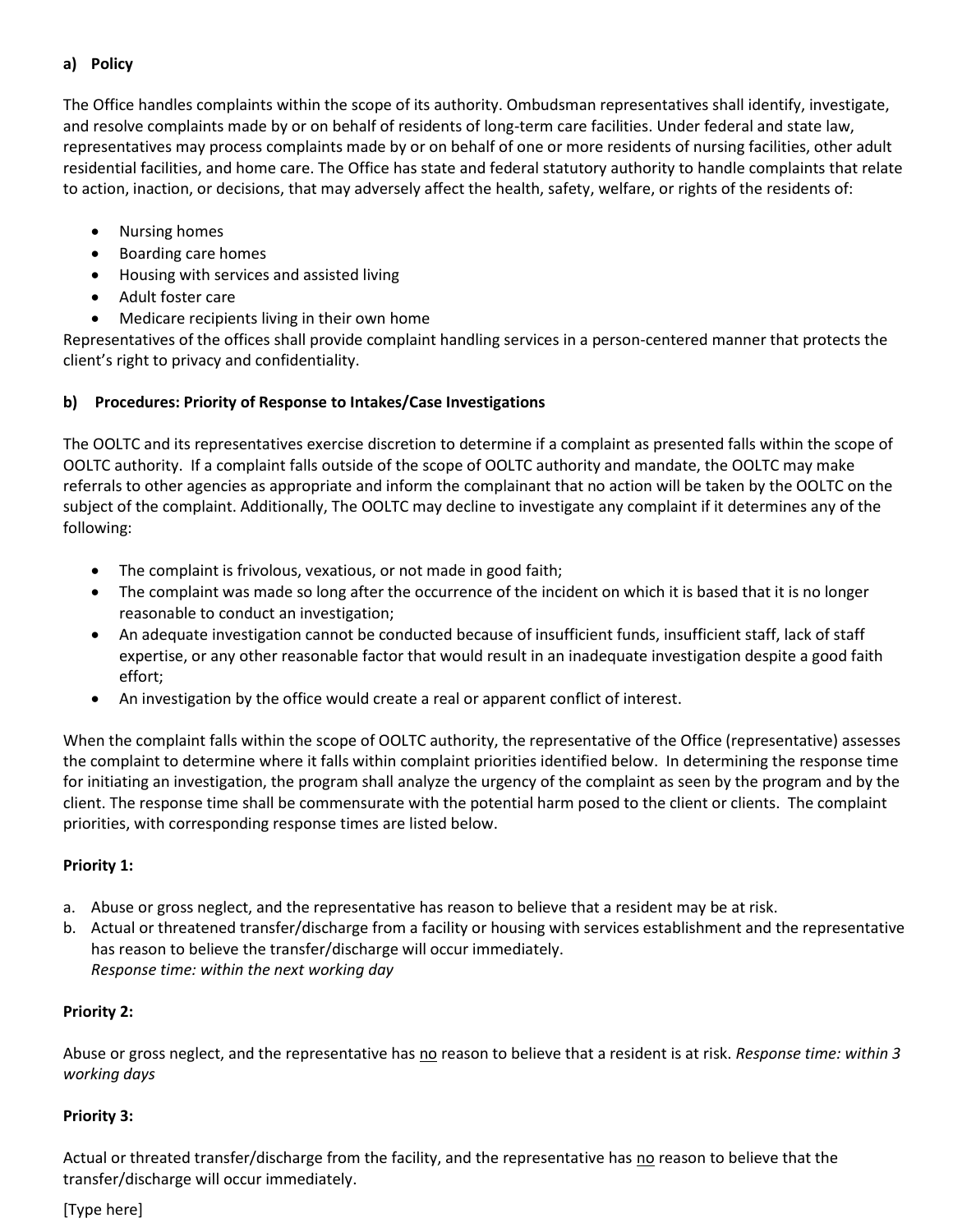#### **a) Policy**

The Office handles complaints within the scope of its authority. Ombudsman representatives shall identify, investigate, and resolve complaints made by or on behalf of residents of long-term care facilities. Under federal and state law, representatives may process complaints made by or on behalf of one or more residents of nursing facilities, other adult residential facilities, and home care. The Office has state and federal statutory authority to handle complaints that relate to action, inaction, or decisions, that may adversely affect the health, safety, welfare, or rights of the residents of:

- Nursing homes
- Boarding care homes
- Housing with services and assisted living
- Adult foster care
- Medicare recipients living in their own home

Representatives of the offices shall provide complaint handling services in a person-centered manner that protects the client's right to privacy and confidentiality.

## **b) Procedures: Priority of Response to Intakes/Case Investigations**

The OOLTC and its representatives exercise discretion to determine if a complaint as presented falls within the scope of OOLTC authority. If a complaint falls outside of the scope of OOLTC authority and mandate, the OOLTC may make referrals to other agencies as appropriate and inform the complainant that no action will be taken by the OOLTC on the subject of the complaint. Additionally, The OOLTC may decline to investigate any complaint if it determines any of the following:

- The complaint is frivolous, vexatious, or not made in good faith;
- The complaint was made so long after the occurrence of the incident on which it is based that it is no longer reasonable to conduct an investigation;
- An adequate investigation cannot be conducted because of insufficient funds, insufficient staff, lack of staff expertise, or any other reasonable factor that would result in an inadequate investigation despite a good faith effort;
- An investigation by the office would create a real or apparent conflict of interest.

When the complaint falls within the scope of OOLTC authority, the representative of the Office (representative) assesses the complaint to determine where it falls within complaint priorities identified below. In determining the response time for initiating an investigation, the program shall analyze the urgency of the complaint as seen by the program and by the client. The response time shall be commensurate with the potential harm posed to the client or clients. The complaint priorities, with corresponding response times are listed below.

## **Priority 1:**

- a. Abuse or gross neglect, and the representative has reason to believe that a resident may be at risk.
- b. Actual or threatened transfer/discharge from a facility or housing with services establishment and the representative has reason to believe the transfer/discharge will occur immediately. *Response time: within the next working day*

## **Priority 2:**

Abuse or gross neglect, and the representative has no reason to believe that a resident is at risk. *Response time: within 3 working days*

## **Priority 3:**

Actual or threated transfer/discharge from the facility, and the representative has no reason to believe that the transfer/discharge will occur immediately.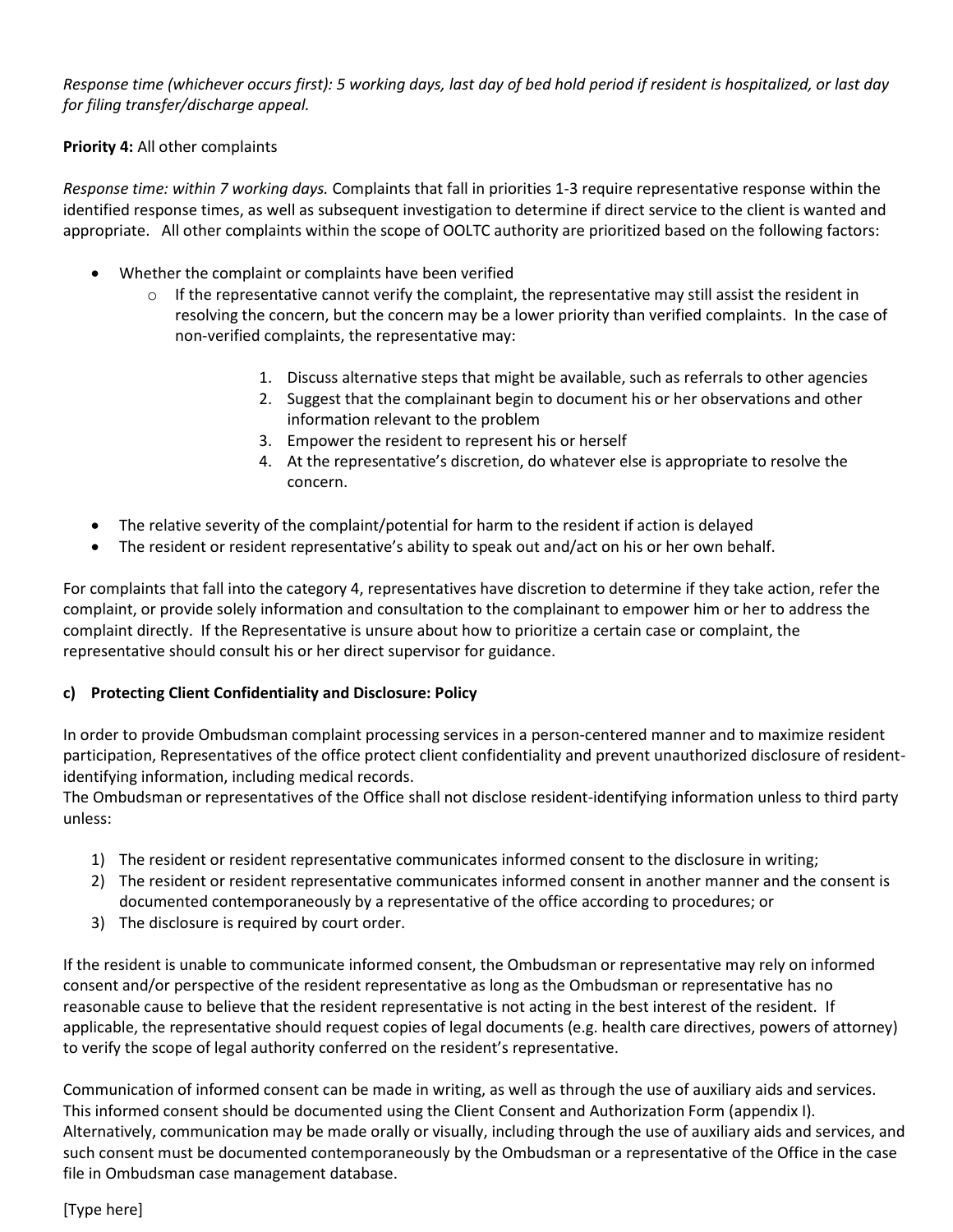*Response time (whichever occurs first): 5 working days, last day of bed hold period if resident is hospitalized, or last day for filing transfer/discharge appeal.*

#### **Priority 4:** All other complaints

*Response time: within 7 working days.* Complaints that fall in priorities 1-3 require representative response within the identified response times, as well as subsequent investigation to determine if direct service to the client is wanted and appropriate. All other complaints within the scope of OOLTC authority are prioritized based on the following factors:

- Whether the complaint or complaints have been verified
	- $\circ$  If the representative cannot verify the complaint, the representative may still assist the resident in resolving the concern, but the concern may be a lower priority than verified complaints. In the case of non-verified complaints, the representative may:
		- 1. Discuss alternative steps that might be available, such as referrals to other agencies
		- 2. Suggest that the complainant begin to document his or her observations and other information relevant to the problem
		- 3. Empower the resident to represent his or herself
		- 4. At the representative's discretion, do whatever else is appropriate to resolve the concern.
- The relative severity of the complaint/potential for harm to the resident if action is delayed
- The resident or resident representative's ability to speak out and/act on his or her own behalf.

For complaints that fall into the category 4, representatives have discretion to determine if they take action, refer the complaint, or provide solely information and consultation to the complainant to empower him or her to address the complaint directly. If the Representative is unsure about how to prioritize a certain case or complaint, the representative should consult his or her direct supervisor for guidance.

## **c) Protecting Client Confidentiality and Disclosure: Policy**

In order to provide Ombudsman complaint processing services in a person-centered manner and to maximize resident participation, Representatives of the office protect client confidentiality and prevent unauthorized disclosure of residentidentifying information, including medical records.

The Ombudsman or representatives of the Office shall not disclose resident-identifying information unless to third party unless:

- 1) The resident or resident representative communicates informed consent to the disclosure in writing;
- 2) The resident or resident representative communicates informed consent in another manner and the consent is documented contemporaneously by a representative of the office according to procedures; or
- 3) The disclosure is required by court order.

If the resident is unable to communicate informed consent, the Ombudsman or representative may rely on informed consent and/or perspective of the resident representative as long as the Ombudsman or representative has no reasonable cause to believe that the resident representative is not acting in the best interest of the resident. If applicable, the representative should request copies of legal documents (e.g. health care directives, powers of attorney) to verify the scope of legal authority conferred on the resident's representative.

Communication of informed consent can be made in writing, as well as through the use of auxiliary aids and services. This informed consent should be documented using the Client Consent and Authorization Form (appendix I). Alternatively, communication may be made orally or visually, including through the use of auxiliary aids and services, and such consent must be documented contemporaneously by the Ombudsman or a representative of the Office in the case file in Ombudsman case management database.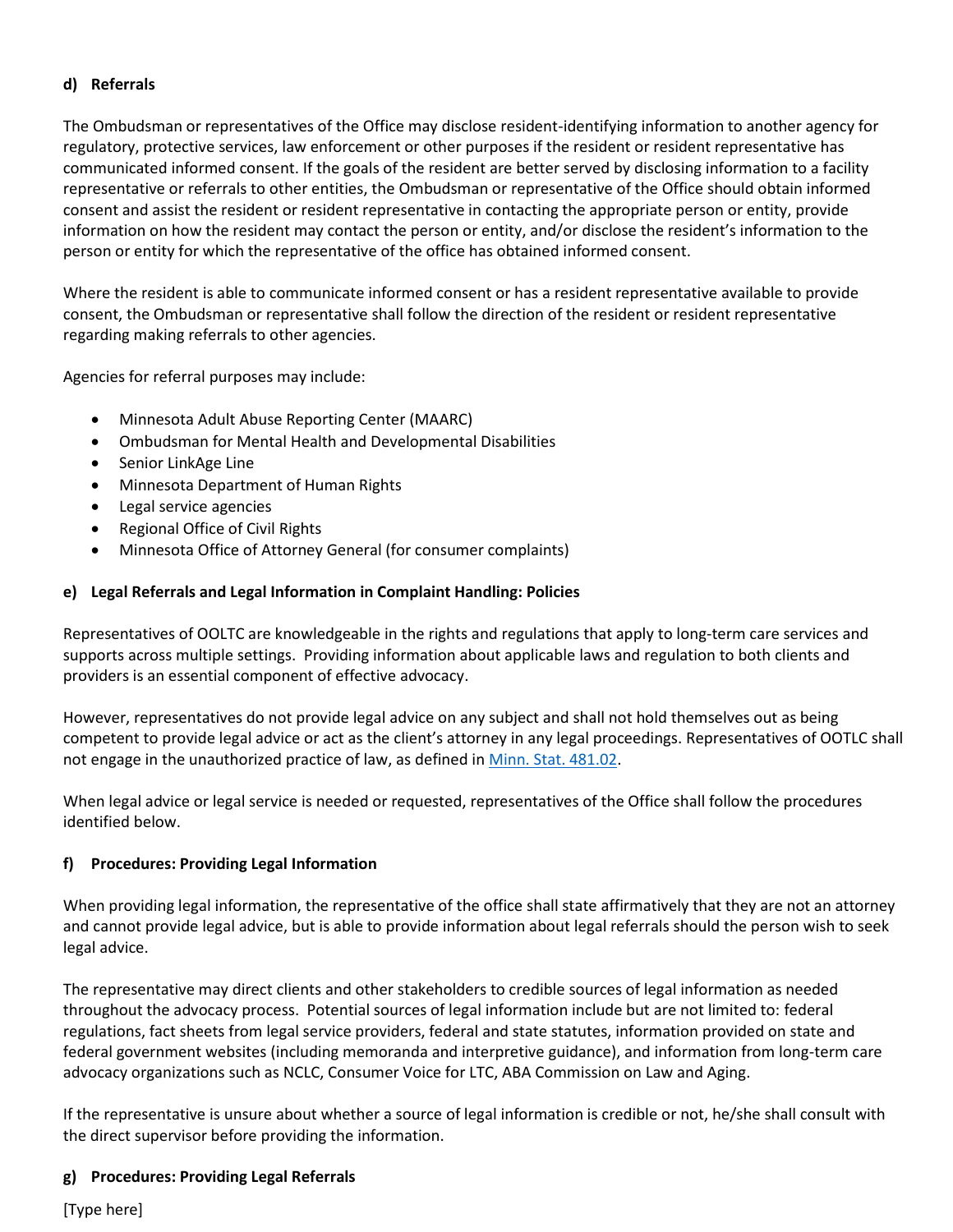#### **d) Referrals**

The Ombudsman or representatives of the Office may disclose resident-identifying information to another agency for regulatory, protective services, law enforcement or other purposes if the resident or resident representative has communicated informed consent. If the goals of the resident are better served by disclosing information to a facility representative or referrals to other entities, the Ombudsman or representative of the Office should obtain informed consent and assist the resident or resident representative in contacting the appropriate person or entity, provide information on how the resident may contact the person or entity, and/or disclose the resident's information to the person or entity for which the representative of the office has obtained informed consent.

Where the resident is able to communicate informed consent or has a resident representative available to provide consent, the Ombudsman or representative shall follow the direction of the resident or resident representative regarding making referrals to other agencies.

Agencies for referral purposes may include:

- Minnesota Adult Abuse Reporting Center (MAARC)
- Ombudsman for Mental Health and Developmental Disabilities
- Senior LinkAge Line
- Minnesota Department of Human Rights
- Legal service agencies
- Regional Office of Civil Rights
- Minnesota Office of Attorney General (for consumer complaints)

#### **e) Legal Referrals and Legal Information in Complaint Handling: Policies**

Representatives of OOLTC are knowledgeable in the rights and regulations that apply to long-term care services and supports across multiple settings. Providing information about applicable laws and regulation to both clients and providers is an essential component of effective advocacy.

However, representatives do not provide legal advice on any subject and shall not hold themselves out as being competent to provide legal advice or act as the client's attorney in any legal proceedings. Representatives of OOTLC shall not engage in the unauthorized practice of law, as defined in [Minn. Stat. 481.02.](https://www.revisor.mn.gov/statutes/?id=481.02)

When legal advice or legal service is needed or requested, representatives of the Office shall follow the procedures identified below.

## **f) Procedures: Providing Legal Information**

When providing legal information, the representative of the office shall state affirmatively that they are not an attorney and cannot provide legal advice, but is able to provide information about legal referrals should the person wish to seek legal advice.

The representative may direct clients and other stakeholders to credible sources of legal information as needed throughout the advocacy process. Potential sources of legal information include but are not limited to: federal regulations, fact sheets from legal service providers, federal and state statutes, information provided on state and federal government websites (including memoranda and interpretive guidance), and information from long-term care advocacy organizations such as NCLC, Consumer Voice for LTC, ABA Commission on Law and Aging.

If the representative is unsure about whether a source of legal information is credible or not, he/she shall consult with the direct supervisor before providing the information.

#### **g) Procedures: Providing Legal Referrals**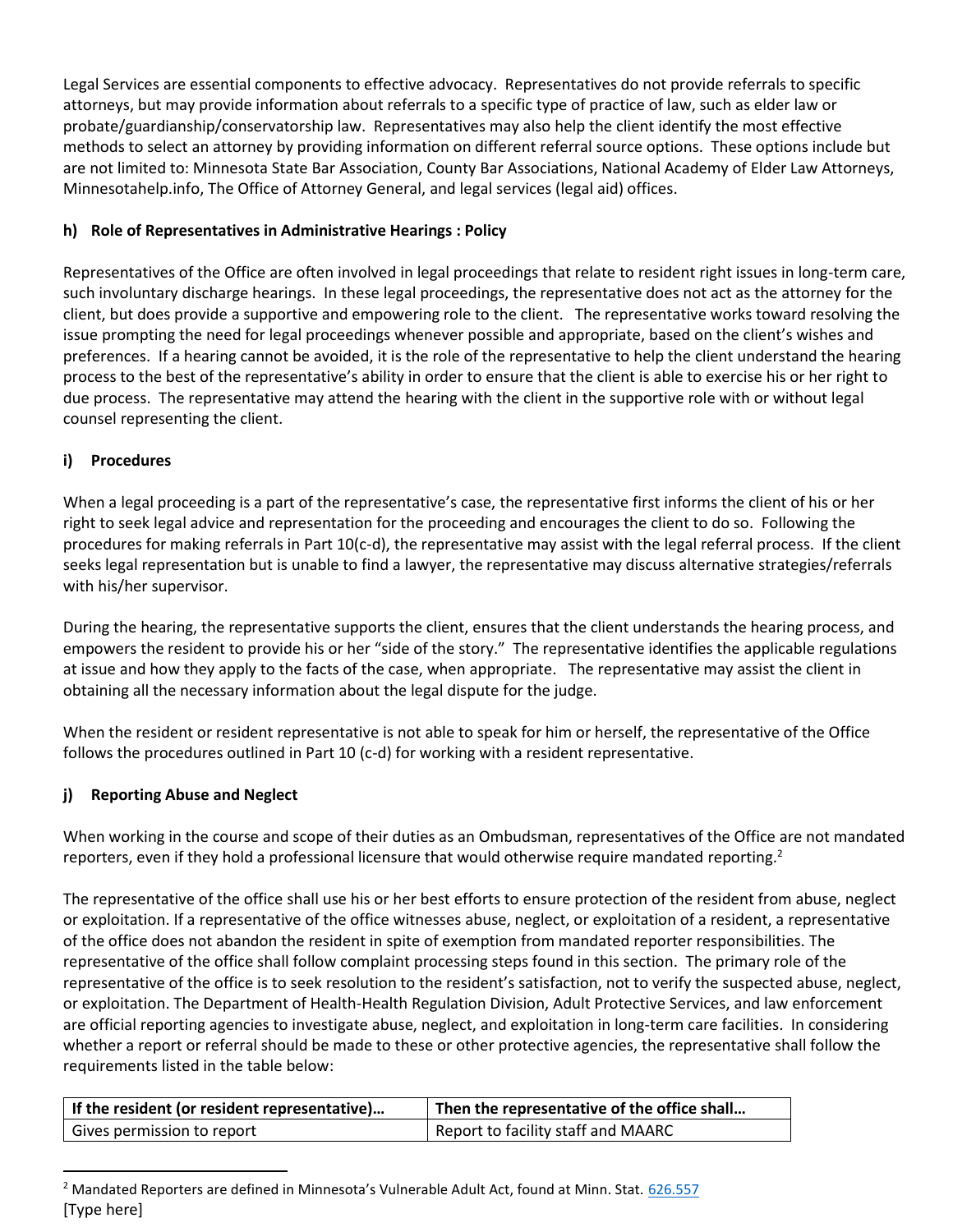Legal Services are essential components to effective advocacy. Representatives do not provide referrals to specific attorneys, but may provide information about referrals to a specific type of practice of law, such as elder law or probate/guardianship/conservatorship law. Representatives may also help the client identify the most effective methods to select an attorney by providing information on different referral source options. These options include but are not limited to: Minnesota State Bar Association, County Bar Associations, National Academy of Elder Law Attorneys, Minnesotahelp.info, The Office of Attorney General, and legal services (legal aid) offices.

# **h) Role of Representatives in Administrative Hearings : Policy**

Representatives of the Office are often involved in legal proceedings that relate to resident right issues in long-term care, such involuntary discharge hearings. In these legal proceedings, the representative does not act as the attorney for the client, but does provide a supportive and empowering role to the client. The representative works toward resolving the issue prompting the need for legal proceedings whenever possible and appropriate, based on the client's wishes and preferences. If a hearing cannot be avoided, it is the role of the representative to help the client understand the hearing process to the best of the representative's ability in order to ensure that the client is able to exercise his or her right to due process. The representative may attend the hearing with the client in the supportive role with or without legal counsel representing the client.

# **i) Procedures**

When a legal proceeding is a part of the representative's case, the representative first informs the client of his or her right to seek legal advice and representation for the proceeding and encourages the client to do so. Following the procedures for making referrals in Part 10(c-d), the representative may assist with the legal referral process. If the client seeks legal representation but is unable to find a lawyer, the representative may discuss alternative strategies/referrals with his/her supervisor.

During the hearing, the representative supports the client, ensures that the client understands the hearing process, and empowers the resident to provide his or her "side of the story." The representative identifies the applicable regulations at issue and how they apply to the facts of the case, when appropriate. The representative may assist the client in obtaining all the necessary information about the legal dispute for the judge.

When the resident or resident representative is not able to speak for him or herself, the representative of the Office follows the procedures outlined in Part 10 (c-d) for working with a resident representative.

# **j) Reporting Abuse and Neglect**

When working in the course and scope of their duties as an Ombudsman, representatives of the Office are not mandated reporters, even if they hold a professional licensure that would otherwise require mandated reporting.<sup>2</sup>

The representative of the office shall use his or her best efforts to ensure protection of the resident from abuse, neglect or exploitation. If a representative of the office witnesses abuse, neglect, or exploitation of a resident, a representative of the office does not abandon the resident in spite of exemption from mandated reporter responsibilities. The representative of the office shall follow complaint processing steps found in this section. The primary role of the representative of the office is to seek resolution to the resident's satisfaction, not to verify the suspected abuse, neglect, or exploitation. The Department of Health-Health Regulation Division, Adult Protective Services, and law enforcement are official reporting agencies to investigate abuse, neglect, and exploitation in long-term care facilities. In considering whether a report or referral should be made to these or other protective agencies, the representative shall follow the requirements listed in the table below:

| If the resident (or resident representative) | <sup>1</sup> Then the representative of the office shall |  |  |  |
|----------------------------------------------|----------------------------------------------------------|--|--|--|
| Gives permission to report                   | Report to facility staff and MAARC                       |  |  |  |

<sup>[</sup>Type here] <sup>2</sup> Mandated Reporters are defined in Minnesota's Vulnerable Adult Act, found at Minn. Stat. [626.557](https://www.revisor.mn.gov/statutes/?id=626.557)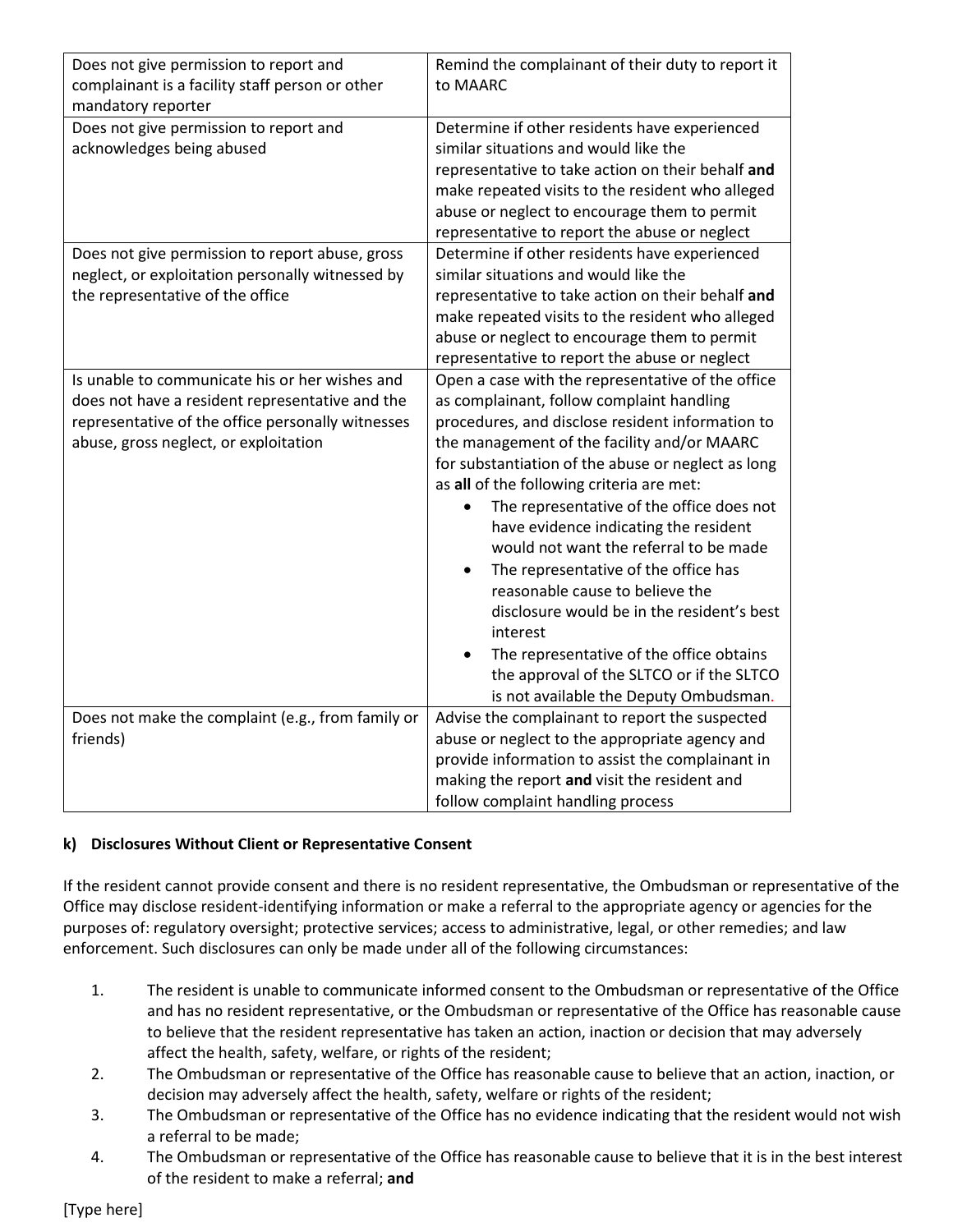| Does not give permission to report and                                | Remind the complainant of their duty to report it  |
|-----------------------------------------------------------------------|----------------------------------------------------|
| complainant is a facility staff person or other<br>mandatory reporter | to MAARC                                           |
| Does not give permission to report and                                | Determine if other residents have experienced      |
| acknowledges being abused                                             | similar situations and would like the              |
|                                                                       | representative to take action on their behalf and  |
|                                                                       | make repeated visits to the resident who alleged   |
|                                                                       | abuse or neglect to encourage them to permit       |
|                                                                       | representative to report the abuse or neglect      |
| Does not give permission to report abuse, gross                       | Determine if other residents have experienced      |
| neglect, or exploitation personally witnessed by                      | similar situations and would like the              |
| the representative of the office                                      | representative to take action on their behalf and  |
|                                                                       | make repeated visits to the resident who alleged   |
|                                                                       | abuse or neglect to encourage them to permit       |
|                                                                       | representative to report the abuse or neglect      |
| Is unable to communicate his or her wishes and                        | Open a case with the representative of the office  |
| does not have a resident representative and the                       | as complainant, follow complaint handling          |
| representative of the office personally witnesses                     | procedures, and disclose resident information to   |
| abuse, gross neglect, or exploitation                                 | the management of the facility and/or MAARC        |
|                                                                       | for substantiation of the abuse or neglect as long |
|                                                                       | as all of the following criteria are met:          |
|                                                                       | The representative of the office does not          |
|                                                                       | have evidence indicating the resident              |
|                                                                       | would not want the referral to be made             |
|                                                                       | The representative of the office has               |
|                                                                       | reasonable cause to believe the                    |
|                                                                       | disclosure would be in the resident's best         |
|                                                                       | interest                                           |
|                                                                       | The representative of the office obtains           |
|                                                                       | the approval of the SLTCO or if the SLTCO          |
|                                                                       | is not available the Deputy Ombudsman.             |
| Does not make the complaint (e.g., from family or                     | Advise the complainant to report the suspected     |
| friends)                                                              | abuse or neglect to the appropriate agency and     |
|                                                                       | provide information to assist the complainant in   |
|                                                                       | making the report and visit the resident and       |
|                                                                       | follow complaint handling process                  |

## **k) Disclosures Without Client or Representative Consent**

If the resident cannot provide consent and there is no resident representative, the Ombudsman or representative of the Office may disclose resident-identifying information or make a referral to the appropriate agency or agencies for the purposes of: regulatory oversight; protective services; access to administrative, legal, or other remedies; and law enforcement. Such disclosures can only be made under all of the following circumstances:

- 1. The resident is unable to communicate informed consent to the Ombudsman or representative of the Office and has no resident representative, or the Ombudsman or representative of the Office has reasonable cause to believe that the resident representative has taken an action, inaction or decision that may adversely affect the health, safety, welfare, or rights of the resident;
- 2. The Ombudsman or representative of the Office has reasonable cause to believe that an action, inaction, or decision may adversely affect the health, safety, welfare or rights of the resident;
- 3. The Ombudsman or representative of the Office has no evidence indicating that the resident would not wish a referral to be made;
- 4. The Ombudsman or representative of the Office has reasonable cause to believe that it is in the best interest of the resident to make a referral; **and**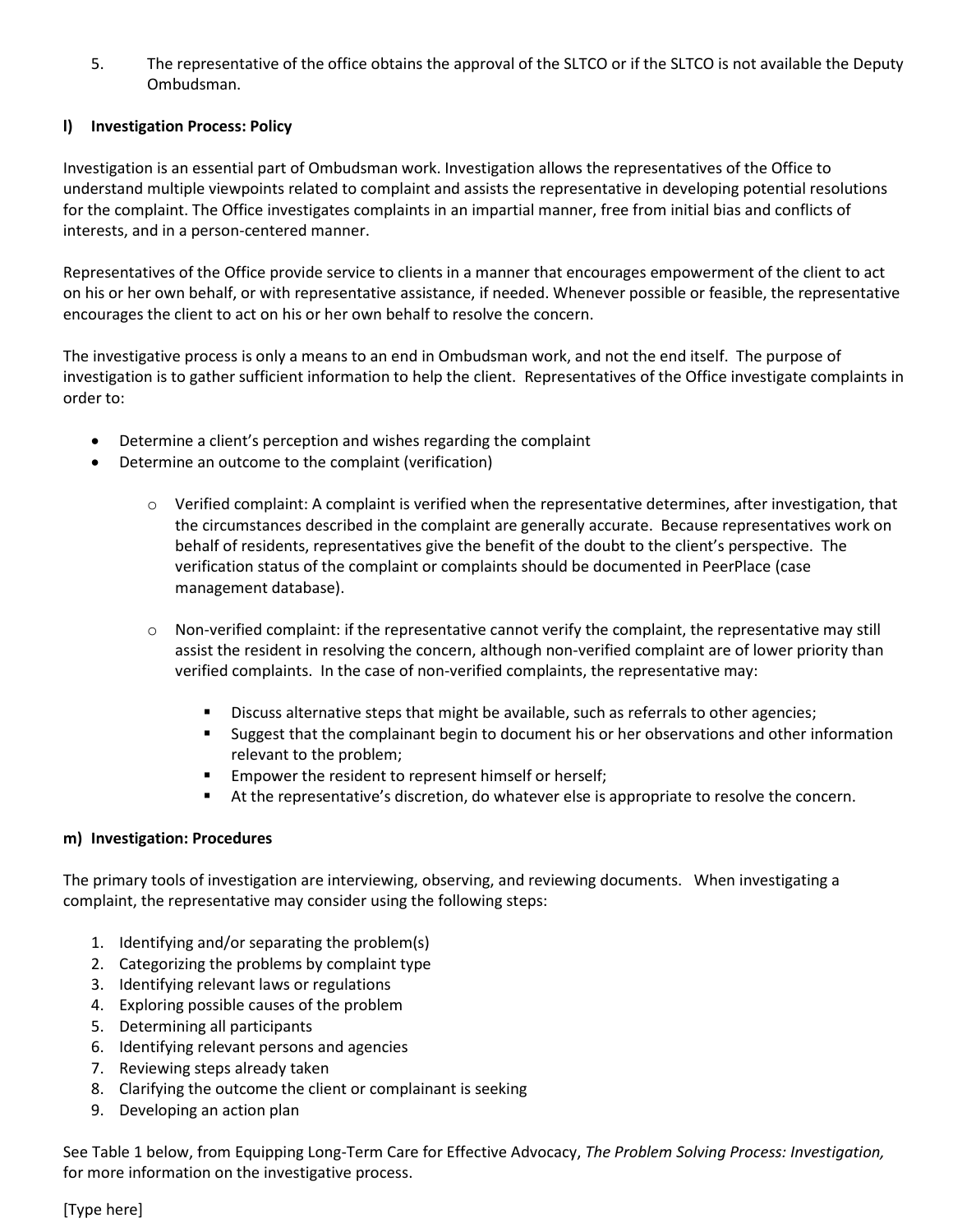5. The representative of the office obtains the approval of the SLTCO or if the SLTCO is not available the Deputy Ombudsman.

#### **l) Investigation Process: Policy**

Investigation is an essential part of Ombudsman work. Investigation allows the representatives of the Office to understand multiple viewpoints related to complaint and assists the representative in developing potential resolutions for the complaint. The Office investigates complaints in an impartial manner, free from initial bias and conflicts of interests, and in a person-centered manner.

Representatives of the Office provide service to clients in a manner that encourages empowerment of the client to act on his or her own behalf, or with representative assistance, if needed. Whenever possible or feasible, the representative encourages the client to act on his or her own behalf to resolve the concern.

The investigative process is only a means to an end in Ombudsman work, and not the end itself. The purpose of investigation is to gather sufficient information to help the client. Representatives of the Office investigate complaints in order to:

- Determine a client's perception and wishes regarding the complaint
- Determine an outcome to the complaint (verification)
	- $\circ$  Verified complaint: A complaint is verified when the representative determines, after investigation, that the circumstances described in the complaint are generally accurate. Because representatives work on behalf of residents, representatives give the benefit of the doubt to the client's perspective. The verification status of the complaint or complaints should be documented in PeerPlace (case management database).
	- o Non-verified complaint: if the representative cannot verify the complaint, the representative may still assist the resident in resolving the concern, although non-verified complaint are of lower priority than verified complaints. In the case of non-verified complaints, the representative may:
		- Discuss alternative steps that might be available, such as referrals to other agencies;
		- Suggest that the complainant begin to document his or her observations and other information relevant to the problem;
		- Empower the resident to represent himself or herself;
		- At the representative's discretion, do whatever else is appropriate to resolve the concern.

#### **m) Investigation: Procedures**

The primary tools of investigation are interviewing, observing, and reviewing documents. When investigating a complaint, the representative may consider using the following steps:

- 1. Identifying and/or separating the problem(s)
- 2. Categorizing the problems by complaint type
- 3. Identifying relevant laws or regulations
- 4. Exploring possible causes of the problem
- 5. Determining all participants
- 6. Identifying relevant persons and agencies
- 7. Reviewing steps already taken
- 8. Clarifying the outcome the client or complainant is seeking
- 9. Developing an action plan

See Table 1 below, from Equipping Long-Term Care for Effective Advocacy, *The Problem Solving Process: Investigation,* for more information on the investigative process.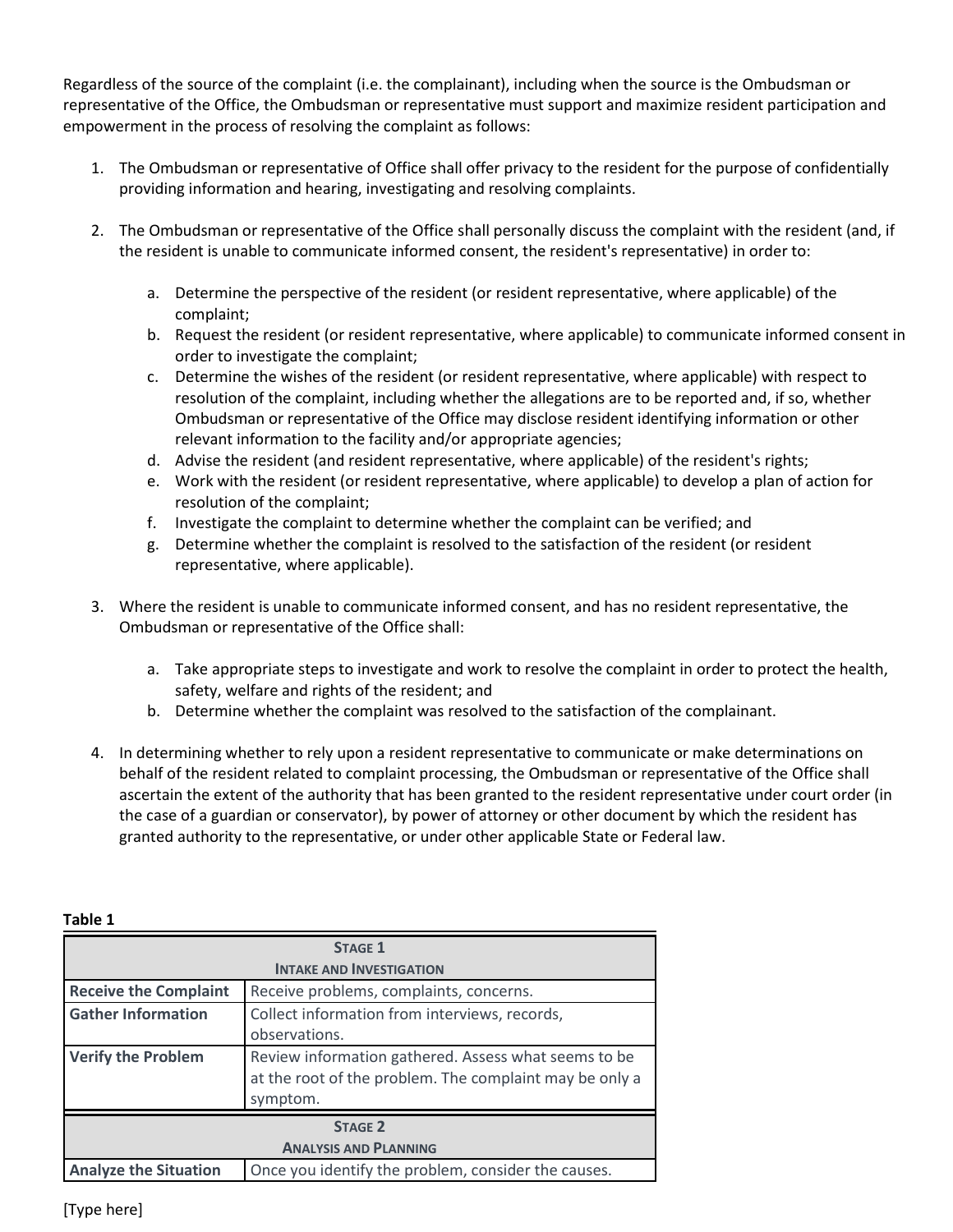Regardless of the source of the complaint (i.e. the complainant), including when the source is the Ombudsman or representative of the Office, the Ombudsman or representative must support and maximize resident participation and empowerment in the process of resolving the complaint as follows:

- 1. The Ombudsman or representative of Office shall offer privacy to the resident for the purpose of confidentially providing information and hearing, investigating and resolving complaints.
- 2. The Ombudsman or representative of the Office shall personally discuss the complaint with the resident (and, if the resident is unable to communicate informed consent, the resident's representative) in order to:
	- a. Determine the perspective of the resident (or resident representative, where applicable) of the complaint;
	- b. Request the resident (or resident representative, where applicable) to communicate informed consent in order to investigate the complaint;
	- c. Determine the wishes of the resident (or resident representative, where applicable) with respect to resolution of the complaint, including whether the allegations are to be reported and, if so, whether Ombudsman or representative of the Office may disclose resident identifying information or other relevant information to the facility and/or appropriate agencies;
	- d. Advise the resident (and resident representative, where applicable) of the resident's rights;
	- e. Work with the resident (or resident representative, where applicable) to develop a plan of action for resolution of the complaint;
	- f. Investigate the complaint to determine whether the complaint can be verified; and
	- g. Determine whether the complaint is resolved to the satisfaction of the resident (or resident representative, where applicable).
- 3. Where the resident is unable to communicate informed consent, and has no resident representative, the Ombudsman or representative of the Office shall:
	- a. Take appropriate steps to investigate and work to resolve the complaint in order to protect the health, safety, welfare and rights of the resident; and
	- b. Determine whether the complaint was resolved to the satisfaction of the complainant.
- 4. In determining whether to rely upon a resident representative to communicate or make determinations on behalf of the resident related to complaint processing, the Ombudsman or representative of the Office shall ascertain the extent of the authority that has been granted to the resident representative under court order (in the case of a guardian or conservator), by power of attorney or other document by which the resident has granted authority to the representative, or under other applicable State or Federal law.

| <b>STAGE 1</b>               |                                                                                                                             |  |  |  |
|------------------------------|-----------------------------------------------------------------------------------------------------------------------------|--|--|--|
|                              | <b>INTAKE AND INVESTIGATION</b>                                                                                             |  |  |  |
| <b>Receive the Complaint</b> | Receive problems, complaints, concerns.                                                                                     |  |  |  |
| <b>Gather Information</b>    | Collect information from interviews, records,                                                                               |  |  |  |
|                              | observations.                                                                                                               |  |  |  |
| <b>Verify the Problem</b>    | Review information gathered. Assess what seems to be<br>at the root of the problem. The complaint may be only a<br>symptom. |  |  |  |
| <b>STAGE 2</b>               |                                                                                                                             |  |  |  |
| <b>ANALYSIS AND PLANNING</b> |                                                                                                                             |  |  |  |
| <b>Analyze the Situation</b> | Once you identify the problem, consider the causes.                                                                         |  |  |  |

#### **Table 1**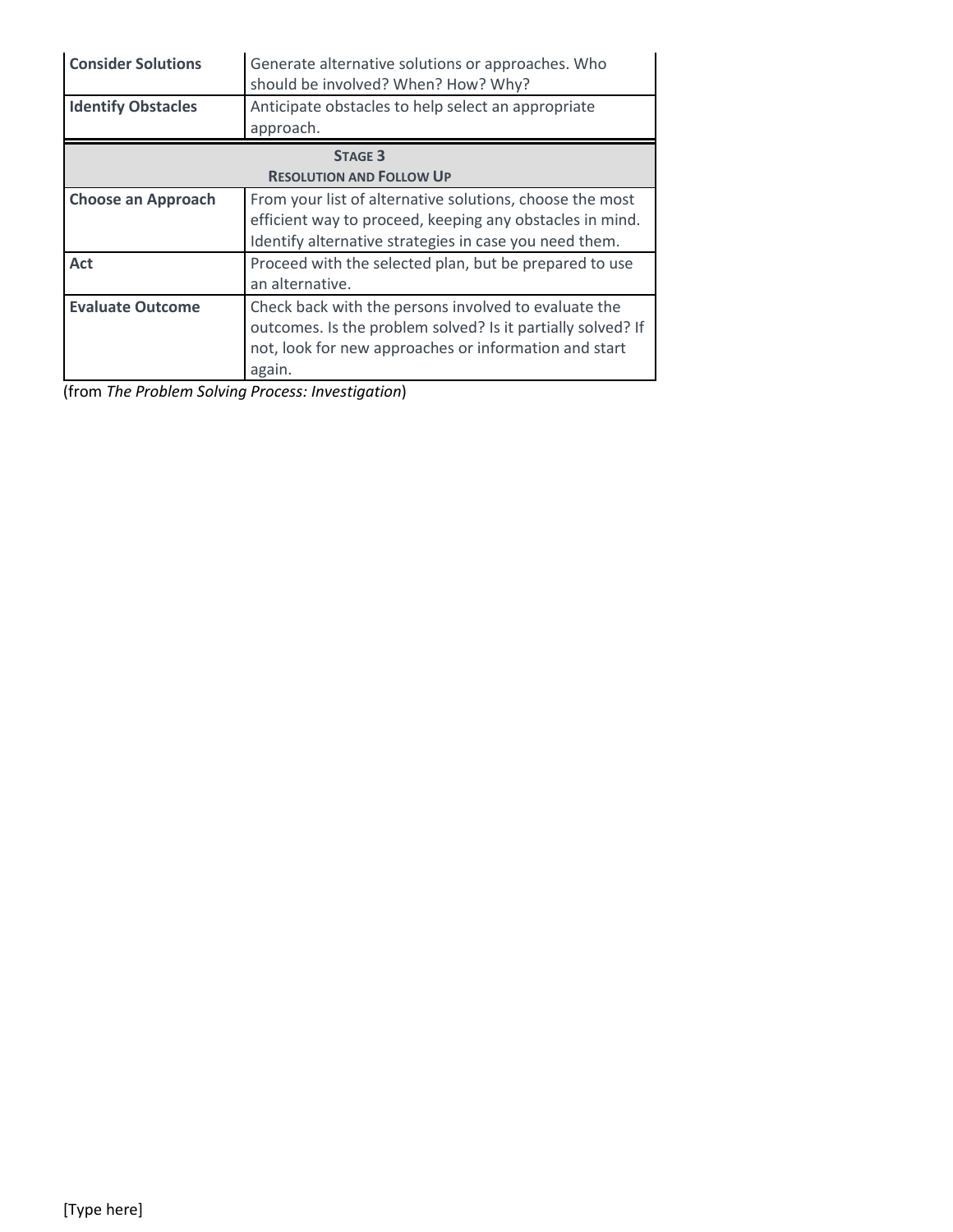| <b>Consider Solutions</b>       | Generate alternative solutions or approaches. Who<br>should be involved? When? How? Why? |  |  |  |
|---------------------------------|------------------------------------------------------------------------------------------|--|--|--|
| <b>Identify Obstacles</b>       | Anticipate obstacles to help select an appropriate<br>approach.                          |  |  |  |
|                                 | <b>STAGE 3</b>                                                                           |  |  |  |
| <b>RESOLUTION AND FOLLOW UP</b> |                                                                                          |  |  |  |
| <b>Choose an Approach</b>       | From your list of alternative solutions, choose the most                                 |  |  |  |
|                                 | efficient way to proceed, keeping any obstacles in mind.                                 |  |  |  |
|                                 | Identify alternative strategies in case you need them.                                   |  |  |  |
| Act                             | Proceed with the selected plan, but be prepared to use                                   |  |  |  |
|                                 | an alternative.                                                                          |  |  |  |
| <b>Evaluate Outcome</b>         | Check back with the persons involved to evaluate the                                     |  |  |  |
|                                 | outcomes. Is the problem solved? Is it partially solved? If                              |  |  |  |
|                                 | not, look for new approaches or information and start                                    |  |  |  |
|                                 | again.                                                                                   |  |  |  |

(from *The Problem Solving Process: Investigation*)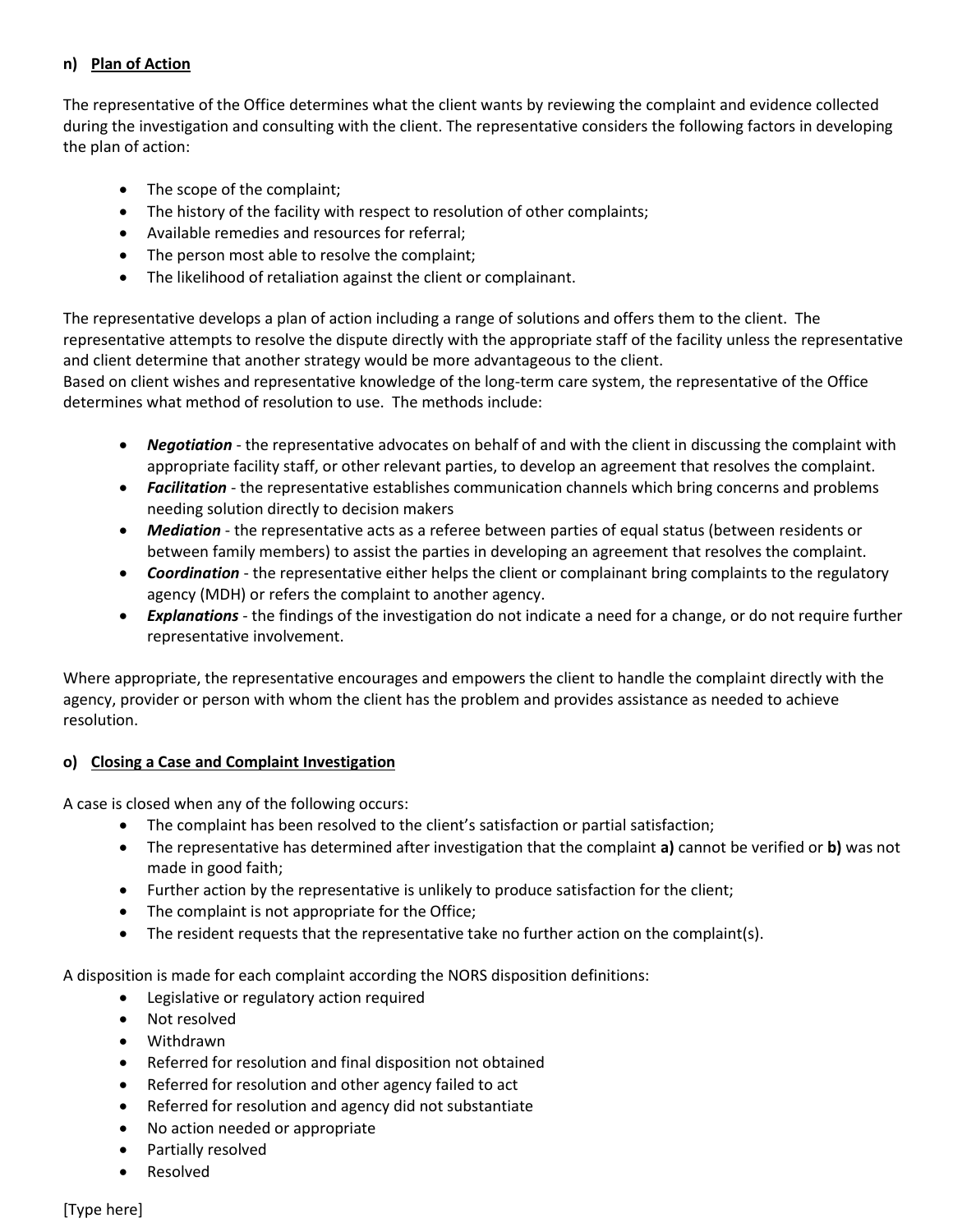## **n) Plan of Action**

The representative of the Office determines what the client wants by reviewing the complaint and evidence collected during the investigation and consulting with the client. The representative considers the following factors in developing the plan of action:

- The scope of the complaint;
- The history of the facility with respect to resolution of other complaints;
- Available remedies and resources for referral;
- The person most able to resolve the complaint;
- The likelihood of retaliation against the client or complainant.

The representative develops a plan of action including a range of solutions and offers them to the client. The representative attempts to resolve the dispute directly with the appropriate staff of the facility unless the representative and client determine that another strategy would be more advantageous to the client.

Based on client wishes and representative knowledge of the long-term care system, the representative of the Office determines what method of resolution to use. The methods include:

- *Negotiation* the representative advocates on behalf of and with the client in discussing the complaint with appropriate facility staff, or other relevant parties, to develop an agreement that resolves the complaint.
- *Facilitation* the representative establishes communication channels which bring concerns and problems needing solution directly to decision makers
- *Mediation*  the representative acts as a referee between parties of equal status (between residents or between family members) to assist the parties in developing an agreement that resolves the complaint.
- *Coordination* the representative either helps the client or complainant bring complaints to the regulatory agency (MDH) or refers the complaint to another agency.
- *Explanations*  the findings of the investigation do not indicate a need for a change, or do not require further representative involvement.

Where appropriate, the representative encourages and empowers the client to handle the complaint directly with the agency, provider or person with whom the client has the problem and provides assistance as needed to achieve resolution.

## **o) Closing a Case and Complaint Investigation**

A case is closed when any of the following occurs:

- The complaint has been resolved to the client's satisfaction or partial satisfaction;
- The representative has determined after investigation that the complaint **a)** cannot be verified or **b)** was not made in good faith;
- Further action by the representative is unlikely to produce satisfaction for the client;
- The complaint is not appropriate for the Office;
- The resident requests that the representative take no further action on the complaint(s).

A disposition is made for each complaint according the NORS disposition definitions:

- Legislative or regulatory action required
- Not resolved
- Withdrawn
- Referred for resolution and final disposition not obtained
- Referred for resolution and other agency failed to act
- Referred for resolution and agency did not substantiate
- No action needed or appropriate
- Partially resolved
- Resolved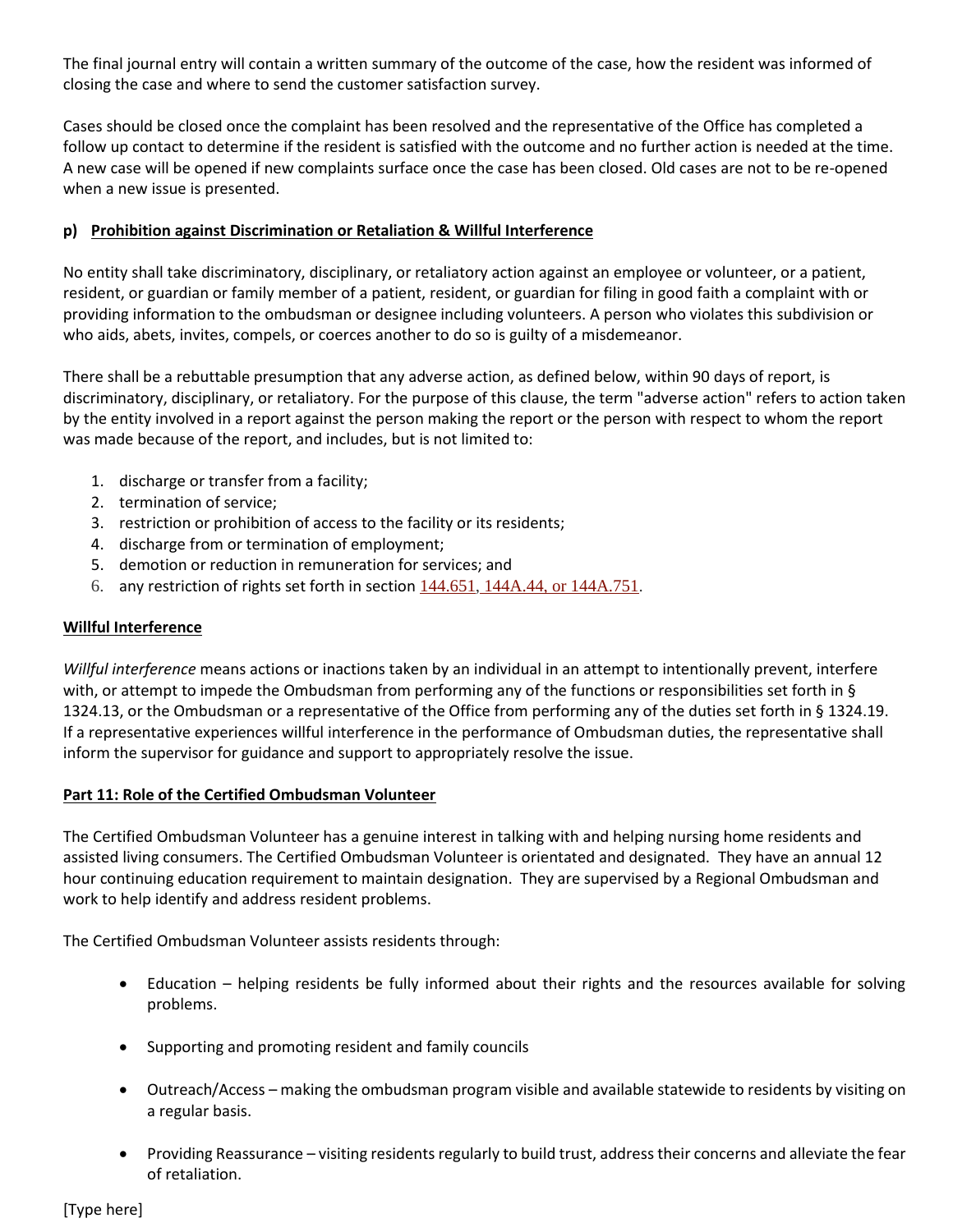The final journal entry will contain a written summary of the outcome of the case, how the resident was informed of closing the case and where to send the customer satisfaction survey.

Cases should be closed once the complaint has been resolved and the representative of the Office has completed a follow up contact to determine if the resident is satisfied with the outcome and no further action is needed at the time. A new case will be opened if new complaints surface once the case has been closed. Old cases are not to be re-opened when a new issue is presented.

## **p) Prohibition against Discrimination or Retaliation & Willful Interference**

No entity shall take discriminatory, disciplinary, or retaliatory action against an employee or volunteer, or a patient, resident, or guardian or family member of a patient, resident, or guardian for filing in good faith a complaint with or providing information to the ombudsman or designee including volunteers. A person who violates this subdivision or who aids, abets, invites, compels, or coerces another to do so is guilty of a misdemeanor.

There shall be a rebuttable presumption that any adverse action, as defined below, within 90 days of report, is discriminatory, disciplinary, or retaliatory. For the purpose of this clause, the term "adverse action" refers to action taken by the entity involved in a report against the person making the report or the person with respect to whom the report was made because of the report, and includes, but is not limited to:

- 1. discharge or transfer from a facility;
- 2. termination of service;
- 3. restriction or prohibition of access to the facility or its residents;
- 4. discharge from or termination of employment;
- 5. demotion or reduction in remuneration for services; and
- 6. any restriction of rights set forth in section  $144.651$ ,  $144A.44$ , or  $144A.751$ .

## **Willful Interference**

*Willful interference* means actions or inactions taken by an individual in an attempt to intentionally prevent, interfere with, or attempt to impede the Ombudsman from performing any of the functions or responsibilities set forth in § 1324.13, or the Ombudsman or a representative of the Office from performing any of the duties set forth in § 1324.19. If a representative experiences willful interference in the performance of Ombudsman duties, the representative shall inform the supervisor for guidance and support to appropriately resolve the issue.

## **Part 11: Role of the Certified Ombudsman Volunteer**

The Certified Ombudsman Volunteer has a genuine interest in talking with and helping nursing home residents and assisted living consumers. The Certified Ombudsman Volunteer is orientated and designated. They have an annual 12 hour continuing education requirement to maintain designation. They are supervised by a Regional Ombudsman and work to help identify and address resident problems.

The Certified Ombudsman Volunteer assists residents through:

- Education helping residents be fully informed about their rights and the resources available for solving problems.
- Supporting and promoting resident and family councils
- Outreach/Access making the ombudsman program visible and available statewide to residents by visiting on a regular basis.
- Providing Reassurance visiting residents regularly to build trust, address their concerns and alleviate the fear of retaliation.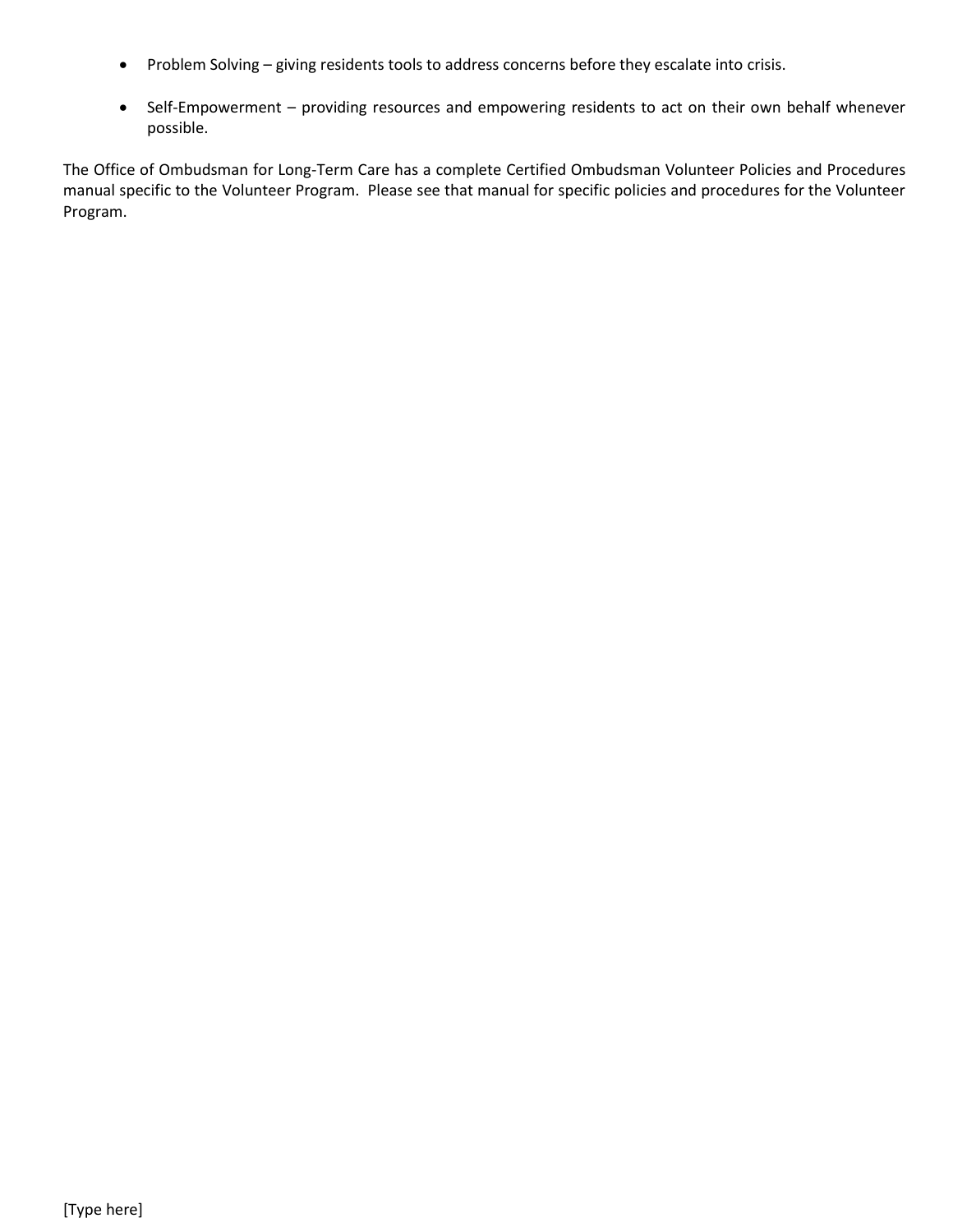- Problem Solving giving residents tools to address concerns before they escalate into crisis.
- Self-Empowerment providing resources and empowering residents to act on their own behalf whenever possible.

The Office of Ombudsman for Long-Term Care has a complete Certified Ombudsman Volunteer Policies and Procedures manual specific to the Volunteer Program. Please see that manual for specific policies and procedures for the Volunteer Program.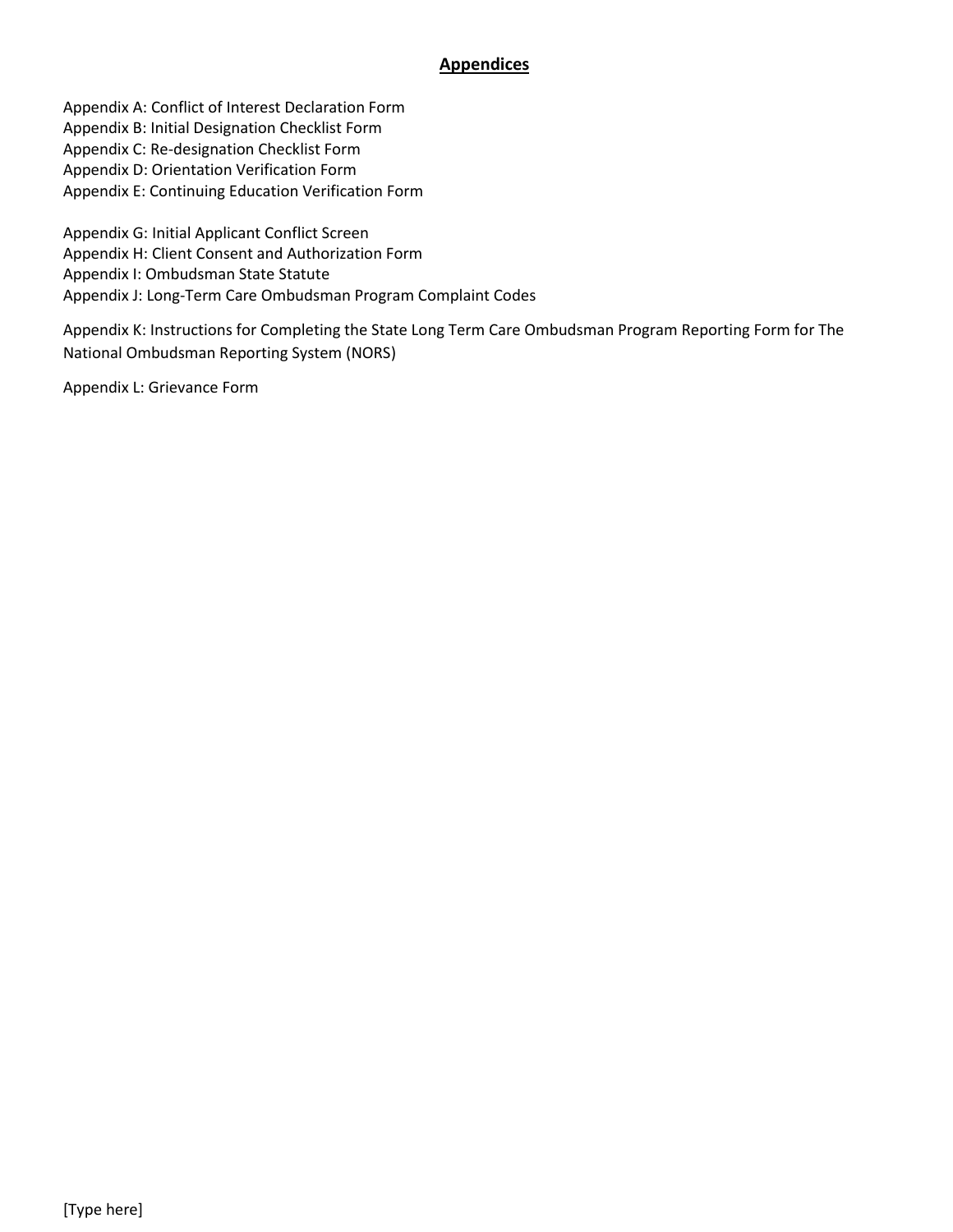## **Appendices**

Appendix A: Conflict of Interest Declaration Form Appendix B: Initial Designation Checklist Form Appendix C: Re-designation Checklist Form Appendix D: Orientation Verification Form Appendix E: Continuing Education Verification Form

Appendix G: Initial Applicant Conflict Screen Appendix H: Client Consent and Authorization Form Appendix I: Ombudsman State Statute Appendix J: Long-Term Care Ombudsman Program Complaint Codes

Appendix K: Instructions for Completing the State Long Term Care Ombudsman Program Reporting Form for The National Ombudsman Reporting System (NORS)

Appendix L: Grievance Form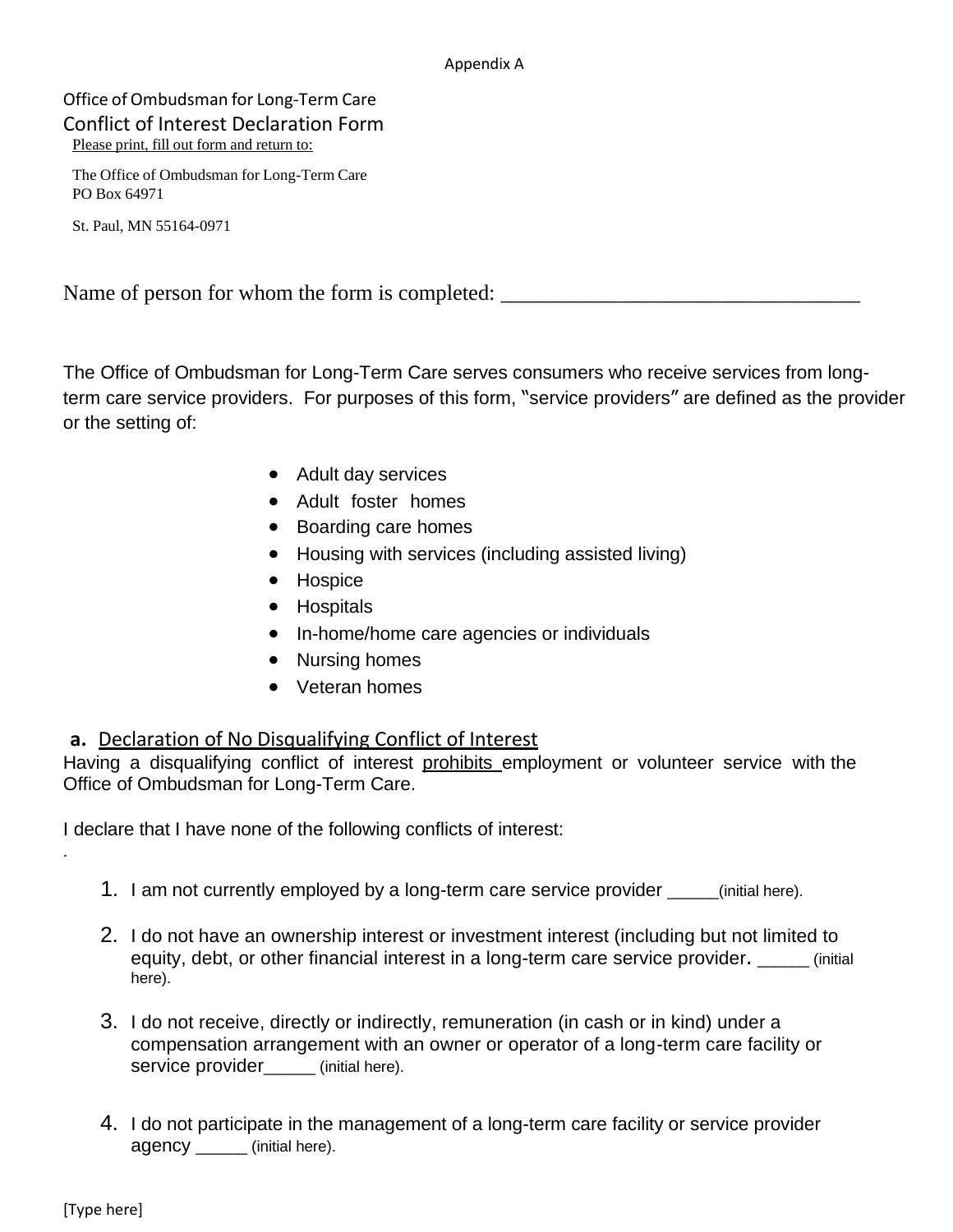#### Appendix A

Office of Ombudsman for Long-Term Care Conflict of Interest Declaration Form Please print, fill out form and return to:

The Office of Ombudsman for Long-Term Care PO Box 64971

St. Paul, MN 55164-0971

Name of person for whom the form is completed: \_\_\_\_\_\_\_\_\_\_\_\_\_\_\_\_\_\_\_\_\_\_\_\_\_\_\_\_\_\_\_\_\_

The Office of Ombudsman for Long-Term Care serves consumers who receive services from longterm care service providers. For purposes of this form, "service providers" are defined as the provider or the setting of:

- Adult day services
- Adult foster homes
- Boarding care homes
- Housing with services (including assisted living)
- Hospice
- Hospitals
- In-home/home care agencies or individuals
- Nursing homes
- Veteran homes

# **a.** Declaration of No Disqualifying Conflict of Interest

Having a disqualifying conflict of interest prohibits employment or volunteer service with the Office of Ombudsman for Long-Term Care.

I declare that I have none of the following conflicts of interest:

- 1. I am not currently employed by a long-term care service provider \_\_\_\_\_\_(initial here).
- 2. I do not have an ownership interest or investment interest (including but not limited to equity, debt, or other financial interest in a long-term care service provider.  $\qquad \qquad$  (initial) here).
- 3. I do not receive, directly or indirectly, remuneration (in cash or in kind) under a compensation arrangement with an owner or operator of a long-term care facility or service provider\_\_\_\_\_\_\_ (initial here).
- 4. I do not participate in the management of a long-term care facility or service provider agency \_\_\_\_\_\_ (initial here).

.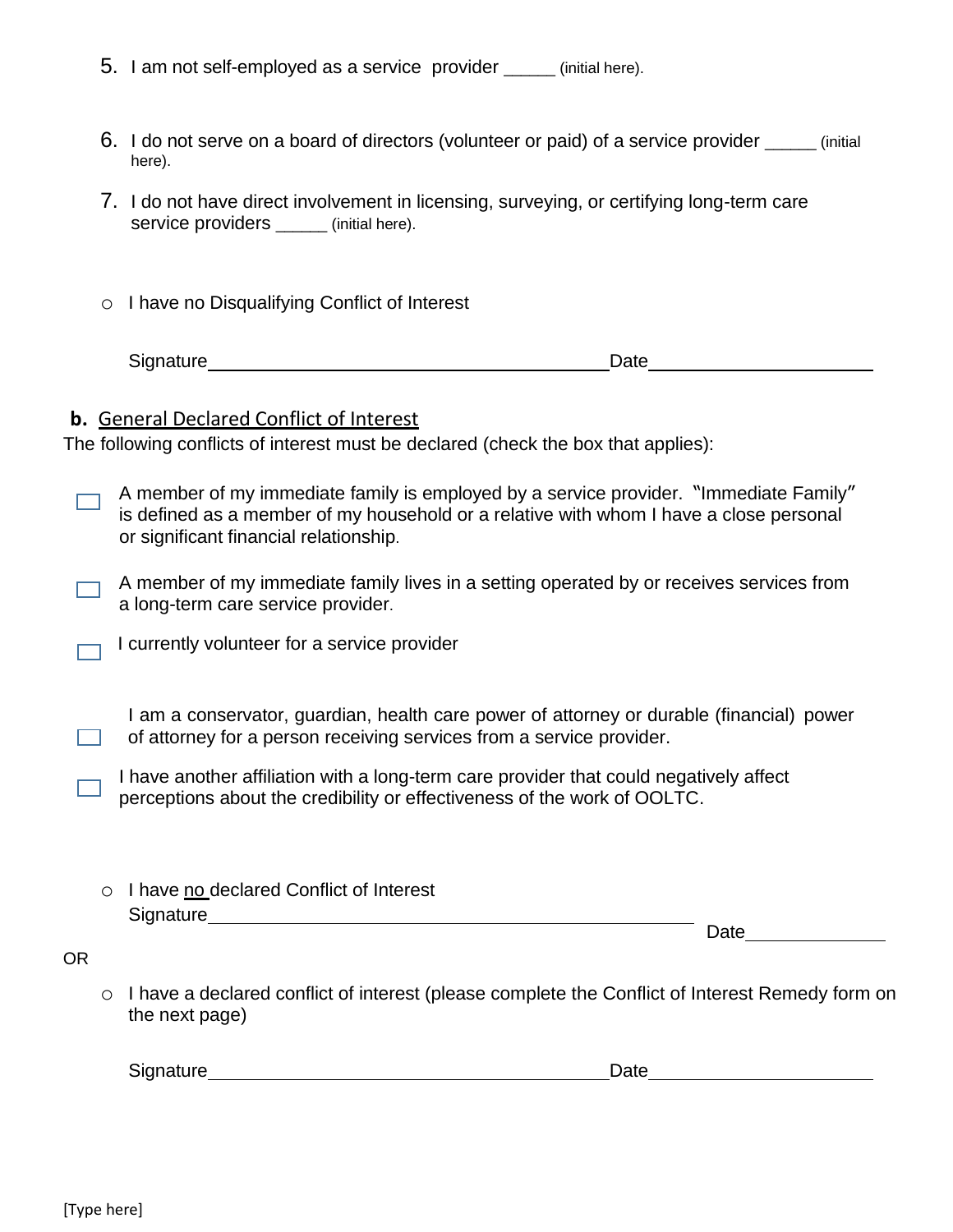|  |  | 5. I am not self-employed as a service provider |  | (initial here). |
|--|--|-------------------------------------------------|--|-----------------|
|--|--|-------------------------------------------------|--|-----------------|

- 6. I do not serve on a board of directors (volunteer or paid) of a service provider \_\_\_\_\_\_ (initial here).
- 7. I do not have direct involvement in licensing, surveying, or certifying long-term care service providers \_\_\_\_\_\_\_ (initial here).
- o I have no Disqualifying Conflict of Interest

Signature **Date** 

# **b.** General Declared Conflict of Interest

The following conflicts of interest must be declared (check the box that applies):

A member of my immediate family is employed by a service provider. "Immediate Family" is defined as a member of my household or a relative with whom I have a close personal or significant financial relationship.

- A member of my immediate family lives in a setting operated by or receives services from a long-term care service provider.
- I currently volunteer for a service provider

I am a conservator, guardian, health care power of attorney or durable (financial) power of attorney for a person receiving services from a service provider.  $\Box$ 

I have another affiliation with a long-term care provider that could negatively affect perceptions about the credibility or effectiveness of the work of OOLTC.

| ○ I have no declared Conflict of Interest |  |
|-------------------------------------------|--|
| Signature                                 |  |

Date and the set of the set of the set of the set of the set of the set of the set of the set of the set of the set of the set of the set of the set of the set of the set of the set of the set of the set of the set of the

OR

o I have a declared conflict of interest (please complete the Conflict of Interest Remedy form on the next page)

Signature **Date Date Date Date Date Date Date Date Date Date Date Date Date Date Date Date Date Date D**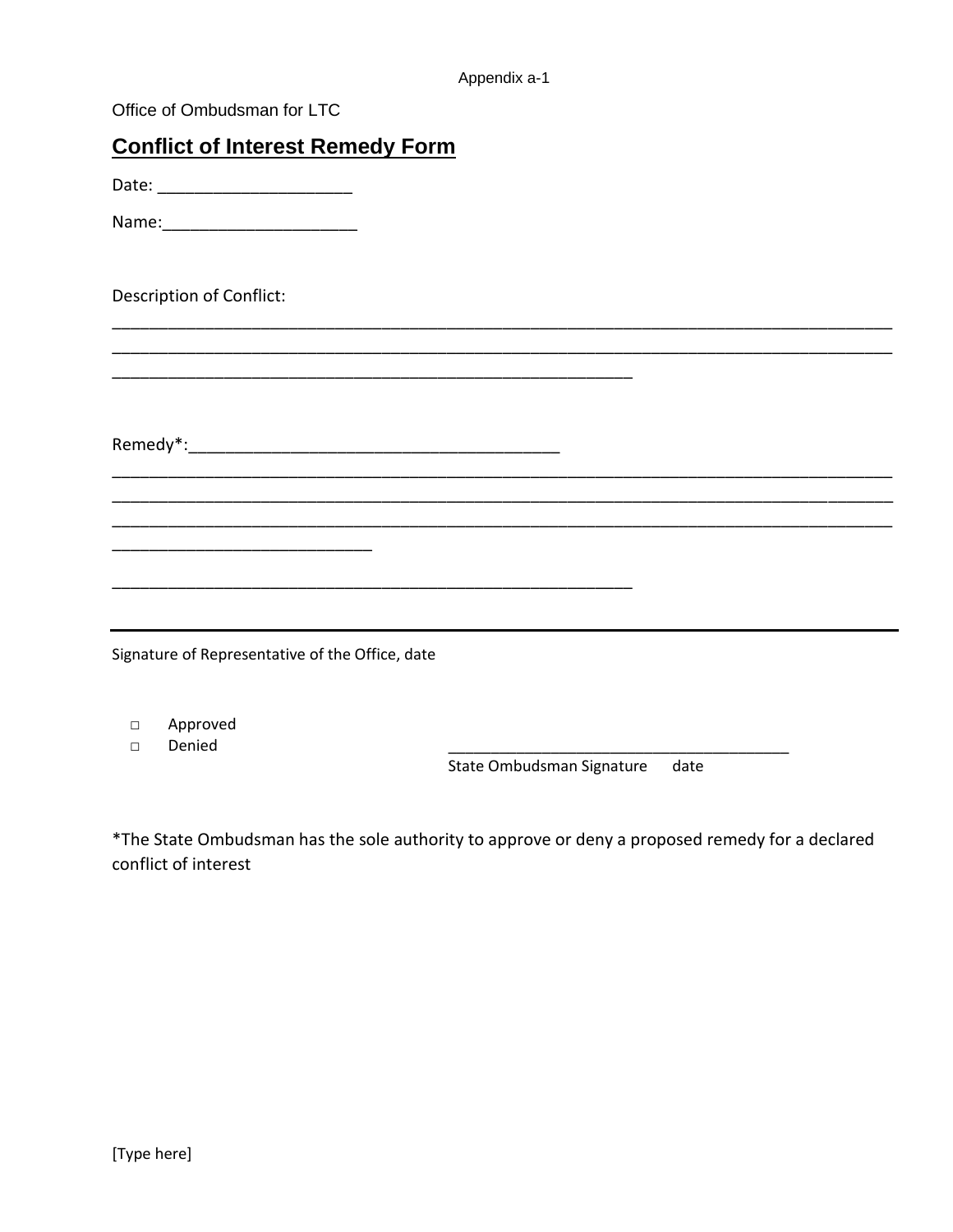| Office of Ombudsman for LTC                     |
|-------------------------------------------------|
| <b>Conflict of Interest Remedy Form</b>         |
| Date: _________________________                 |
|                                                 |
| <b>Description of Conflict:</b>                 |
|                                                 |
|                                                 |
|                                                 |
|                                                 |
|                                                 |
| Signature of Representative of the Office, date |

D Approved

Denied  $\Box$ 

State Ombudsman Signature date

\*The State Ombudsman has the sole authority to approve or deny a proposed remedy for a declared conflict of interest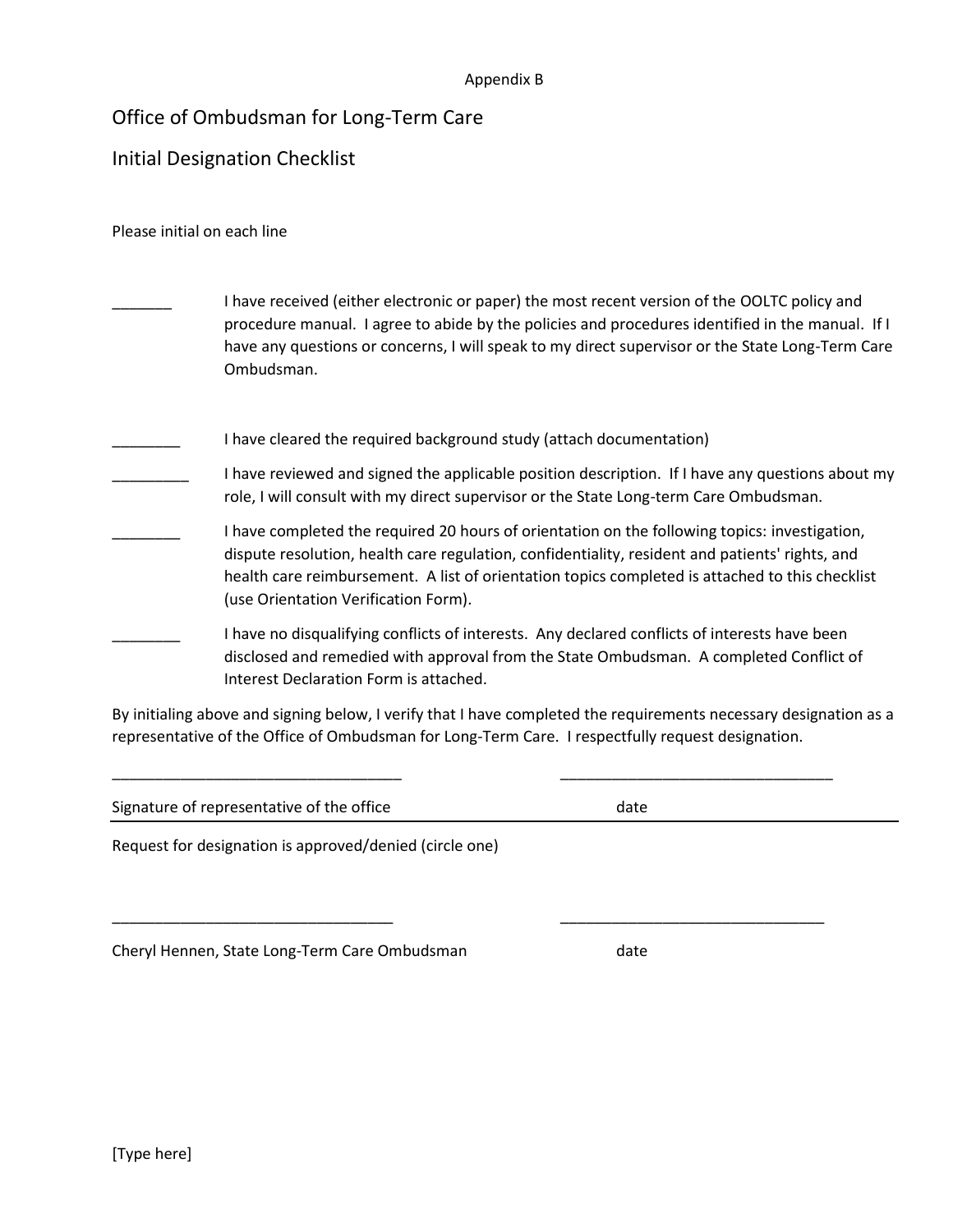#### Appendix B

# Office of Ombudsman for Long-Term Care

# Initial Designation Checklist

#### Please initial on each line

| I have received (either electronic or paper) the most recent version of the OOLTC policy and<br>procedure manual. I agree to abide by the policies and procedures identified in the manual. If I<br>have any questions or concerns, I will speak to my direct supervisor or the State Long-Term Care<br>Ombudsman.                          |
|---------------------------------------------------------------------------------------------------------------------------------------------------------------------------------------------------------------------------------------------------------------------------------------------------------------------------------------------|
| I have cleared the required background study (attach documentation)                                                                                                                                                                                                                                                                         |
| I have reviewed and signed the applicable position description. If I have any questions about my<br>role, I will consult with my direct supervisor or the State Long-term Care Ombudsman.                                                                                                                                                   |
| I have completed the required 20 hours of orientation on the following topics: investigation,<br>dispute resolution, health care regulation, confidentiality, resident and patients' rights, and<br>health care reimbursement. A list of orientation topics completed is attached to this checklist<br>(use Orientation Verification Form). |
| I have no disqualifying conflicts of interests. Any declared conflicts of interests have been<br>disclosed and remedied with approval from the State Ombudsman. A completed Conflict of<br>Interest Declaration Form is attached.                                                                                                           |

By initialing above and signing below, I verify that I have completed the requirements necessary designation as a representative of the Office of Ombudsman for Long-Term Care. I respectfully request designation.

| Signature of representative of the office | date |  |
|-------------------------------------------|------|--|
|                                           |      |  |

\_\_\_\_\_\_\_\_\_\_\_\_\_\_\_\_\_\_\_\_\_\_\_\_\_\_\_\_\_\_\_\_\_\_ \_\_\_\_\_\_\_\_\_\_\_\_\_\_\_\_\_\_\_\_\_\_\_\_\_\_\_\_\_\_\_\_

\_\_\_\_\_\_\_\_\_\_\_\_\_\_\_\_\_\_\_\_\_\_\_\_\_\_\_\_\_\_\_\_\_ \_\_\_\_\_\_\_\_\_\_\_\_\_\_\_\_\_\_\_\_\_\_\_\_\_\_\_\_\_\_\_

Request for designation is approved/denied (circle one)

Cheryl Hennen, State Long-Term Care Ombudsman date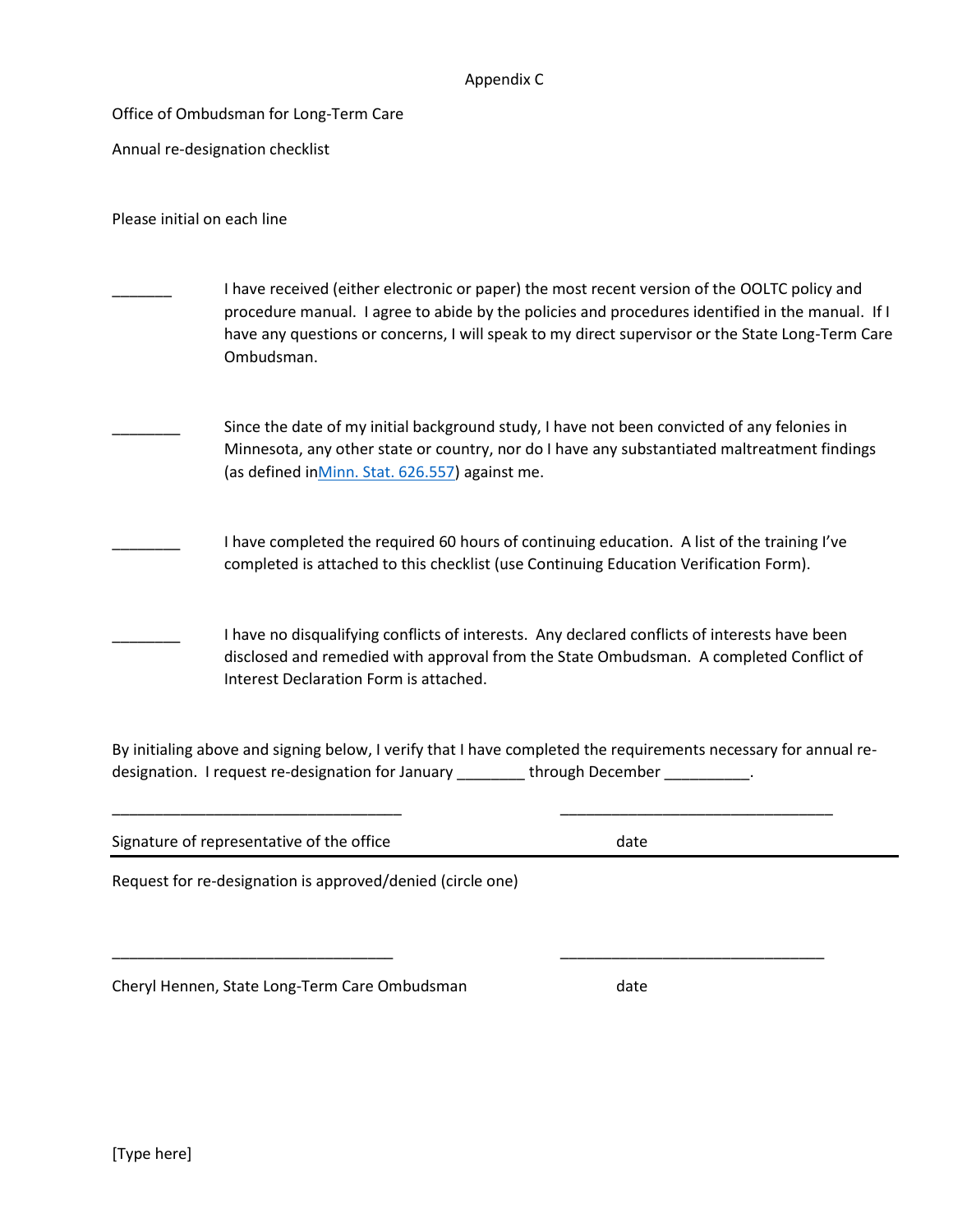#### Appendix C

Office of Ombudsman for Long-Term Care

Annual re-designation checklist

Please initial on each line

- I have received (either electronic or paper) the most recent version of the OOLTC policy and procedure manual. I agree to abide by the policies and procedures identified in the manual. If I have any questions or concerns, I will speak to my direct supervisor or the State Long-Term Care Ombudsman.
	- Since the date of my initial background study, I have not been convicted of any felonies in Minnesota, any other state or country, nor do I have any substantiated maltreatment findings (as defined i[nMinn. Stat. 626.557\)](https://www.revisor.mn.gov/statutes/?id=626.557) against me.
- I have completed the required 60 hours of continuing education. A list of the training I've completed is attached to this checklist (use Continuing Education Verification Form).
	- I have no disqualifying conflicts of interests. Any declared conflicts of interests have been disclosed and remedied with approval from the State Ombudsman. A completed Conflict of Interest Declaration Form is attached.

By initialing above and signing below, I verify that I have completed the requirements necessary for annual redesignation. I request re-designation for January \_\_\_\_\_\_\_\_ through December \_\_\_\_\_\_\_\_\_.

| Signature of representative of the office                  | date |  |
|------------------------------------------------------------|------|--|
| Request for re-designation is approved/denied (circle one) |      |  |
|                                                            |      |  |
|                                                            |      |  |

Cheryl Hennen, State Long-Term Care Ombudsman date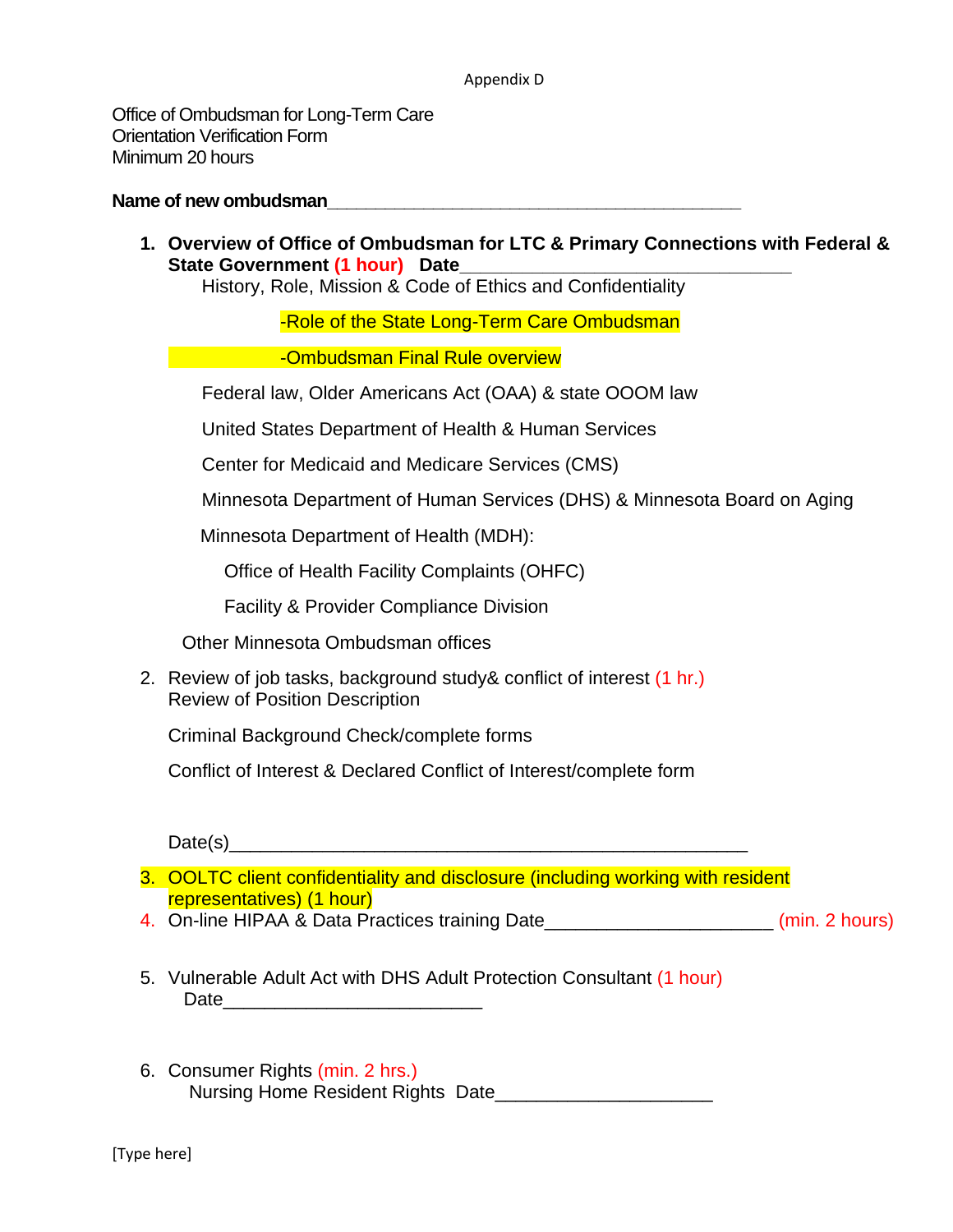#### Appendix D

Office of Ombudsman for Long-Term Care Orientation Verification Form Minimum 20 hours

#### Name of new ombudsman

**1. Overview of Office of Ombudsman for LTC & Primary Connections with Federal &**  State Government (1 hour) Date

History, Role, Mission & Code of Ethics and Confidentiality

-Role of the State Long-Term Care Ombudsman

**EXECUTE:** Combudsman Final Rule overview

Federal law, Older Americans Act (OAA) & state OOOM law

United States Department of Health & Human Services

Center for Medicaid and Medicare Services (CMS)

Minnesota Department of Human Services (DHS) & Minnesota Board on Aging

Minnesota Department of Health (MDH):

Office of Health Facility Complaints (OHFC)

Facility & Provider Compliance Division

Other Minnesota Ombudsman offices

2. Review of job tasks, background study& conflict of interest (1 hr.) Review of Position Description

Criminal Background Check/complete forms

Conflict of Interest & Declared Conflict of Interest/complete form

 $Date(s)$ 

3. OOLTC client confidentiality and disclosure (including working with resident representatives) (1 hour)

- 4. On-line HIPAA & Data Practices training Date\_\_\_\_\_\_\_\_\_\_\_\_\_\_\_\_\_\_\_\_\_\_ (min. 2 hours)
- 5. Vulnerable Adult Act with DHS Adult Protection Consultant (1 hour)  $Date$ <sub>and</sub>  $A$ <sub>2</sub>  $A$ <sub>2</sub>  $A$ <sub>2</sub>  $A$ <sub>2</sub>  $A$ <sub>2</sub>  $A$ <sub>2</sub>  $A$ <sub>2</sub>  $A$ <sub>2</sub>  $A$ <sub>2</sub>  $A$ <sub>2</sub>  $A$ <sub>2</sub>  $A$ <sub>2</sub>  $A$ <sub>2</sub>  $A$ <sub>2</sub>  $A$ <sub>2</sub>  $A$ <sub>2</sub>  $A$ <sub>2</sub>  $A$ <sub>2</sub>  $A$ <sub>2</sub>  $A$ <sub>2</sub>  $A$ <sub>2</sub>  $A$ <sub>2</sub>  $A$ <sub>2</sub>  $A$ <sub>2</sub>  $A$ <sub>2</sub>  $A$ <sub>2</sub>  $A$ <sub>2</sub>  $A$ <sub>2</sub>  $A$ <sub>2</sub>  $A$ <sub>2</sub>  $A$
- 6. Consumer Rights (min. 2 hrs.) Nursing Home Resident Rights Date\_\_\_\_\_\_\_\_\_\_\_\_\_\_\_\_\_\_\_\_\_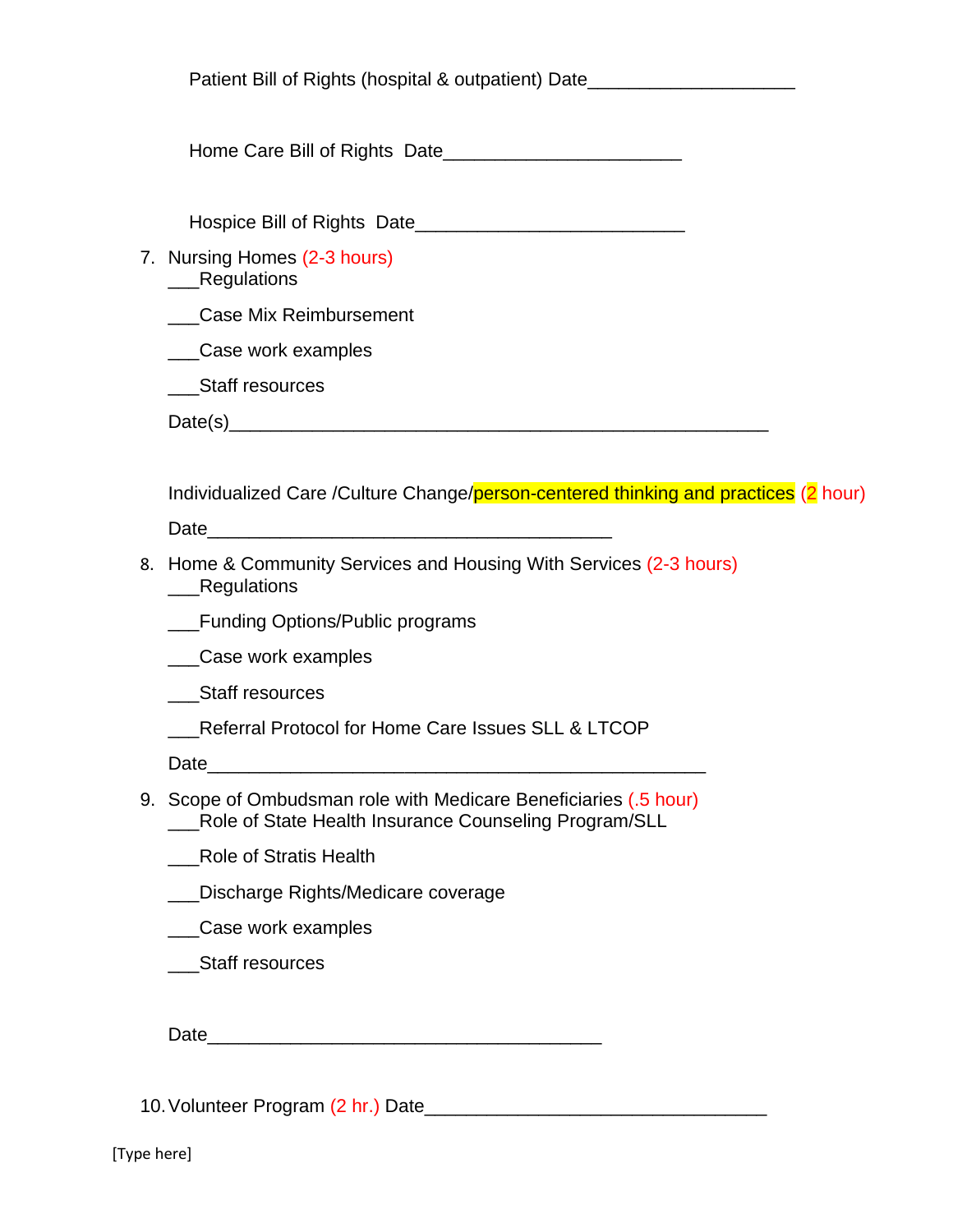| Patient Bill of Rights (hospital & outpatient) Date_____________________________                                          |
|---------------------------------------------------------------------------------------------------------------------------|
|                                                                                                                           |
|                                                                                                                           |
| 7. Nursing Homes (2-3 hours)<br>__Regulations                                                                             |
| Case Mix Reimbursement                                                                                                    |
| __Case work examples                                                                                                      |
| Staff resources                                                                                                           |
|                                                                                                                           |
|                                                                                                                           |
| Individualized Care /Culture Change/person-centered thinking and practices (2 hour)                                       |
|                                                                                                                           |
| 8. Home & Community Services and Housing With Services (2-3 hours)<br>__Regulations                                       |
| Funding Options/Public programs                                                                                           |
| _Case work examples                                                                                                       |
| Staff resources                                                                                                           |
| Referral Protocol for Home Care Issues SLL & LTCOP                                                                        |
| Date                                                                                                                      |
| 9. Scope of Ombudsman role with Medicare Beneficiaries (.5 hour)<br>Role of State Health Insurance Counseling Program/SLL |
| <b>Role of Stratis Health</b>                                                                                             |
| Discharge Rights/Medicare coverage                                                                                        |
| Case work examples                                                                                                        |
| <b>Staff resources</b>                                                                                                    |
|                                                                                                                           |
| Date $\_$<br><u> 1990 - Johann Barbara, martin amerikan ba</u>                                                            |
|                                                                                                                           |

10.Volunteer Program (2 hr.) Date\_\_\_\_\_\_\_\_\_\_\_\_\_\_\_\_\_\_\_\_\_\_\_\_\_\_\_\_\_\_\_\_\_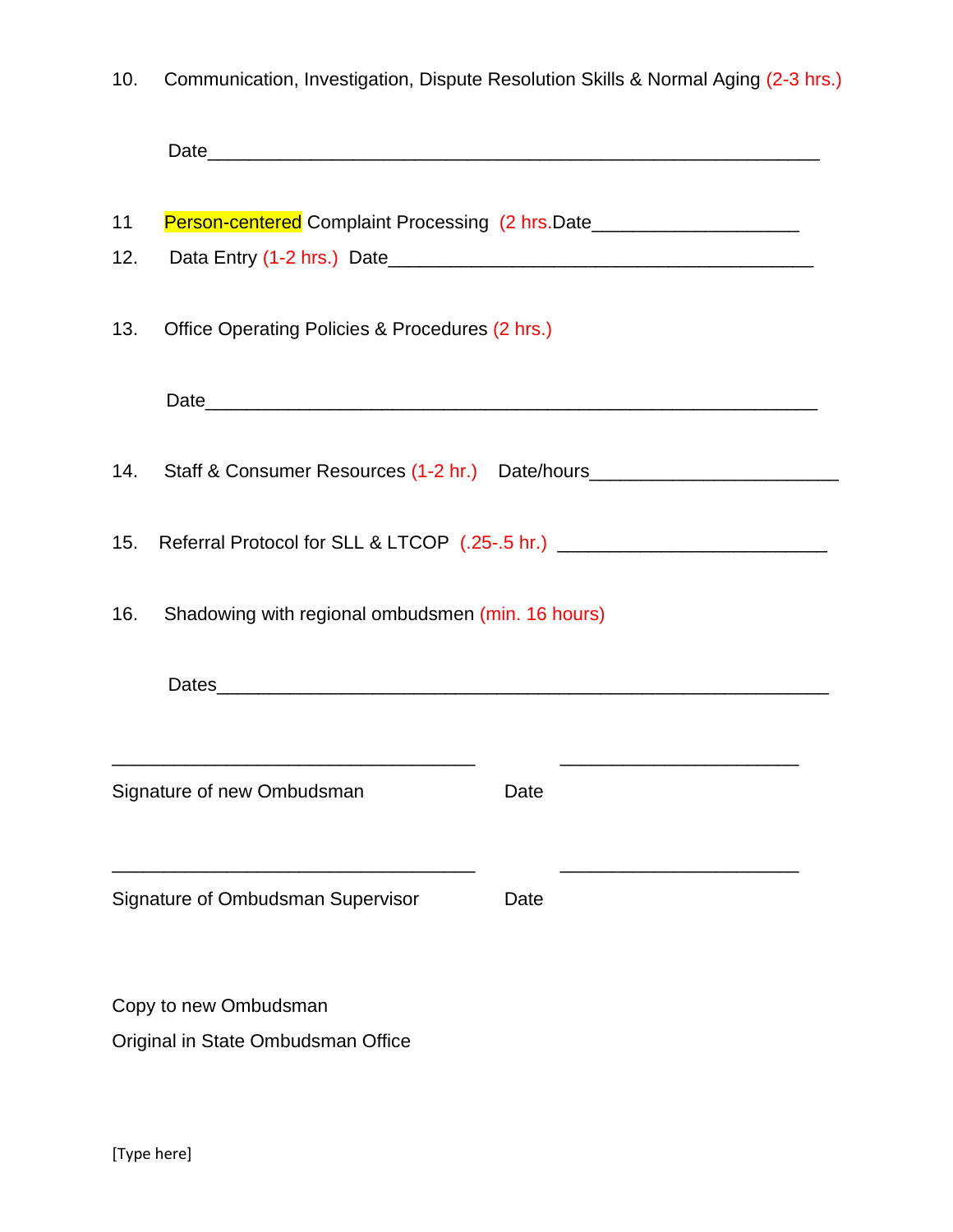| 10. | Communication, Investigation, Dispute Resolution Skills & Normal Aging (2-3 hrs.) |  |  |  |  |  |  |  |
|-----|-----------------------------------------------------------------------------------|--|--|--|--|--|--|--|
|-----|-----------------------------------------------------------------------------------|--|--|--|--|--|--|--|

| 11<br>12.                                                                               | Person-centered Complaint Processing (2 hrs.Date________________________________ |      |  |  |  |  |
|-----------------------------------------------------------------------------------------|----------------------------------------------------------------------------------|------|--|--|--|--|
| 13.                                                                                     | Office Operating Policies & Procedures (2 hrs.)                                  |      |  |  |  |  |
|                                                                                         |                                                                                  |      |  |  |  |  |
| 14.                                                                                     | Staff & Consumer Resources (1-2 hr.) Date/hours_________________________________ |      |  |  |  |  |
| Referral Protocol for SLL & LTCOP (.25-.5 hr.) _________________________________<br>15. |                                                                                  |      |  |  |  |  |
| Shadowing with regional ombudsmen (min. 16 hours)<br>16.                                |                                                                                  |      |  |  |  |  |
|                                                                                         |                                                                                  |      |  |  |  |  |
| Signature of new Ombudsman                                                              |                                                                                  | Date |  |  |  |  |
| Signature of Ombudsman Supervisor                                                       |                                                                                  | Date |  |  |  |  |
|                                                                                         | Copy to new Ombudsman                                                            |      |  |  |  |  |
|                                                                                         | Original in State Ombudsman Office                                               |      |  |  |  |  |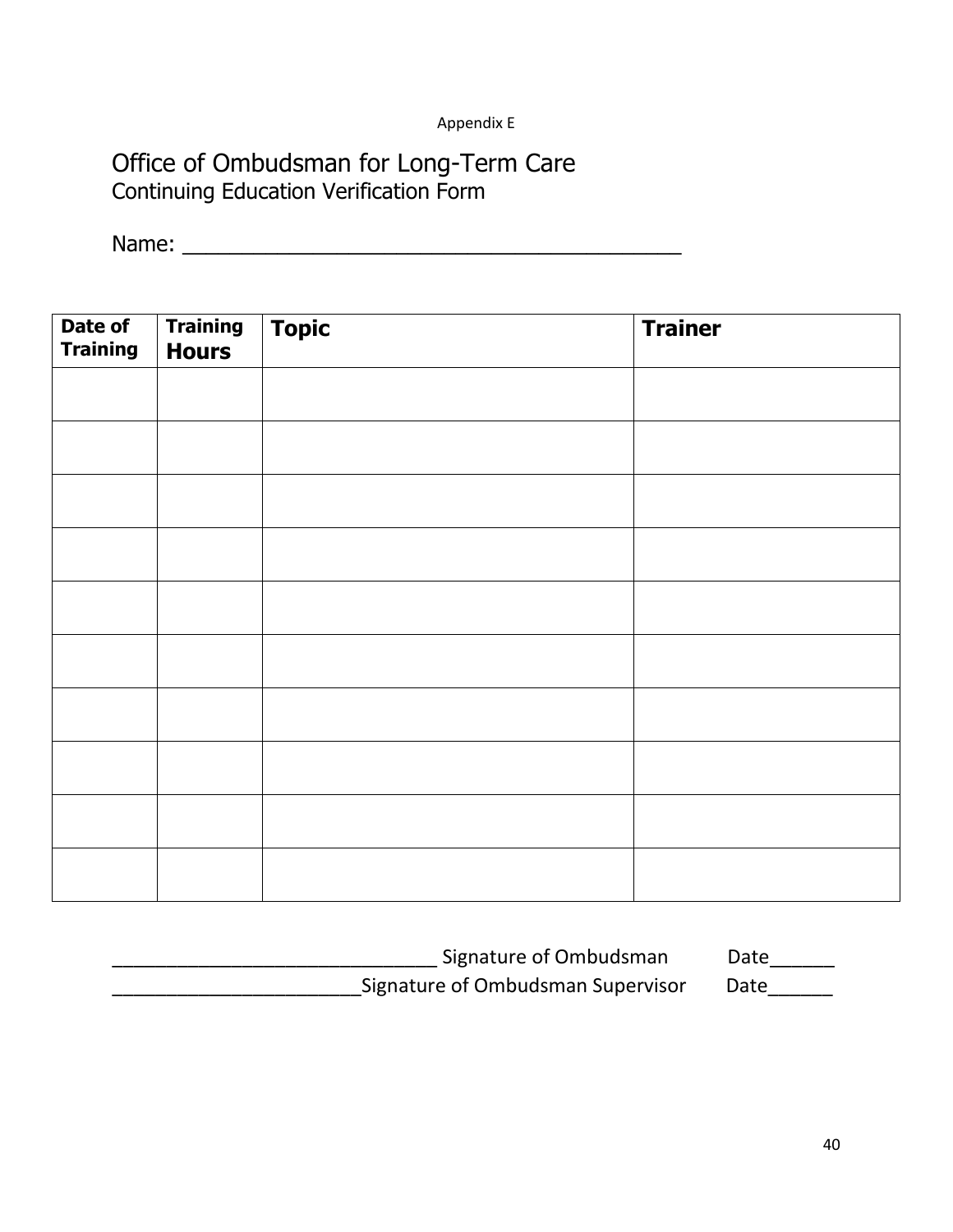# Appendix E

# Office of Ombudsman for Long-Term Care Continuing Education Verification Form

Name: \_\_\_\_\_\_\_\_\_\_\_\_\_\_\_\_\_\_\_\_\_\_\_\_\_\_\_\_\_\_\_\_\_\_\_\_\_\_\_\_\_\_

| Date of<br><b>Training</b> | <b>Training<br/>Hours</b> | $\boxed{\textbf{Topic}}$ | <b>Trainer</b> |
|----------------------------|---------------------------|--------------------------|----------------|
|                            |                           |                          |                |
|                            |                           |                          |                |
|                            |                           |                          |                |
|                            |                           |                          |                |
|                            |                           |                          |                |
|                            |                           |                          |                |
|                            |                           |                          |                |
|                            |                           |                          |                |
|                            |                           |                          |                |
|                            |                           |                          |                |

| Signature of Ombudsman            | Date |
|-----------------------------------|------|
| Signature of Ombudsman Supervisor | Date |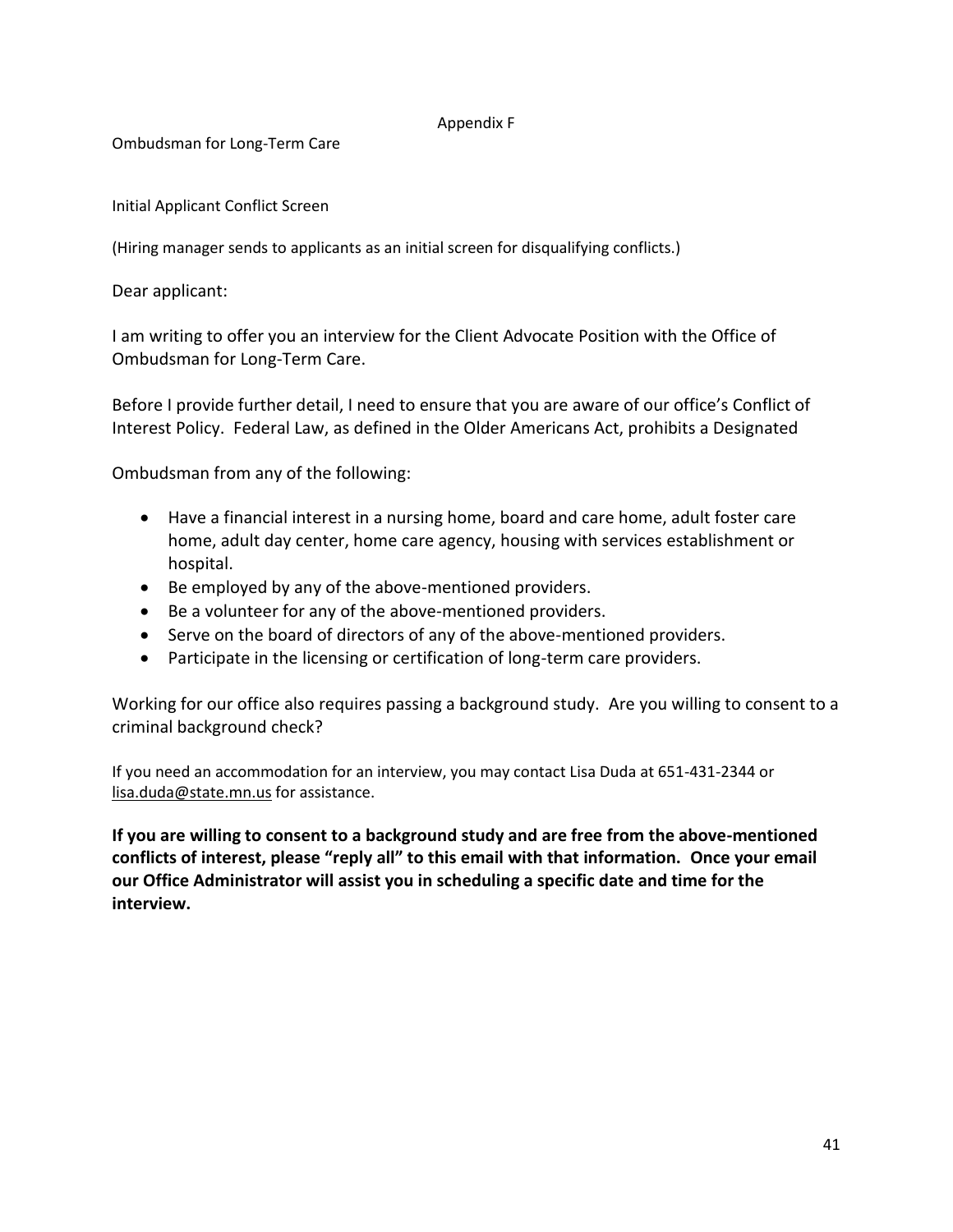#### Appendix F

Ombudsman for Long-Term Care

Initial Applicant Conflict Screen

(Hiring manager sends to applicants as an initial screen for disqualifying conflicts.)

Dear applicant:

I am writing to offer you an interview for the Client Advocate Position with the Office of Ombudsman for Long-Term Care.

Before I provide further detail, I need to ensure that you are aware of our office's Conflict of Interest Policy. Federal Law, as defined in the Older Americans Act, prohibits a Designated

Ombudsman from any of the following:

- Have a financial interest in a nursing home, board and care home, adult foster care home, adult day center, home care agency, housing with services establishment or hospital.
- Be employed by any of the above-mentioned providers.
- Be a volunteer for any of the above-mentioned providers.
- Serve on the board of directors of any of the above-mentioned providers.
- Participate in the licensing or certification of long-term care providers.

Working for our office also requires passing a background study. Are you willing to consent to a criminal background check?

If you need an accommodation for an interview, you may contact Lisa Duda at 651-431-2344 or [lisa.duda@state.mn.us](mailto:lisa.duda@state.mn.us) for assistance.

**If you are willing to consent to a background study and are free from the above-mentioned conflicts of interest, please "reply all" to this email with that information. Once your email our Office Administrator will assist you in scheduling a specific date and time for the interview.**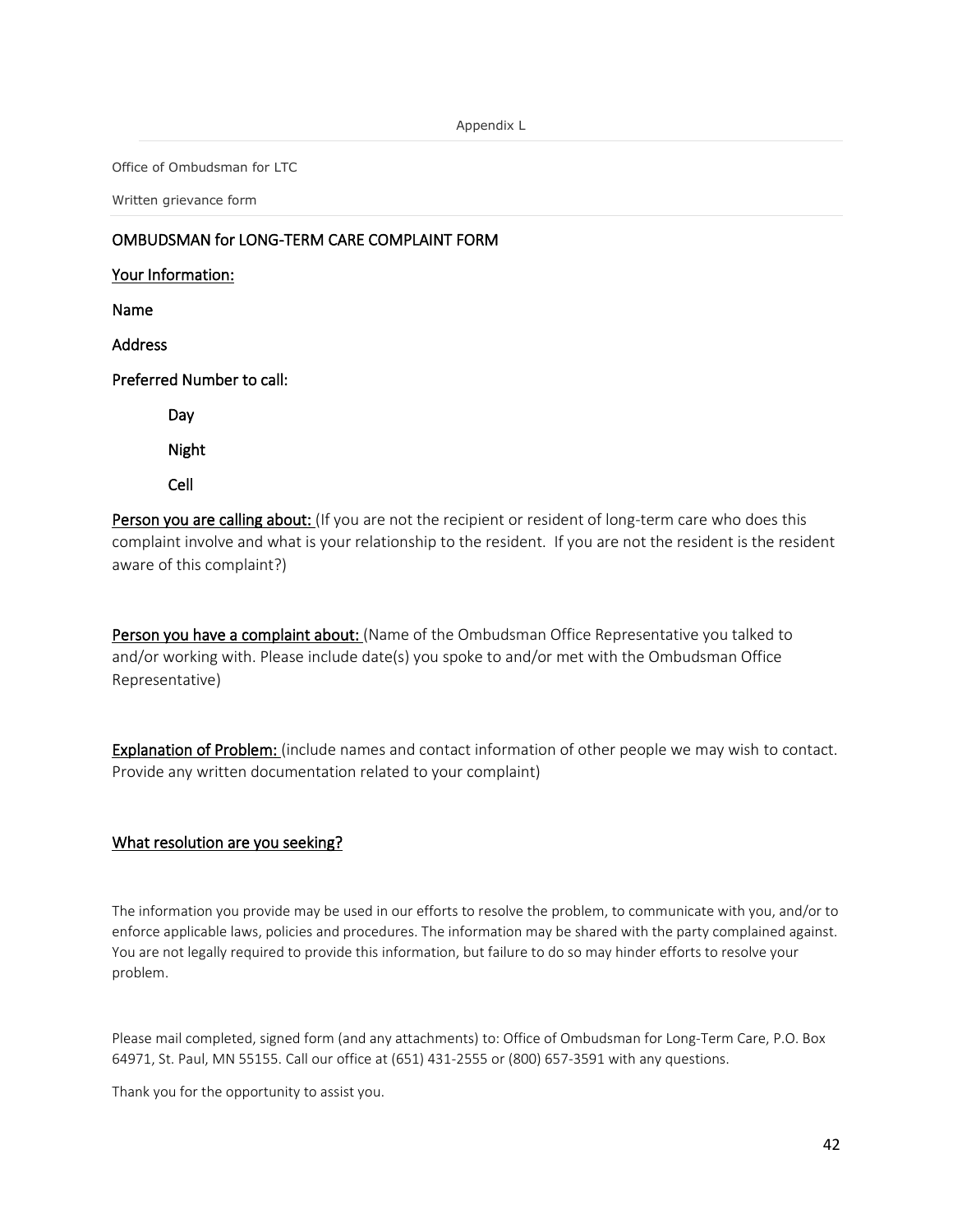Office of Ombudsman for LTC

Written grievance form

#### OMBUDSMAN for LONG-TERM CARE COMPLAINT FORM

Your Information: Name Address Preferred Number to call: Day Night Cell

Person you are calling about: (If you are not the recipient or resident of long-term care who does this complaint involve and what is your relationship to the resident. If you are not the resident is the resident aware of this complaint?)

Person you have a complaint about: (Name of the Ombudsman Office Representative you talked to and/or working with. Please include date(s) you spoke to and/or met with the Ombudsman Office Representative)

Explanation of Problem: (include names and contact information of other people we may wish to contact. Provide any written documentation related to your complaint)

#### What resolution are you seeking?

The information you provide may be used in our efforts to resolve the problem, to communicate with you, and/or to enforce applicable laws, policies and procedures. The information may be shared with the party complained against. You are not legally required to provide this information, but failure to do so may hinder efforts to resolve your problem.

Please mail completed, signed form (and any attachments) to: Office of Ombudsman for Long-Term Care, P.O. Box 64971, St. Paul, MN 55155. Call our office at (651) 431-2555 or (800) 657-3591 with any questions.

Thank you for the opportunity to assist you.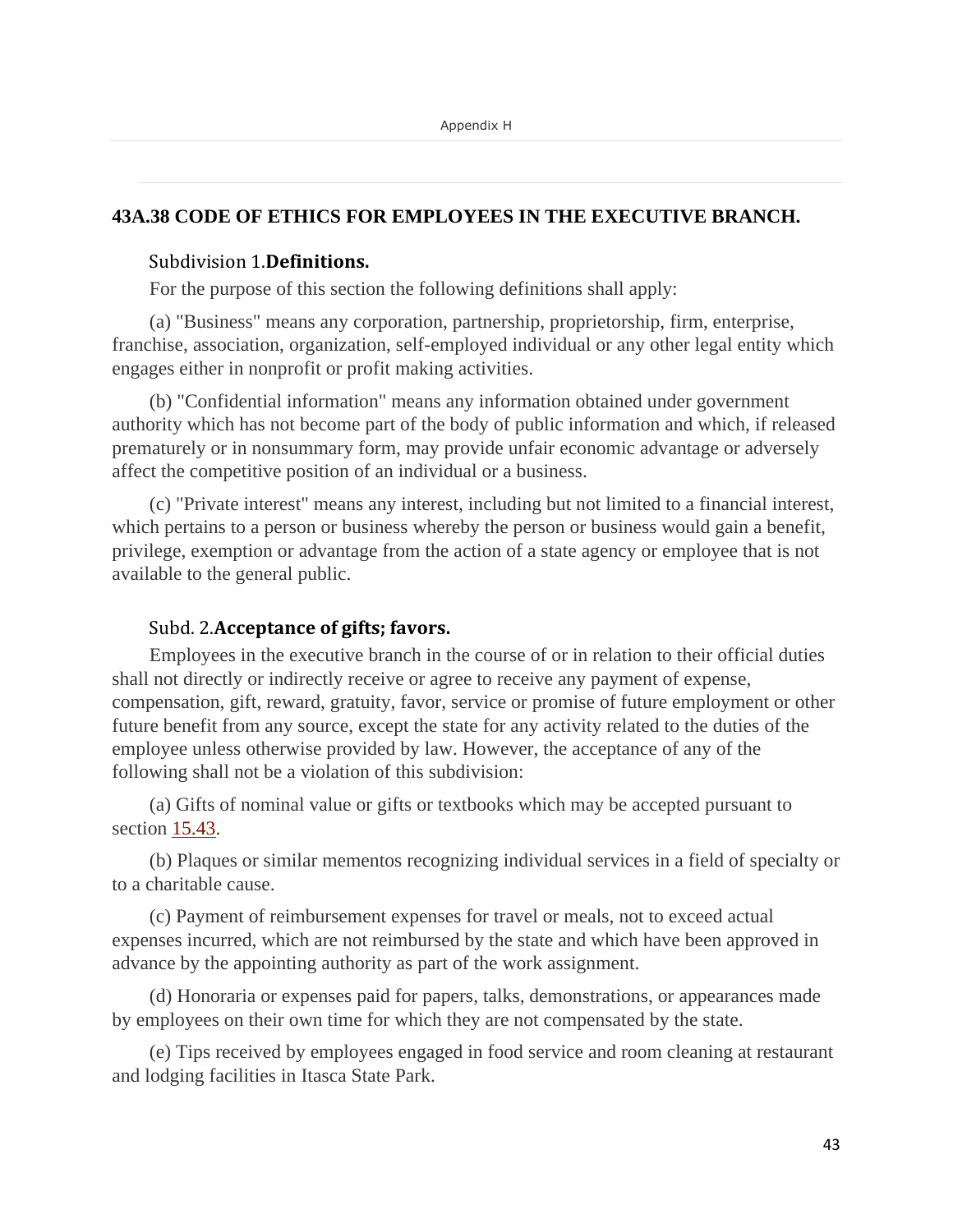# **43A.38 CODE OF ETHICS FOR EMPLOYEES IN THE EXECUTIVE BRANCH.**

# Subdivision 1.**Definitions.**

For the purpose of this section the following definitions shall apply:

(a) "Business" means any corporation, partnership, proprietorship, firm, enterprise, franchise, association, organization, self-employed individual or any other legal entity which engages either in nonprofit or profit making activities.

(b) "Confidential information" means any information obtained under government authority which has not become part of the body of public information and which, if released prematurely or in nonsummary form, may provide unfair economic advantage or adversely affect the competitive position of an individual or a business.

(c) "Private interest" means any interest, including but not limited to a financial interest, which pertains to a person or business whereby the person or business would gain a benefit, privilege, exemption or advantage from the action of a state agency or employee that is not available to the general public.

# Subd. 2.**Acceptance of gifts; favors.**

Employees in the executive branch in the course of or in relation to their official duties shall not directly or indirectly receive or agree to receive any payment of expense, compensation, gift, reward, gratuity, favor, service or promise of future employment or other future benefit from any source, except the state for any activity related to the duties of the employee unless otherwise provided by law. However, the acceptance of any of the following shall not be a violation of this subdivision:

(a) Gifts of nominal value or gifts or textbooks which may be accepted pursuant to section [15.43.](https://www.revisor.mn.gov/statutes/?id=15.43)

(b) Plaques or similar mementos recognizing individual services in a field of specialty or to a charitable cause.

(c) Payment of reimbursement expenses for travel or meals, not to exceed actual expenses incurred, which are not reimbursed by the state and which have been approved in advance by the appointing authority as part of the work assignment.

(d) Honoraria or expenses paid for papers, talks, demonstrations, or appearances made by employees on their own time for which they are not compensated by the state.

(e) Tips received by employees engaged in food service and room cleaning at restaurant and lodging facilities in Itasca State Park.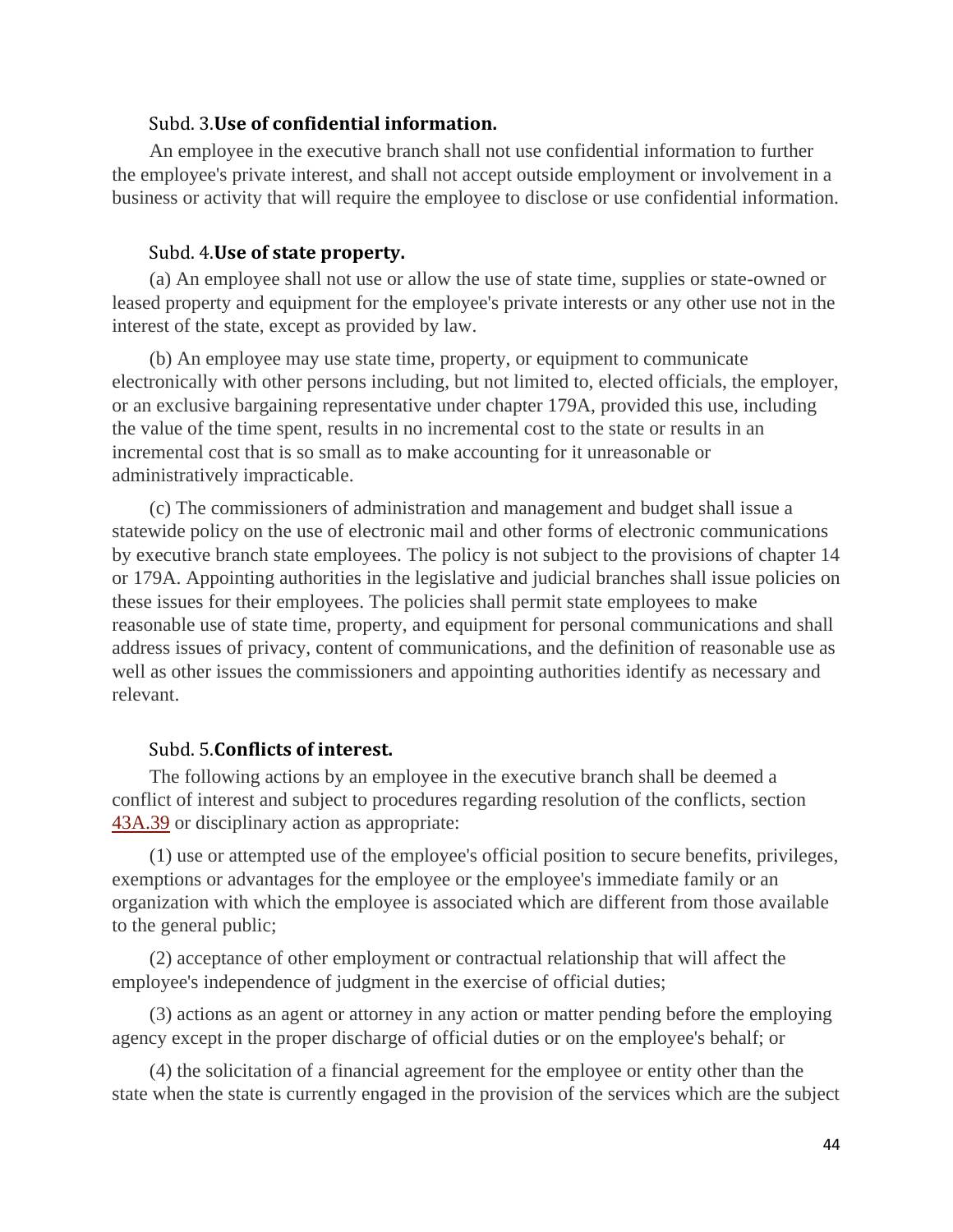# Subd. 3.**Use of confidential information.**

An employee in the executive branch shall not use confidential information to further the employee's private interest, and shall not accept outside employment or involvement in a business or activity that will require the employee to disclose or use confidential information.

#### Subd. 4.**Use of state property.**

(a) An employee shall not use or allow the use of state time, supplies or state-owned or leased property and equipment for the employee's private interests or any other use not in the interest of the state, except as provided by law.

(b) An employee may use state time, property, or equipment to communicate electronically with other persons including, but not limited to, elected officials, the employer, or an exclusive bargaining representative under chapter 179A, provided this use, including the value of the time spent, results in no incremental cost to the state or results in an incremental cost that is so small as to make accounting for it unreasonable or administratively impracticable.

(c) The commissioners of administration and management and budget shall issue a statewide policy on the use of electronic mail and other forms of electronic communications by executive branch state employees. The policy is not subject to the provisions of chapter 14 or 179A. Appointing authorities in the legislative and judicial branches shall issue policies on these issues for their employees. The policies shall permit state employees to make reasonable use of state time, property, and equipment for personal communications and shall address issues of privacy, content of communications, and the definition of reasonable use as well as other issues the commissioners and appointing authorities identify as necessary and relevant.

#### Subd. 5.**Conflicts of interest.**

The following actions by an employee in the executive branch shall be deemed a conflict of interest and subject to procedures regarding resolution of the conflicts, section [43A.39](https://www.revisor.mn.gov/statutes/?id=43A.39) or disciplinary action as appropriate:

(1) use or attempted use of the employee's official position to secure benefits, privileges, exemptions or advantages for the employee or the employee's immediate family or an organization with which the employee is associated which are different from those available to the general public;

(2) acceptance of other employment or contractual relationship that will affect the employee's independence of judgment in the exercise of official duties;

(3) actions as an agent or attorney in any action or matter pending before the employing agency except in the proper discharge of official duties or on the employee's behalf; or

(4) the solicitation of a financial agreement for the employee or entity other than the state when the state is currently engaged in the provision of the services which are the subject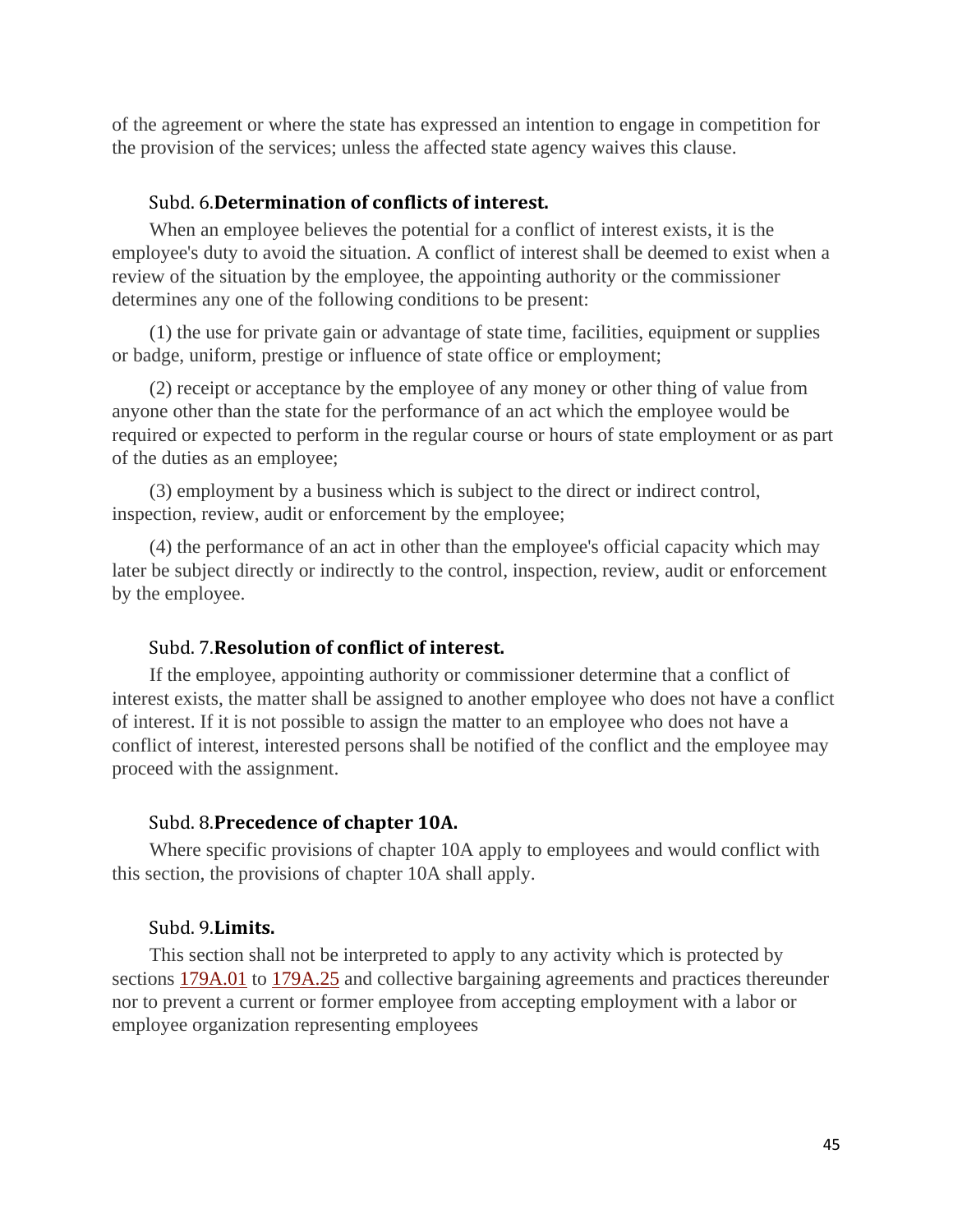of the agreement or where the state has expressed an intention to engage in competition for the provision of the services; unless the affected state agency waives this clause.

#### Subd. 6.**Determination of conflicts of interest.**

When an employee believes the potential for a conflict of interest exists, it is the employee's duty to avoid the situation. A conflict of interest shall be deemed to exist when a review of the situation by the employee, the appointing authority or the commissioner determines any one of the following conditions to be present:

(1) the use for private gain or advantage of state time, facilities, equipment or supplies or badge, uniform, prestige or influence of state office or employment;

(2) receipt or acceptance by the employee of any money or other thing of value from anyone other than the state for the performance of an act which the employee would be required or expected to perform in the regular course or hours of state employment or as part of the duties as an employee;

(3) employment by a business which is subject to the direct or indirect control, inspection, review, audit or enforcement by the employee;

(4) the performance of an act in other than the employee's official capacity which may later be subject directly or indirectly to the control, inspection, review, audit or enforcement by the employee.

## Subd. 7.**Resolution of conflict of interest.**

If the employee, appointing authority or commissioner determine that a conflict of interest exists, the matter shall be assigned to another employee who does not have a conflict of interest. If it is not possible to assign the matter to an employee who does not have a conflict of interest, interested persons shall be notified of the conflict and the employee may proceed with the assignment.

#### Subd. 8.**Precedence of chapter 10A.**

Where specific provisions of chapter 10A apply to employees and would conflict with this section, the provisions of chapter 10A shall apply.

# Subd. 9.**Limits.**

This section shall not be interpreted to apply to any activity which is protected by sections [179A.01](https://www.revisor.mn.gov/statutes/?id=179A.01) to [179A.25](https://www.revisor.mn.gov/statutes/?id=179A.25) and collective bargaining agreements and practices thereunder nor to prevent a current or former employee from accepting employment with a labor or employee organization representing employees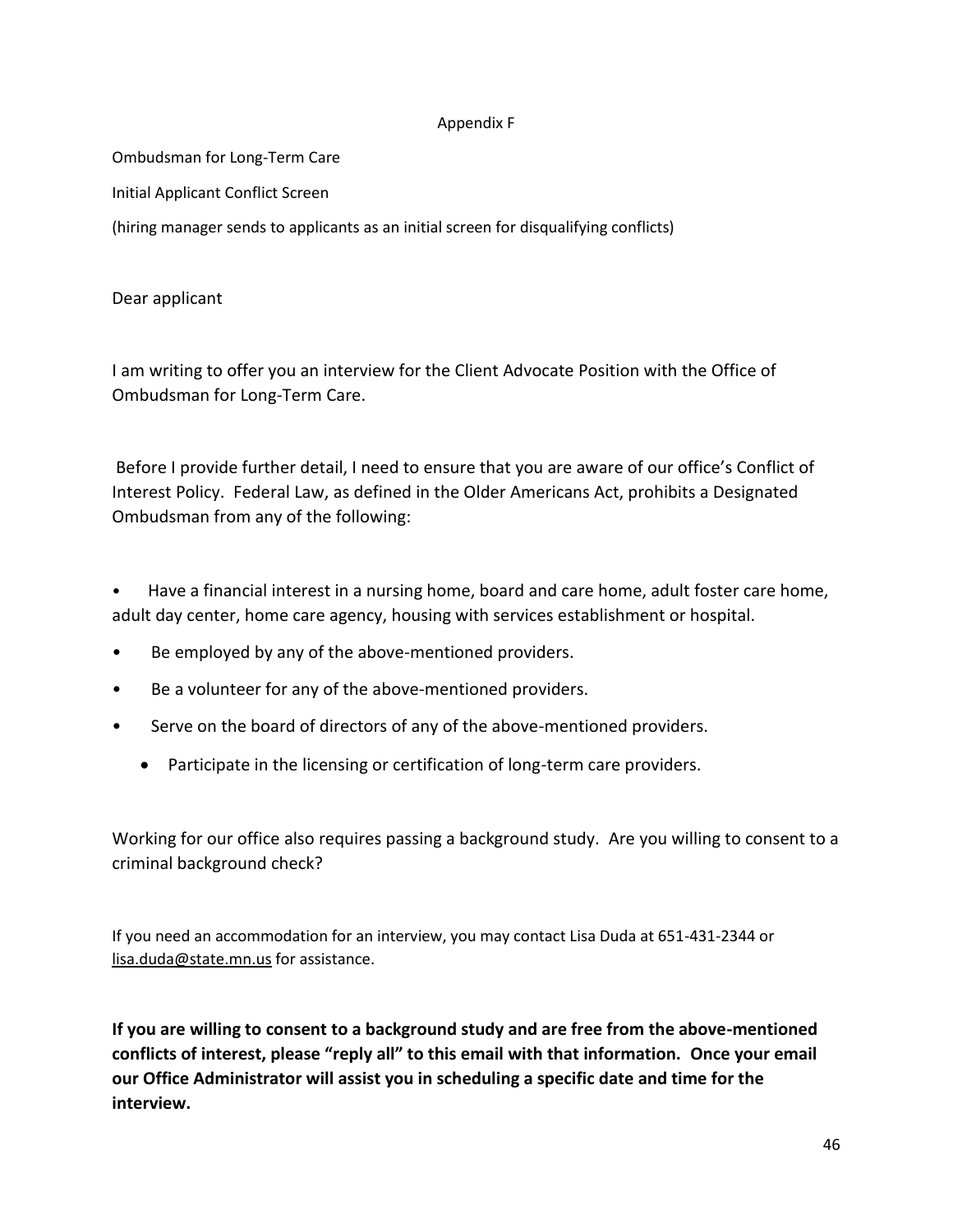#### Appendix F

Ombudsman for Long-Term Care

Initial Applicant Conflict Screen

(hiring manager sends to applicants as an initial screen for disqualifying conflicts)

Dear applicant

I am writing to offer you an interview for the Client Advocate Position with the Office of Ombudsman for Long-Term Care.

Before I provide further detail, I need to ensure that you are aware of our office's Conflict of Interest Policy. Federal Law, as defined in the Older Americans Act, prohibits a Designated Ombudsman from any of the following:

• Have a financial interest in a nursing home, board and care home, adult foster care home, adult day center, home care agency, housing with services establishment or hospital.

- Be employed by any of the above-mentioned providers.
- Be a volunteer for any of the above-mentioned providers.
- Serve on the board of directors of any of the above-mentioned providers.
	- Participate in the licensing or certification of long-term care providers.

Working for our office also requires passing a background study. Are you willing to consent to a criminal background check?

If you need an accommodation for an interview, you may contact Lisa Duda at 651-431-2344 or [lisa.duda@state.mn.us](mailto:lisa.duda@state.mn.us) for assistance.

**If you are willing to consent to a background study and are free from the above-mentioned conflicts of interest, please "reply all" to this email with that information. Once your email our Office Administrator will assist you in scheduling a specific date and time for the interview.**